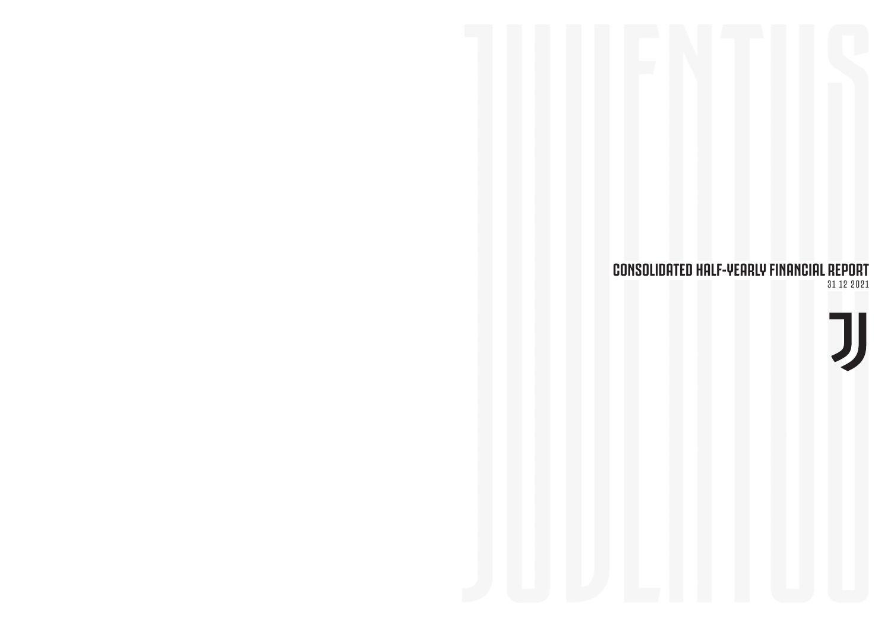## 31 12 2021 **CONSOLIDATED HALF-YEARLY FINANCIAL REPORT**

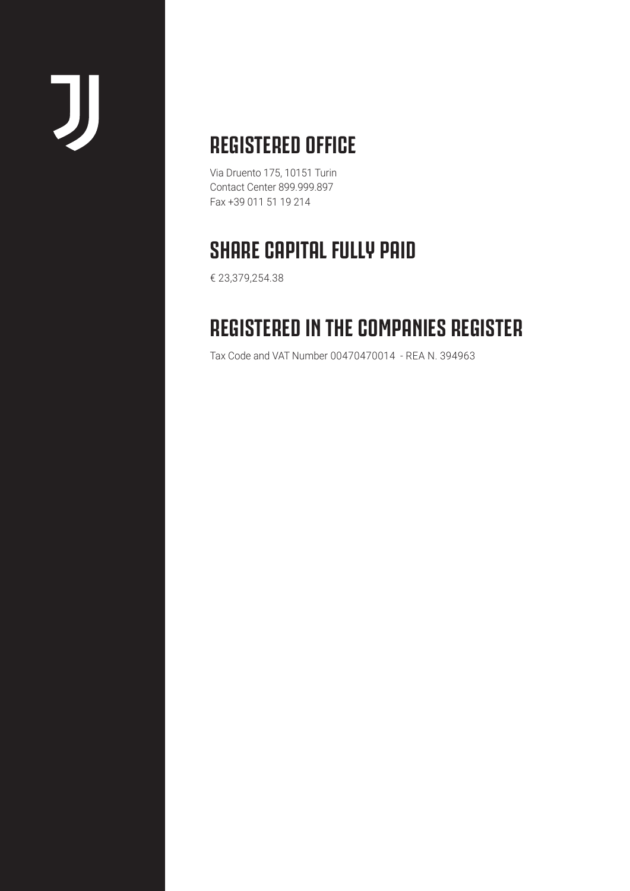## **REGISTERED OFFICE**

Via Druento 175, 10151 Turin Contact Center 899.999.897 Fax +39 011 51 19 214

## **SHARE CAPITAL FULLY PAID**

€ 23,379,254.38

## **REGISTERED IN THE COMPANIES REGISTER**

Tax Code and VAT Number 00470470014 - REA N. 394963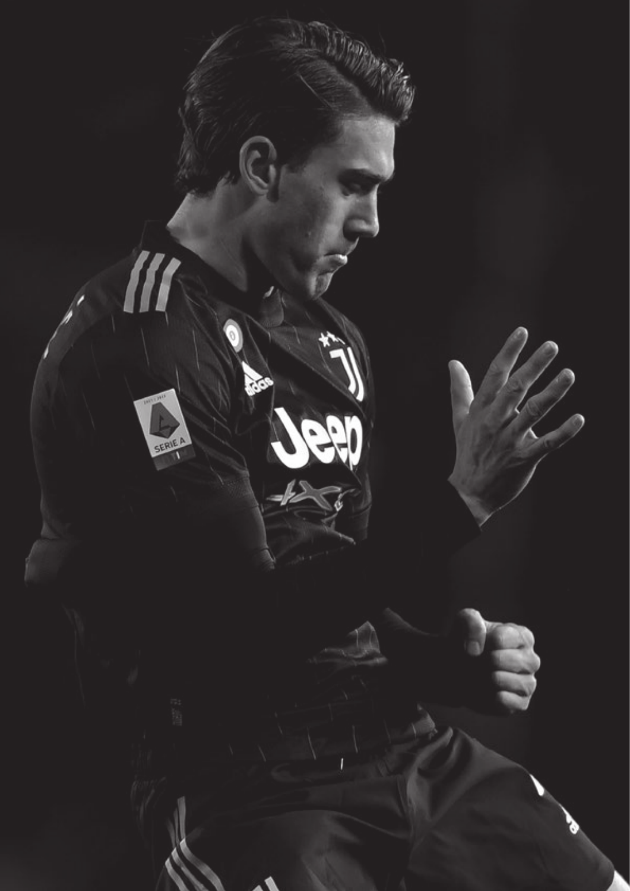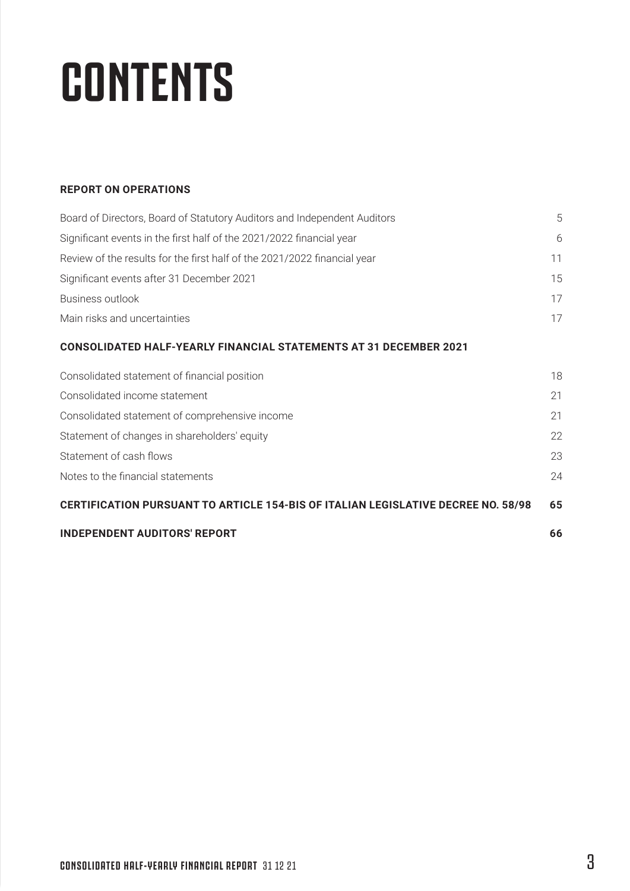# **CONTENTS**

#### **REPORT ON OPERATIONS**

| Board of Directors, Board of Statutory Auditors and Independent Auditors          | 5  |
|-----------------------------------------------------------------------------------|----|
| Significant events in the first half of the 2021/2022 financial year              | 6  |
| Review of the results for the first half of the 2021/2022 financial year          | 11 |
| Significant events after 31 December 2021                                         | 15 |
| Business outlook                                                                  | 17 |
| Main risks and uncertainties                                                      | 17 |
| <b>CONSOLIDATED HALF-YEARLY FINANCIAL STATEMENTS AT 31 DECEMBER 2021</b>          |    |
| Consolidated statement of financial position                                      | 18 |
| Consolidated income statement                                                     | 21 |
| Consolidated statement of comprehensive income                                    | 21 |
| Statement of changes in shareholders' equity                                      | 22 |
| Statement of cash flows                                                           | 23 |
| Notes to the financial statements                                                 | 24 |
| CERTIFICATION PURSUANT TO ARTICLE 154-BIS OF ITALIAN LEGISLATIVE DECREE NO. 58/98 | 65 |
| <b>INDEPENDENT AUDITORS' REPORT</b>                                               | 66 |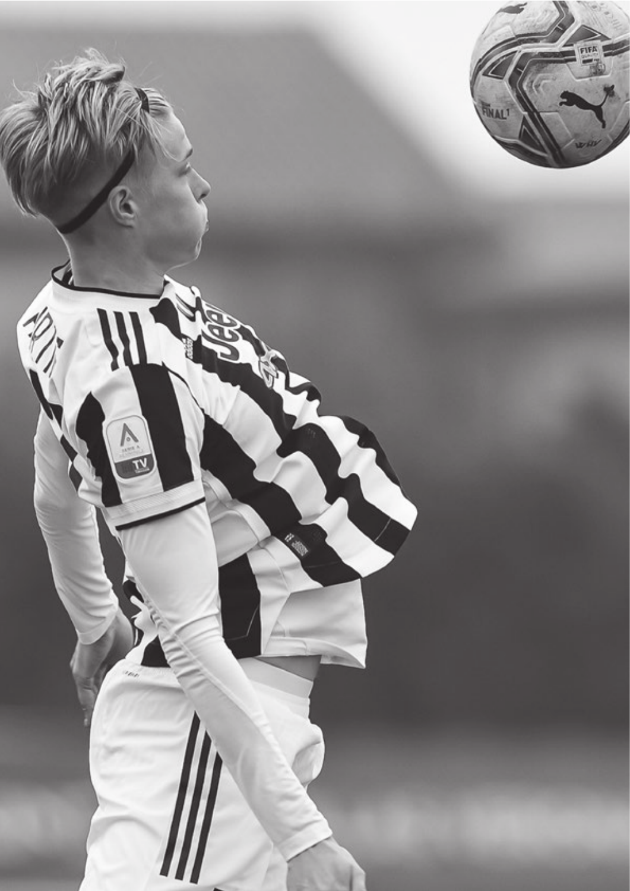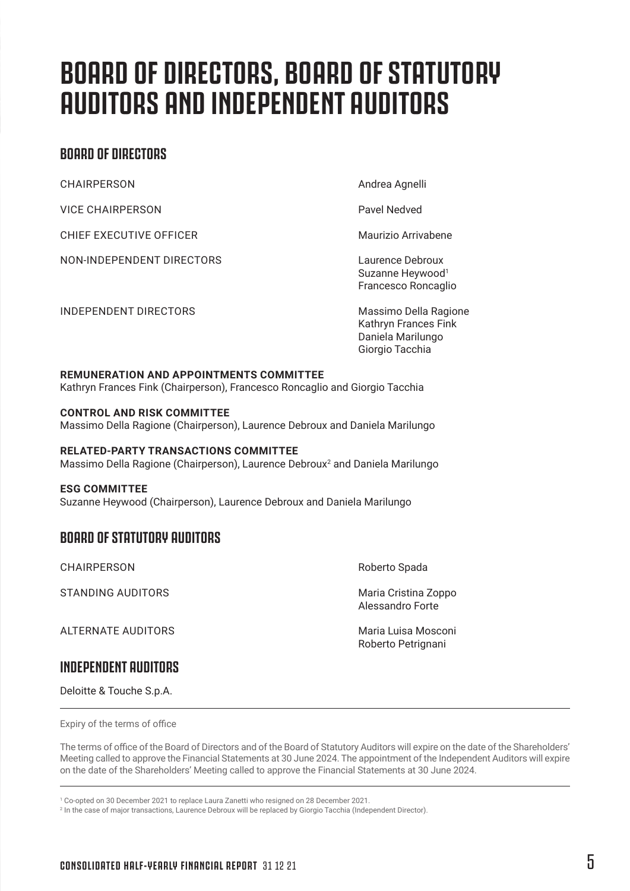## **BOARD OF DIRECTORS, BOARD OF STATUTORY AUDITORS AND INDEPENDENT AUDITORS**

#### **BOARD OF DIRECTORS**

CHAIRPERSON Andrea Agnelli

VICE CHAIRPERSON Pavel Nedved

CHIEF EXECUTIVE OFFICER Maurizio Arrivabene

NON-INDEPENDENT DIRECTORS Laurence Debroux

Suzanne Heywood<sup>1</sup> Francesco Roncaglio

INDEPENDENT DIRECTORS Massimo Della Ragione

Kathryn Frances Fink Daniela Marilungo Giorgio Tacchia

#### **REMUNERATION AND APPOINTMENTS COMMITTEE**

Kathryn Frances Fink (Chairperson), Francesco Roncaglio and Giorgio Tacchia

#### **CONTROL AND RISK COMMITTEE**

Massimo Della Ragione (Chairperson), Laurence Debroux and Daniela Marilungo

#### **RELATED-PARTY TRANSACTIONS COMMITTEE**

Massimo Della Ragione (Chairperson), Laurence Debroux2 and Daniela Marilungo

#### **ESG COMMITTEE**

Suzanne Heywood (Chairperson), Laurence Debroux and Daniela Marilungo

#### **BOARD OF STATUTORY AUDITORS**

CHAIRPERSON Roberto Spada

STANDING AUDITORS Maria Cristina Zoppo

ALTERNATE AUDITORS **Maria Luisa Mosconi** Maria Luisa Mosconi

#### **INDEPENDENT AUDITORS**

Deloitte & Touche S.p.A.

Expiry of the terms of office

The terms of office of the Board of Directors and of the Board of Statutory Auditors will expire on the date of the Shareholders' Meeting called to approve the Financial Statements at 30 June 2024. The appointment of the Independent Auditors will expire on the date of the Shareholders' Meeting called to approve the Financial Statements at 30 June 2024.

1 Co-opted on 30 December 2021 to replace Laura Zanetti who resigned on 28 December 2021.

2 In the case of major transactions, Laurence Debroux will be replaced by Giorgio Tacchia (Independent Director).

Alessandro Forte

Roberto Petrignani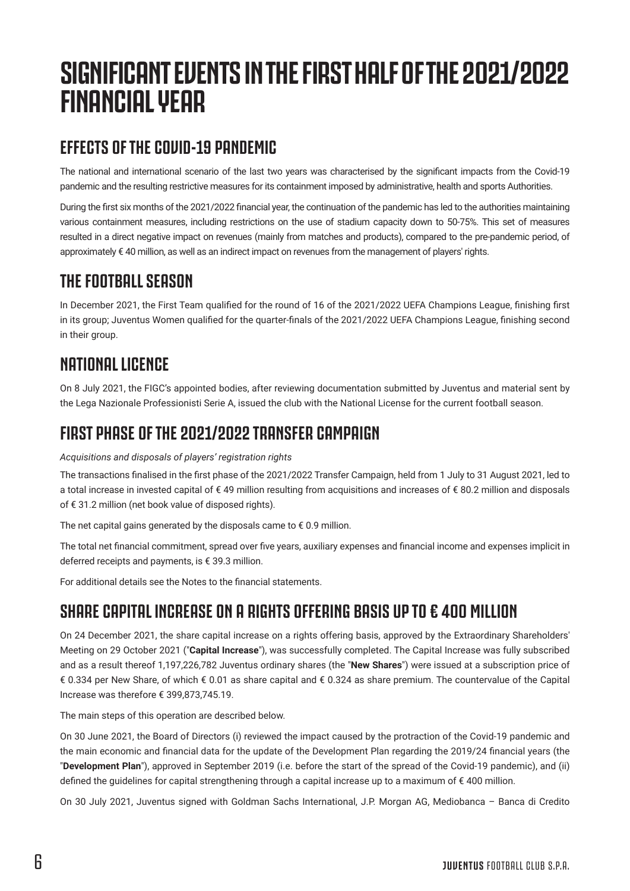## **SIGNIFICANT EVENTS IN THE FIRST HALF OF THE 2021/2022 FINANCIAL YEAR**

## **EFFECTS OF THE COVID-19 PANDEMIC**

The national and international scenario of the last two years was characterised by the significant impacts from the Covid-19 pandemic and the resulting restrictive measures for its containment imposed by administrative, health and sports Authorities.

During the first six months of the 2021/2022 financial year, the continuation of the pandemic has led to the authorities maintaining various containment measures, including restrictions on the use of stadium capacity down to 50-75%. This set of measures resulted in a direct negative impact on revenues (mainly from matches and products), compared to the pre-pandemic period, of approximately € 40 million, as well as an indirect impact on revenues from the management of players' rights.

## **THE FOOTBALL SEASON**

In December 2021, the First Team qualified for the round of 16 of the 2021/2022 UEFA Champions League, finishing first in its group; Juventus Women qualified for the quarter-finals of the 2021/2022 UEFA Champions League, finishing second in their group.

## **NATIONAL LICENCE**

On 8 July 2021, the FIGC's appointed bodies, after reviewing documentation submitted by Juventus and material sent by the Lega Nazionale Professionisti Serie A, issued the club with the National License for the current football season.

## **FIRST PHASE OF THE 2021/2022 TRANSFER CAMPAIGN**

#### *Acquisitions and disposals of players' registration rights*

The transactions finalised in the first phase of the 2021/2022 Transfer Campaign, held from 1 July to 31 August 2021, led to a total increase in invested capital of € 49 million resulting from acquisitions and increases of € 80.2 million and disposals of € 31.2 million (net book value of disposed rights).

The net capital gains generated by the disposals came to  $\epsilon$  0.9 million.

The total net financial commitment, spread over five years, auxiliary expenses and financial income and expenses implicit in deferred receipts and payments, is € 39.3 million.

For additional details see the Notes to the financial statements.

## **SHARE CAPITAL INCREASE ON A RIGHTS OFFERING BASIS UP TO € 400 MILLION**

On 24 December 2021, the share capital increase on a rights offering basis, approved by the Extraordinary Shareholders' Meeting on 29 October 2021 ("**Capital Increase**"), was successfully completed. The Capital Increase was fully subscribed and as a result thereof 1,197,226,782 Juventus ordinary shares (the "**New Shares**") were issued at a subscription price of € 0.334 per New Share, of which € 0.01 as share capital and € 0.324 as share premium. The countervalue of the Capital Increase was therefore € 399,873,745.19.

The main steps of this operation are described below.

On 30 June 2021, the Board of Directors (i) reviewed the impact caused by the protraction of the Covid-19 pandemic and the main economic and financial data for the update of the Development Plan regarding the 2019/24 financial years (the "**Development Plan**"), approved in September 2019 (i.e. before the start of the spread of the Covid-19 pandemic), and (ii) defined the guidelines for capital strengthening through a capital increase up to a maximum of € 400 million.

On 30 July 2021, Juventus signed with Goldman Sachs International, J.P. Morgan AG, Mediobanca – Banca di Credito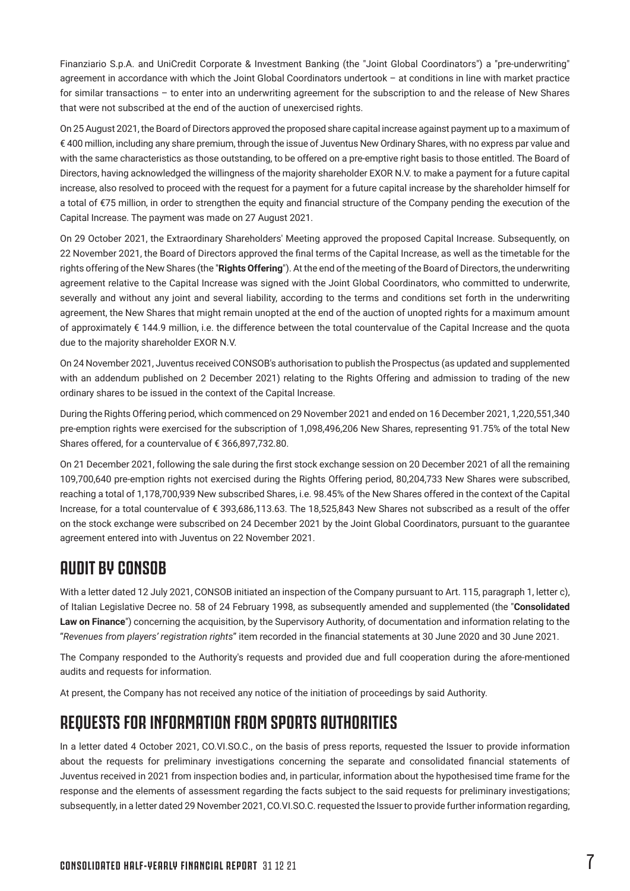Finanziario S.p.A. and UniCredit Corporate & Investment Banking (the "Joint Global Coordinators") a "pre-underwriting" agreement in accordance with which the Joint Global Coordinators undertook – at conditions in line with market practice for similar transactions – to enter into an underwriting agreement for the subscription to and the release of New Shares that were not subscribed at the end of the auction of unexercised rights.

On 25 August 2021, the Board of Directors approved the proposed share capital increase against payment up to a maximum of € 400 million, including any share premium, through the issue of Juventus New Ordinary Shares, with no express par value and with the same characteristics as those outstanding, to be offered on a pre-emptive right basis to those entitled. The Board of Directors, having acknowledged the willingness of the majority shareholder EXOR N.V. to make a payment for a future capital increase, also resolved to proceed with the request for a payment for a future capital increase by the shareholder himself for a total of €75 million, in order to strengthen the equity and financial structure of the Company pending the execution of the Capital Increase. The payment was made on 27 August 2021.

On 29 October 2021, the Extraordinary Shareholders' Meeting approved the proposed Capital Increase. Subsequently, on 22 November 2021, the Board of Directors approved the final terms of the Capital Increase, as well as the timetable for the rights offering of the New Shares (the "**Rights Offering**"). At the end of the meeting of the Board of Directors, the underwriting agreement relative to the Capital Increase was signed with the Joint Global Coordinators, who committed to underwrite, severally and without any joint and several liability, according to the terms and conditions set forth in the underwriting agreement, the New Shares that might remain unopted at the end of the auction of unopted rights for a maximum amount of approximately € 144.9 million, i.e. the difference between the total countervalue of the Capital Increase and the quota due to the majority shareholder EXOR N.V.

On 24 November 2021, Juventus received CONSOB's authorisation to publish the Prospectus (as updated and supplemented with an addendum published on 2 December 2021) relating to the Rights Offering and admission to trading of the new ordinary shares to be issued in the context of the Capital Increase.

During the Rights Offering period, which commenced on 29 November 2021 and ended on 16 December 2021, 1,220,551,340 pre-emption rights were exercised for the subscription of 1,098,496,206 New Shares, representing 91.75% of the total New Shares offered, for a countervalue of € 366,897,732.80.

On 21 December 2021, following the sale during the first stock exchange session on 20 December 2021 of all the remaining 109,700,640 pre-emption rights not exercised during the Rights Offering period, 80,204,733 New Shares were subscribed, reaching a total of 1,178,700,939 New subscribed Shares, i.e. 98.45% of the New Shares offered in the context of the Capital Increase, for a total countervalue of € 393,686,113.63. The 18,525,843 New Shares not subscribed as a result of the offer on the stock exchange were subscribed on 24 December 2021 by the Joint Global Coordinators, pursuant to the guarantee agreement entered into with Juventus on 22 November 2021.

#### **AUDIT BY CONSOB**

With a letter dated 12 July 2021, CONSOB initiated an inspection of the Company pursuant to Art. 115, paragraph 1, letter c), of Italian Legislative Decree no. 58 of 24 February 1998, as subsequently amended and supplemented (the "**Consolidated Law on Finance**") concerning the acquisition, by the Supervisory Authority, of documentation and information relating to the "*Revenues from players' registration rights*" item recorded in the financial statements at 30 June 2020 and 30 June 2021.

The Company responded to the Authority's requests and provided due and full cooperation during the afore-mentioned audits and requests for information.

At present, the Company has not received any notice of the initiation of proceedings by said Authority.

#### **REQUESTS FOR INFORMATION FROM SPORTS AUTHORITIES**

In a letter dated 4 October 2021, CO.VI.SO.C., on the basis of press reports, requested the Issuer to provide information about the requests for preliminary investigations concerning the separate and consolidated financial statements of Juventus received in 2021 from inspection bodies and, in particular, information about the hypothesised time frame for the response and the elements of assessment regarding the facts subject to the said requests for preliminary investigations; subsequently, in a letter dated 29 November 2021, CO.VI.SO.C. requested the Issuer to provide further information regarding,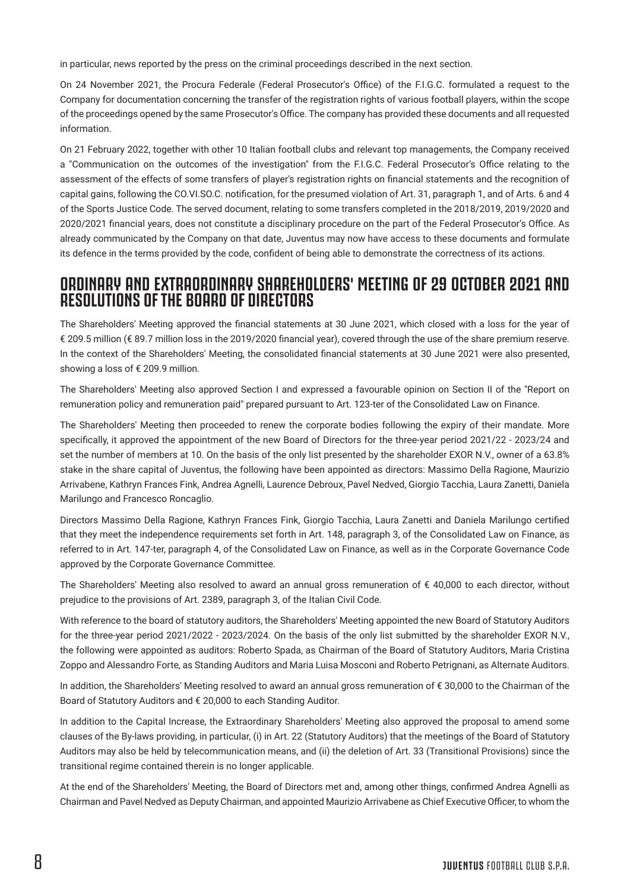in particular, news reported by the press on the criminal proceedings described in the next section.

On 24 November 2021, the Procura Federale (Federal Prosecutor's Office) of the F.I.G.C. formulated a request to the Company for documentation concerning the transfer of the registration rights of various football players, within the scope of the proceedings opened by the same Prosecutor's Office. The company has provided these documents and all requested information.

On 21 February 2022, together with other 10 Italian football clubs and relevant top managements, the Company received a "Communication on the outcomes of the investigation" from the F.I.G.C. Federal Prosecutor's Office relating to the assessment of the effects of some transfers of player's registration rights on financial statements and the recognition of capital gains, following the CO.VI.SO.C. notification, for the presumed violation of Art. 31, paragraph 1, and of Arts. 6 and 4 of the Sports Justice Code. The served document, relating to some transfers completed in the 2018/2019, 2019/2020 and 2020/2021 financial years, does not constitute a disciplinary procedure on the part of the Federal Prosecutor's Office. As already communicated by the Company on that date, Juventus may now have access to these documents and formulate its defence in the terms provided by the code, confident of being able to demonstrate the correctness of its actions.

#### **ORDINARY AND EXTRAORDINARY SHAREHOLDERS' MEETING OF 29 OCTOBER 2021 AND RESOLUTIONS OF THE BOARD OF DIRECTORS**

The Shareholders' Meeting approved the financial statements at 30 June 2021, which closed with a loss for the year of € 209.5 million (€ 89.7 million loss in the 2019/2020 financial year), covered through the use of the share premium reserve. In the context of the Shareholders' Meeting, the consolidated financial statements at 30 June 2021 were also presented, showing a loss of € 209.9 million.

The Shareholders' Meeting also approved Section I and expressed a favourable opinion on Section II of the "Report on remuneration policy and remuneration paid" prepared pursuant to Art. 123-ter of the Consolidated Law on Finance.

The Shareholders' Meeting then proceeded to renew the corporate bodies following the expiry of their mandate. More specifically, it approved the appointment of the new Board of Directors for the three-year period 2021/22 - 2023/24 and set the number of members at 10. On the basis of the only list presented by the shareholder EXOR N.V., owner of a 63.8% stake in the share capital of Juventus, the following have been appointed as directors: Massimo Della Ragione, Maurizio Arrivabene, Kathryn Frances Fink, Andrea Agnelli, Laurence Debroux, Pavel Nedved, Giorgio Tacchia, Laura Zanetti, Daniela Marilungo and Francesco Roncaglio.

Directors Massimo Della Ragione, Kathryn Frances Fink, Giorgio Tacchia, Laura Zanetti and Daniela Marilungo certified that they meet the independence requirements set forth in Art. 148, paragraph 3, of the Consolidated Law on Finance, as referred to in Art. 147-ter, paragraph 4, of the Consolidated Law on Finance, as well as in the Corporate Governance Code approved by the Corporate Governance Committee.

The Shareholders' Meeting also resolved to award an annual gross remuneration of  $\epsilon$  40,000 to each director, without prejudice to the provisions of Art. 2389, paragraph 3, of the Italian Civil Code.

With reference to the board of statutory auditors, the Shareholders' Meeting appointed the new Board of Statutory Auditors for the three-year period 2021/2022 - 2023/2024. On the basis of the only list submitted by the shareholder EXOR N.V., the following were appointed as auditors: Roberto Spada, as Chairman of the Board of Statutory Auditors, Maria Cristina Zoppo and Alessandro Forte, as Standing Auditors and Maria Luisa Mosconi and Roberto Petrignani, as Alternate Auditors.

In addition, the Shareholders' Meeting resolved to award an annual gross remuneration of € 30,000 to the Chairman of the Board of Statutory Auditors and € 20,000 to each Standing Auditor.

In addition to the Capital Increase, the Extraordinary Shareholders' Meeting also approved the proposal to amend some clauses of the By-laws providing, in particular, (i) in Art. 22 (Statutory Auditors) that the meetings of the Board of Statutory Auditors may also be held by telecommunication means, and (ii) the deletion of Art. 33 (Transitional Provisions) since the transitional regime contained therein is no longer applicable.

At the end of the Shareholders' Meeting, the Board of Directors met and, among other things, confirmed Andrea Agnelli as Chairman and Pavel Nedved as Deputy Chairman, and appointed Maurizio Arrivabene as Chief Executive Officer, to whom the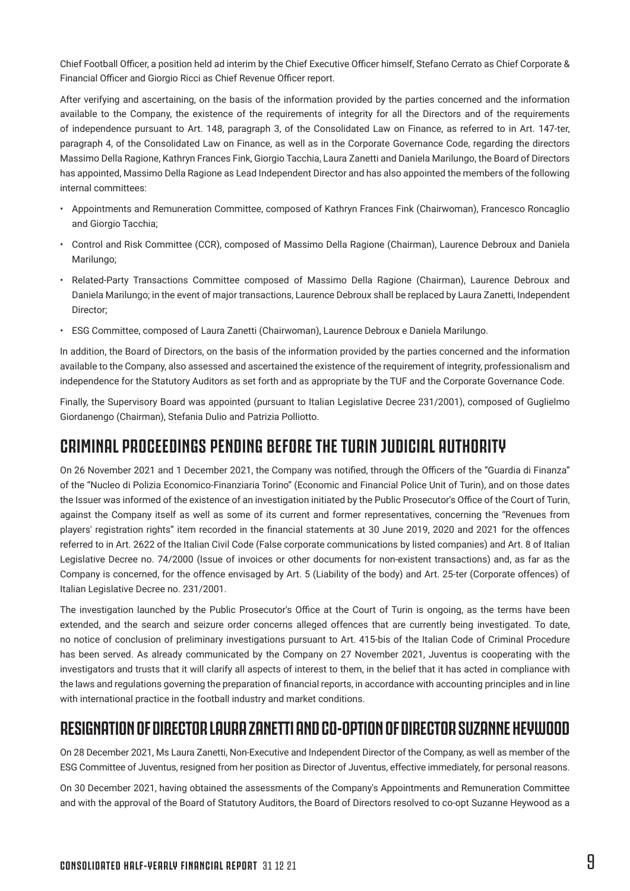Chief Football Officer, a position held ad interim by the Chief Executive Officer himself, Stefano Cerrato as Chief Corporate & Financial Officer and Giorgio Ricci as Chief Revenue Officer report.

After verifying and ascertaining, on the basis of the information provided by the parties concerned and the information available to the Company, the existence of the requirements of integrity for all the Directors and of the requirements of independence pursuant to Art. 148, paragraph 3, of the Consolidated Law on Finance, as referred to in Art. 147-ter, paragraph 4, of the Consolidated Law on Finance, as well as in the Corporate Governance Code, regarding the directors Massimo Della Ragione, Kathryn Frances Fink, Giorgio Tacchia, Laura Zanetti and Daniela Marilungo, the Board of Directors has appointed, Massimo Della Ragione as Lead Independent Director and has also appointed the members of the following internal committees:

- Appointments and Remuneration Committee, composed of Kathryn Frances Fink (Chairwoman), Francesco Roncaglio and Giorgio Tacchia;
- Control and Risk Committee (CCR), composed of Massimo Della Ragione (Chairman), Laurence Debroux and Daniela Marilungo;
- Related-Party Transactions Committee composed of Massimo Della Ragione (Chairman), Laurence Debroux and Daniela Marilungo; in the event of major transactions, Laurence Debroux shall be replaced by Laura Zanetti, Independent Director;
- ESG Committee, composed of Laura Zanetti (Chairwoman), Laurence Debroux e Daniela Marilungo.

In addition, the Board of Directors, on the basis of the information provided by the parties concerned and the information available to the Company, also assessed and ascertained the existence of the requirement of integrity, professionalism and independence for the Statutory Auditors as set forth and as appropriate by the TUF and the Corporate Governance Code.

Finally, the Supervisory Board was appointed (pursuant to Italian Legislative Decree 231/2001), composed of Guglielmo Giordanengo (Chairman), Stefania Dulio and Patrizia Polliotto.

#### **CRIMINAL PROCEEDINGS PENDING BEFORE THE TURIN JUDICIAL AUTHORITY**

On 26 November 2021 and 1 December 2021, the Company was notified, through the Officers of the "Guardia di Finanza" of the "Nucleo di Polizia Economico-Finanziaria Torino" (Economic and Financial Police Unit of Turin), and on those dates the Issuer was informed of the existence of an investigation initiated by the Public Prosecutor's Office of the Court of Turin, against the Company itself as well as some of its current and former representatives, concerning the "Revenues from players' registration rights" item recorded in the financial statements at 30 June 2019, 2020 and 2021 for the offences referred to in Art. 2622 of the Italian Civil Code (False corporate communications by listed companies) and Art. 8 of Italian Legislative Decree no. 74/2000 (Issue of invoices or other documents for non-existent transactions) and, as far as the Company is concerned, for the offence envisaged by Art. 5 (Liability of the body) and Art. 25-ter (Corporate offences) of Italian Legislative Decree no. 231/2001.

The investigation launched by the Public Prosecutor's Office at the Court of Turin is ongoing, as the terms have been extended, and the search and seizure order concerns alleged offences that are currently being investigated. To date, no notice of conclusion of preliminary investigations pursuant to Art. 415-bis of the Italian Code of Criminal Procedure has been served. As already communicated by the Company on 27 November 2021, Juventus is cooperating with the investigators and trusts that it will clarify all aspects of interest to them, in the belief that it has acted in compliance with the laws and regulations governing the preparation of financial reports, in accordance with accounting principles and in line with international practice in the football industry and market conditions.

#### **RESIGNATION OF DIRECTOR LAURA ZANETTI AND CO-OPTION OF DIRECTOR SUZANNE HEYWOOD**

On 28 December 2021, Ms Laura Zanetti, Non-Executive and Independent Director of the Company, as well as member of the ESG Committee of Juventus, resigned from her position as Director of Juventus, effective immediately, for personal reasons.

On 30 December 2021, having obtained the assessments of the Company's Appointments and Remuneration Committee and with the approval of the Board of Statutory Auditors, the Board of Directors resolved to co-opt Suzanne Heywood as a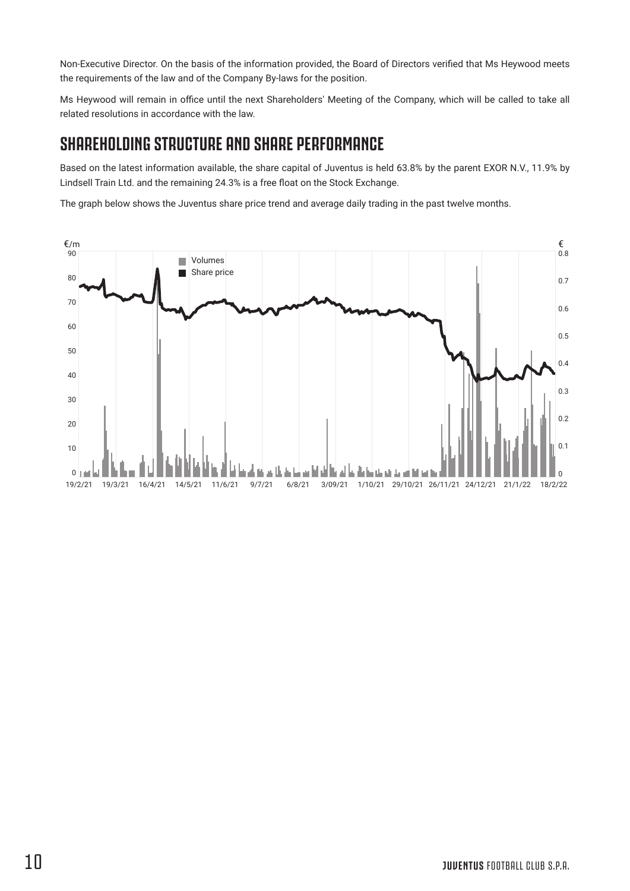Non-Executive Director. On the basis of the information provided, the Board of Directors verified that Ms Heywood meets the requirements of the law and of the Company By-laws for the position.

Ms Heywood will remain in office until the next Shareholders' Meeting of the Company, which will be called to take all related resolutions in accordance with the law.

#### **SHAREHOLDING STRUCTURE AND SHARE PERFORMANCE**

Based on the latest information available, the share capital of Juventus is held 63.8% by the parent EXOR N.V., 11.9% by Lindsell Train Ltd. and the remaining 24.3% is a free float on the Stock Exchange.

The graph below shows the Juventus share price trend and average daily trading in the past twelve months.

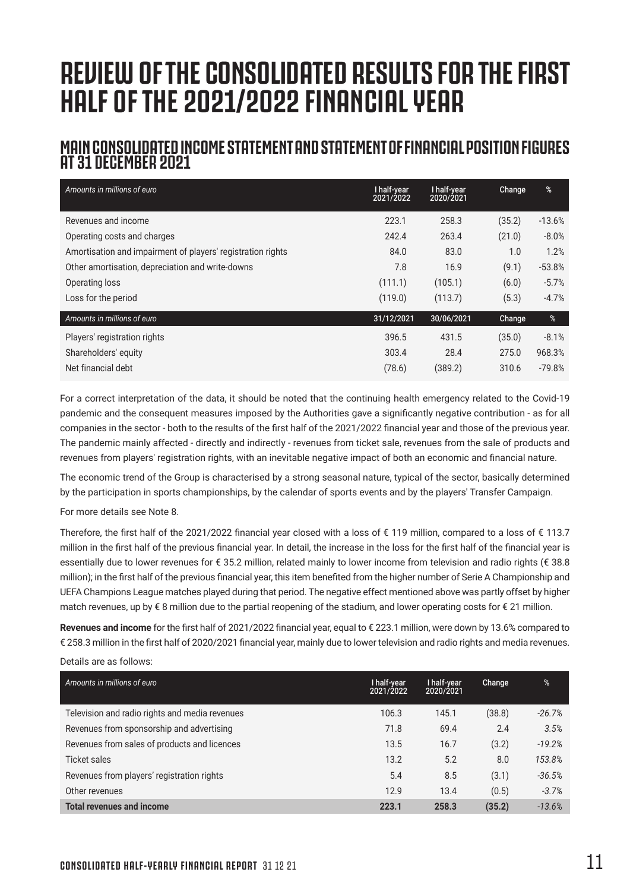## **REVIEW OF THE CONSOLIDATED RESULTS FOR THE FIRST HALF OF THE 2021/2022 FINANCIAL YEAR**

#### **MAIN CONSOLIDATED INCOME STATEMENT AND STATEMENT OF FINANCIAL POSITION FIGURES AT 31 DECEMBER 2021**

| Amounts in millions of euro                                 | I half-year<br>2021/2022 | I half-year<br>2020/2021 | Change | %        |
|-------------------------------------------------------------|--------------------------|--------------------------|--------|----------|
| Revenues and income                                         | 223.1                    | 258.3                    | (35.2) | $-13.6%$ |
| Operating costs and charges                                 | 242.4                    | 263.4                    | (21.0) | $-8.0%$  |
| Amortisation and impairment of players' registration rights | 84.0                     | 83.0                     | 1.0    | 1.2%     |
| Other amortisation, depreciation and write-downs            | 7.8                      | 16.9                     | (9.1)  | $-53.8%$ |
| Operating loss                                              | (111.1)                  | (105.1)                  | (6.0)  | $-5.7%$  |
| Loss for the period                                         | (119.0)                  | (113.7)                  | (5.3)  | $-4.7%$  |
| Amounts in millions of euro                                 | 31/12/2021               | 30/06/2021               | Change | %        |
| Players' registration rights                                | 396.5                    | 431.5                    | (35.0) | $-8.1%$  |
| Shareholders' equity                                        | 303.4                    | 28.4                     | 275.0  | 968.3%   |
| Net financial debt                                          | (78.6)                   | (389.2)                  | 310.6  | $-79.8%$ |

For a correct interpretation of the data, it should be noted that the continuing health emergency related to the Covid-19 pandemic and the consequent measures imposed by the Authorities gave a significantly negative contribution - as for all companies in the sector - both to the results of the first half of the 2021/2022 financial year and those of the previous year. The pandemic mainly affected - directly and indirectly - revenues from ticket sale, revenues from the sale of products and revenues from players' registration rights, with an inevitable negative impact of both an economic and financial nature.

The economic trend of the Group is characterised by a strong seasonal nature, typical of the sector, basically determined by the participation in sports championships, by the calendar of sports events and by the players' Transfer Campaign.

For more details see Note 8.

Therefore, the first half of the 2021/2022 financial year closed with a loss of € 119 million, compared to a loss of € 113.7 million in the first half of the previous financial year. In detail, the increase in the loss for the first half of the financial year is essentially due to lower revenues for € 35.2 million, related mainly to lower income from television and radio rights (€ 38.8 million); in the first half of the previous financial year, this item benefited from the higher number of Serie A Championship and UEFA Champions League matches played during that period. The negative effect mentioned above was partly offset by higher match revenues, up by € 8 million due to the partial reopening of the stadium, and lower operating costs for € 21 million.

**Revenues and income** for the first half of 2021/2022 financial year, equal to € 223.1 million, were down by 13.6% compared to € 258.3 million in the first half of 2020/2021 financial year, mainly due to lower television and radio rights and media revenues.

Details are as follows:

| Amounts in millions of euro                    | I half-year<br>2021/2022 | I half-year<br>2020/2021 | Change | %        |
|------------------------------------------------|--------------------------|--------------------------|--------|----------|
| Television and radio rights and media revenues | 106.3                    | 145.1                    | (38.8) | $-26.7%$ |
| Revenues from sponsorship and advertising      | 71.8                     | 69.4                     | 2.4    | 3.5%     |
| Revenues from sales of products and licences   | 13.5                     | 16.7                     | (3.2)  | $-19.2%$ |
| Ticket sales                                   | 13.2                     | 5.2                      | 8.0    | 153.8%   |
| Revenues from players' registration rights     | 5.4                      | 8.5                      | (3.1)  | $-36.5%$ |
| Other revenues                                 | 12.9                     | 13.4                     | (0.5)  | $-3.7%$  |
| <b>Total revenues and income</b>               | 223.1                    | 258.3                    | (35.2) | $-13.6%$ |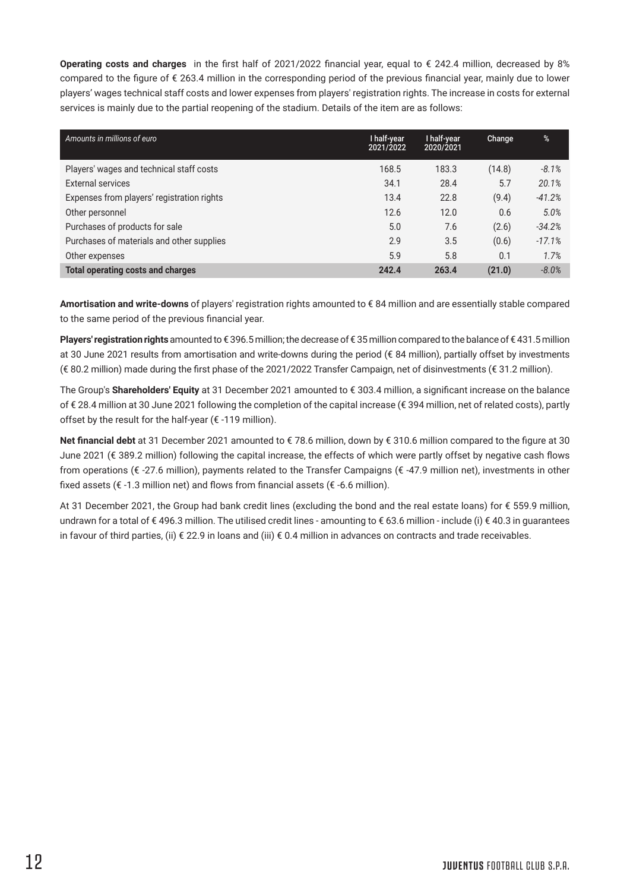**Operating costs and charges** in the first half of 2021/2022 financial year, equal to € 242.4 million, decreased by 8% compared to the figure of € 263.4 million in the corresponding period of the previous financial year, mainly due to lower players' wages technical staff costs and lower expenses from players' registration rights. The increase in costs for external services is mainly due to the partial reopening of the stadium. Details of the item are as follows:

| Amounts in millions of euro                | I half-year<br>2021/2022 | I half-year<br>2020/2021 | Change | %        |
|--------------------------------------------|--------------------------|--------------------------|--------|----------|
| Players' wages and technical staff costs   | 168.5                    | 183.3                    | (14.8) | $-8.1%$  |
| External services                          | 34.1                     | 28.4                     | 5.7    | 20.1%    |
| Expenses from players' registration rights | 13.4                     | 22.8                     | (9.4)  | $-41.2%$ |
| Other personnel                            | 12.6                     | 12.0                     | 0.6    | 5.0%     |
| Purchases of products for sale             | 5.0                      | 7.6                      | (2.6)  | $-34.2%$ |
| Purchases of materials and other supplies  | 2.9                      | 3.5                      | (0.6)  | $-17.1%$ |
| Other expenses                             | 5.9                      | 5.8                      | 0.1    | 1.7%     |
| <b>Total operating costs and charges</b>   | 242.4                    | 263.4                    | (21.0) | $-8.0%$  |

**Amortisation and write-downs** of players' registration rights amounted to € 84 million and are essentially stable compared to the same period of the previous financial year.

**Players' registration rights** amounted to € 396.5 million; the decrease of € 35 million compared to the balance of € 431.5 million at 30 June 2021 results from amortisation and write-downs during the period (€ 84 million), partially offset by investments (€ 80.2 million) made during the first phase of the 2021/2022 Transfer Campaign, net of disinvestments (€ 31.2 million).

The Group's **Shareholders' Equity** at 31 December 2021 amounted to € 303.4 million, a significant increase on the balance of € 28.4 million at 30 June 2021 following the completion of the capital increase (€ 394 million, net of related costs), partly offset by the result for the half-year (€ -119 million).

**Net financial debt** at 31 December 2021 amounted to € 78.6 million, down by € 310.6 million compared to the figure at 30 June 2021 (€ 389.2 million) following the capital increase, the effects of which were partly offset by negative cash flows from operations (€ -27.6 million), payments related to the Transfer Campaigns (€ -47.9 million net), investments in other fixed assets ( $\epsilon$  -1.3 million net) and flows from financial assets ( $\epsilon$  -6.6 million).

At 31 December 2021, the Group had bank credit lines (excluding the bond and the real estate loans) for € 559.9 million, undrawn for a total of € 496.3 million. The utilised credit lines - amounting to € 63.6 million - include (i) € 40.3 in guarantees in favour of third parties, (ii) € 22.9 in loans and (iii) € 0.4 million in advances on contracts and trade receivables.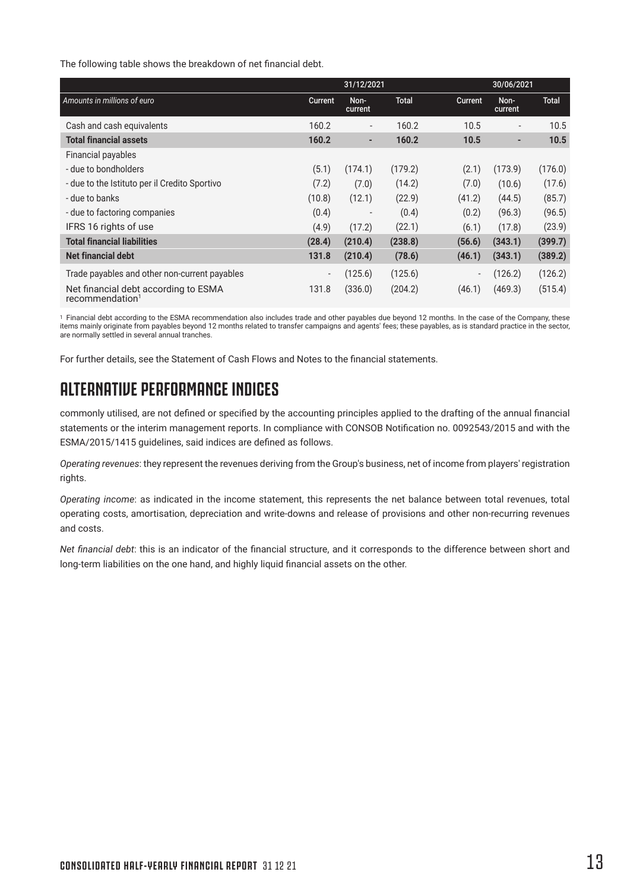The following table shows the breakdown of net financial debt.

|                                                                     |                          | 31/12/2021               |              |                          | 30/06/2021               |              |
|---------------------------------------------------------------------|--------------------------|--------------------------|--------------|--------------------------|--------------------------|--------------|
| Amounts in millions of euro                                         | <b>Current</b>           | Non-<br>current          | <b>Total</b> | Current                  | Non-<br>current          | <b>Total</b> |
| Cash and cash equivalents                                           | 160.2                    | $\overline{\phantom{a}}$ | 160.2        | 10.5                     | $\overline{\phantom{a}}$ | 10.5         |
| <b>Total financial assets</b>                                       | 160.2                    | ٠                        | 160.2        | 10.5                     | ٠                        | 10.5         |
| Financial payables                                                  |                          |                          |              |                          |                          |              |
| - due to bondholders                                                | (5.1)                    | (174.1)                  | (179.2)      | (2.1)                    | (173.9)                  | (176.0)      |
| - due to the Istituto per il Credito Sportivo                       | (7.2)                    | (7.0)                    | (14.2)       | (7.0)                    | (10.6)                   | (17.6)       |
| - due to banks                                                      | (10.8)                   | (12.1)                   | (22.9)       | (41.2)                   | (44.5)                   | (85.7)       |
| - due to factoring companies                                        | (0.4)                    | $\overline{\phantom{a}}$ | (0.4)        | (0.2)                    | (96.3)                   | (96.5)       |
| IFRS 16 rights of use                                               | (4.9)                    | (17.2)                   | (22.1)       | (6.1)                    | (17.8)                   | (23.9)       |
| <b>Total financial liabilities</b>                                  | (28.4)                   | (210.4)                  | (238.8)      | (56.6)                   | (343.1)                  | (399.7)      |
| <b>Net financial debt</b>                                           | 131.8                    | (210.4)                  | (78.6)       | (46.1)                   | (343.1)                  | (389.2)      |
| Trade payables and other non-current payables                       | $\overline{\phantom{a}}$ | (125.6)                  | (125.6)      | $\overline{\phantom{a}}$ | (126.2)                  | (126.2)      |
| Net financial debt according to ESMA<br>recommendation <sup>1</sup> | 131.8                    | (336.0)                  | (204.2)      | (46.1)                   | (469.3)                  | (515.4)      |

1 Financial debt according to the ESMA recommendation also includes trade and other payables due beyond 12 months. In the case of the Company, these items mainly originate from payables beyond 12 months related to transfer campaigns and agents' fees; these payables, as is standard practice in the sector, are normally settled in several annual tranches.

For further details, see the Statement of Cash Flows and Notes to the financial statements.

### **ALTERNATIVE PERFORMANCE INDICES**

commonly utilised, are not defined or specified by the accounting principles applied to the drafting of the annual financial statements or the interim management reports. In compliance with CONSOB Notification no. 0092543/2015 and with the ESMA/2015/1415 guidelines, said indices are defined as follows.

*Operating revenues*: they represent the revenues deriving from the Group's business, net of income from players' registration rights.

*Operating income*: as indicated in the income statement, this represents the net balance between total revenues, total operating costs, amortisation, depreciation and write-downs and release of provisions and other non-recurring revenues and costs.

*Net financial debt*: this is an indicator of the financial structure, and it corresponds to the difference between short and long-term liabilities on the one hand, and highly liquid financial assets on the other.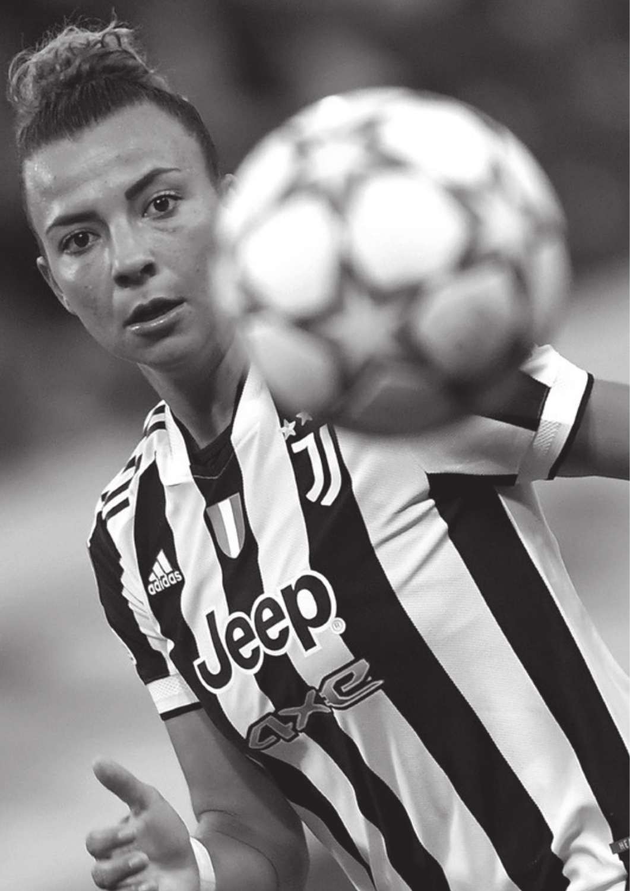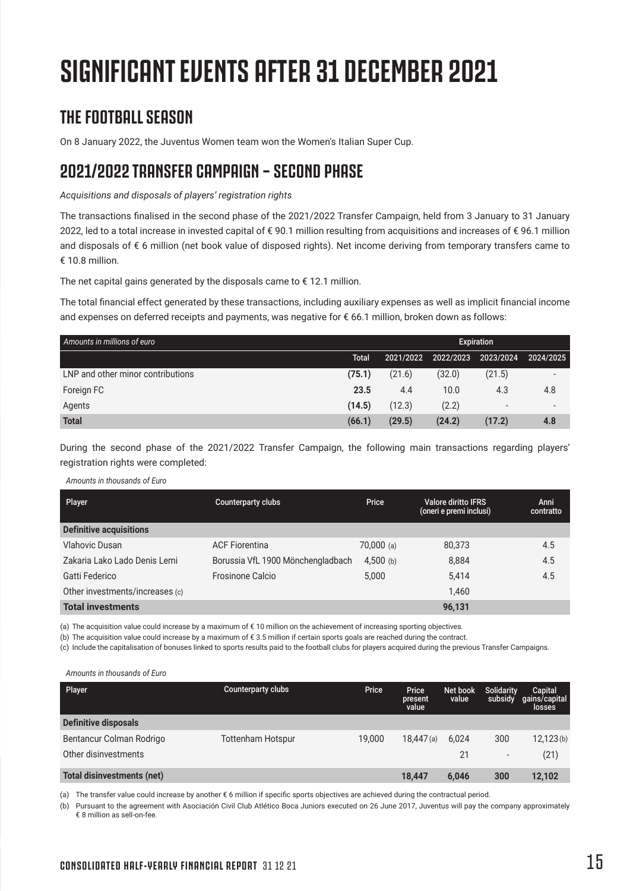## **SIGNIFICANT EVENTS AFTER 31 DECEMBER 2021**

## **THE FOOTBALL SEASON**

On 8 January 2022, the Juventus Women team won the Women's Italian Super Cup.

## **2021/2022 TRANSFER CAMPAIGN – SECOND PHASE**

*Acquisitions and disposals of players' registration rights*

The transactions finalised in the second phase of the 2021/2022 Transfer Campaign, held from 3 January to 31 January 2022, led to a total increase in invested capital of € 90.1 million resulting from acquisitions and increases of € 96.1 million and disposals of € 6 million (net book value of disposed rights). Net income deriving from temporary transfers came to € 10.8 million.

The net capital gains generated by the disposals came to  $\epsilon$  12.1 million.

The total financial effect generated by these transactions, including auxiliary expenses as well as implicit financial income and expenses on deferred receipts and payments, was negative for € 66.1 million, broken down as follows:

| Amounts in millions of euro       |              | <b>Expiration</b> |           |                          |                          |
|-----------------------------------|--------------|-------------------|-----------|--------------------------|--------------------------|
|                                   | <b>Total</b> | 2021/2022         | 2022/2023 | 2023/2024                | 2024/2025                |
| LNP and other minor contributions | (75.1)       | (21.6)            | (32.0)    | (21.5)                   | $\overline{\phantom{a}}$ |
| Foreign FC                        | 23.5         | 4.4               | 10.0      | 4.3                      | 4.8                      |
| Agents                            | (14.5)       | (12.3)            | (2.2)     | $\overline{\phantom{a}}$ | $\overline{\phantom{0}}$ |
| <b>Total</b>                      | (66.1)       | (29.5)            | (24.2)    | (17.2)                   | 4.8                      |

During the second phase of the 2021/2022 Transfer Campaign, the following main transactions regarding players' registration rights were completed:

*Amounts in thousands of Euro*

| Player                          | <b>Counterparty clubs</b>         | Price        | <b>Valore diritto IFRS</b><br>(oneri e premi inclusi) | Anni<br>contratto |
|---------------------------------|-----------------------------------|--------------|-------------------------------------------------------|-------------------|
| <b>Definitive acquisitions</b>  |                                   |              |                                                       |                   |
| Vlahovic Dusan                  | <b>ACF Fiorentina</b>             | $70,000$ (a) | 80,373                                                | 4.5               |
| Zakaria Lako Lado Denis Lemi    | Borussia VfL 1900 Mönchengladbach | $4,500$ (b)  | 8,884                                                 | 4.5               |
| Gatti Federico                  | Frosinone Calcio                  | 5.000        | 5.414                                                 | 4.5               |
| Other investments/increases (c) |                                   |              | 1.460                                                 |                   |
| <b>Total investments</b>        |                                   |              | 96,131                                                |                   |
|                                 |                                   |              |                                                       |                   |

(a) The acquisition value could increase by a maximum of € 10 million on the achievement of increasing sporting objectives.

(b) The acquisition value could increase by a maximum of € 3.5 million if certain sports goals are reached during the contract.

(c) Include the capitalisation of bonuses linked to sports results paid to the football clubs for players acquired during the previous Transfer Campaigns.

*Amounts in thousands of Euro*

| Player                      | Counterparty clubs       | <b>Price</b> | Price<br>present<br>value | Net book<br>value | Solidarity<br>subsidy    | Capital<br>gains/capital<br>losses |
|-----------------------------|--------------------------|--------------|---------------------------|-------------------|--------------------------|------------------------------------|
| <b>Definitive disposals</b> |                          |              |                           |                   |                          |                                    |
| Bentancur Colman Rodrigo    | <b>Tottenham Hotspur</b> | 19,000       | 18.447(a)                 | 6.024             | 300                      | 12,123(b)                          |
| Other disinvestments        |                          |              |                           | 21                | $\overline{\phantom{0}}$ | (21)                               |
| Total disinvestments (net)  |                          |              | 18,447                    | 6,046             | 300                      | 12,102                             |

(a) The transfer value could increase by another € 6 million if specific sports objectives are achieved during the contractual period.

(b) Pursuant to the agreement with Asociación Civil Club Atlético Boca Juniors executed on 26 June 2017, Juventus will pay the company approximately € 8 million as sell-on-fee.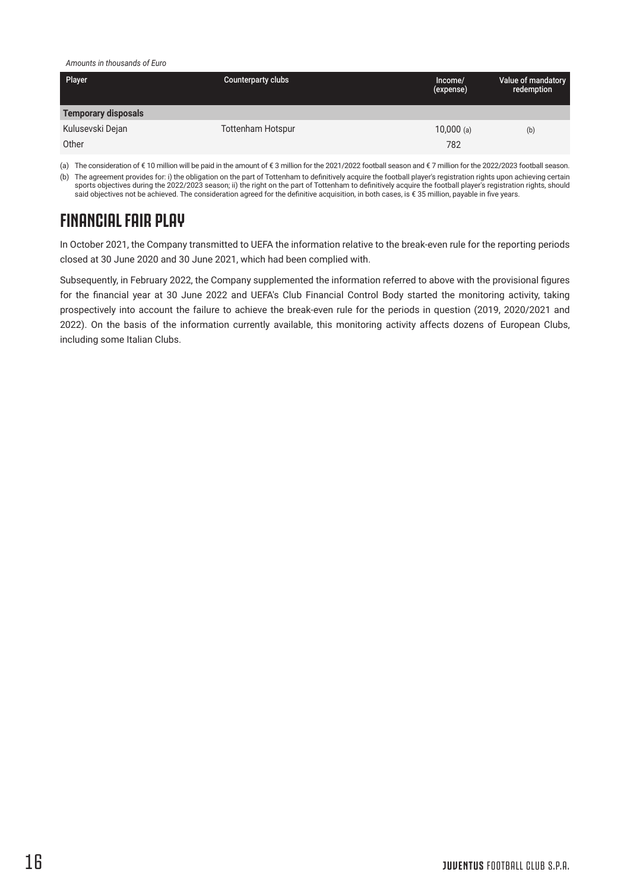*Amounts in thousands of Euro*

| <b>Player</b>              | Counterparty clubs       | lncome/<br>(expense) | Value of mandatory<br>redemption |
|----------------------------|--------------------------|----------------------|----------------------------------|
| <b>Temporary disposals</b> |                          |                      |                                  |
| Kulusevski Dejan           | <b>Tottenham Hotspur</b> | $10,000$ (a)         | (b)                              |
| Other                      |                          | 782                  |                                  |

- (a) The consideration of € 10 million will be paid in the amount of € 3 million for the 2021/2022 football season and € 7 million for the 2022/2023 football season.
- (b) The agreement provides for: i) the obligation on the part of Tottenham to definitively acquire the football player's registration rights upon achieving certain sports objectives during the 2022/2023 season; ii) the right on the part of Tottenham to definitively acquire the football player's registration rights, should said objectives not be achieved. The consideration agreed for the definitive acquisition, in both cases, is € 35 million, payable in five years.

### **FINANCIAL FAIR PLAY**

In October 2021, the Company transmitted to UEFA the information relative to the break-even rule for the reporting periods closed at 30 June 2020 and 30 June 2021, which had been complied with.

Subsequently, in February 2022, the Company supplemented the information referred to above with the provisional figures for the financial year at 30 June 2022 and UEFA's Club Financial Control Body started the monitoring activity, taking prospectively into account the failure to achieve the break-even rule for the periods in question (2019, 2020/2021 and 2022). On the basis of the information currently available, this monitoring activity affects dozens of European Clubs, including some Italian Clubs.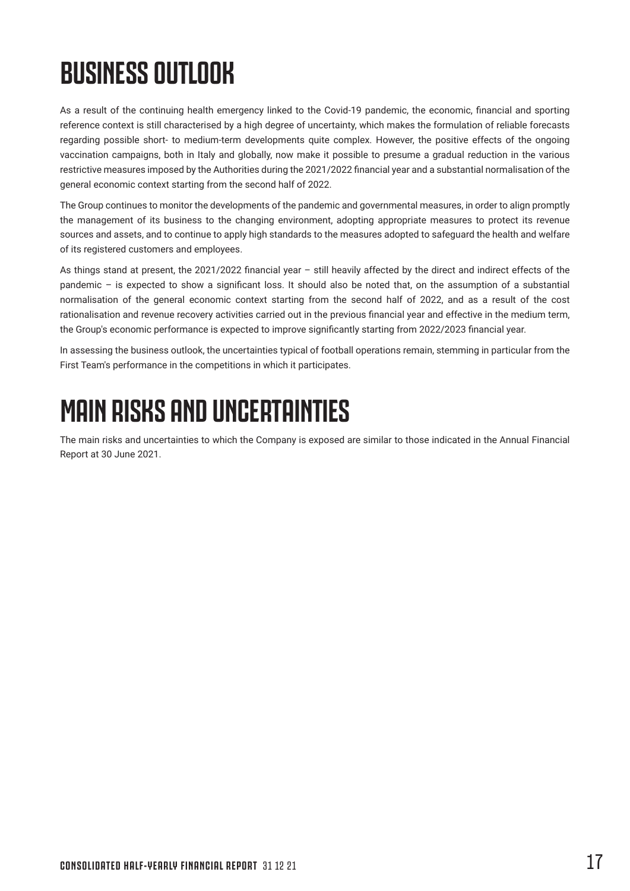## **BUSINESS OUTLOOK**

As a result of the continuing health emergency linked to the Covid-19 pandemic, the economic, financial and sporting reference context is still characterised by a high degree of uncertainty, which makes the formulation of reliable forecasts regarding possible short- to medium-term developments quite complex. However, the positive effects of the ongoing vaccination campaigns, both in Italy and globally, now make it possible to presume a gradual reduction in the various restrictive measures imposed by the Authorities during the 2021/2022 financial year and a substantial normalisation of the general economic context starting from the second half of 2022.

The Group continues to monitor the developments of the pandemic and governmental measures, in order to align promptly the management of its business to the changing environment, adopting appropriate measures to protect its revenue sources and assets, and to continue to apply high standards to the measures adopted to safeguard the health and welfare of its registered customers and employees.

As things stand at present, the 2021/2022 financial year – still heavily affected by the direct and indirect effects of the pandemic – is expected to show a significant loss. It should also be noted that, on the assumption of a substantial normalisation of the general economic context starting from the second half of 2022, and as a result of the cost rationalisation and revenue recovery activities carried out in the previous financial year and effective in the medium term, the Group's economic performance is expected to improve significantly starting from 2022/2023 financial year.

In assessing the business outlook, the uncertainties typical of football operations remain, stemming in particular from the First Team's performance in the competitions in which it participates.

## **MAIN RISKS AND UNCERTAINTIES**

The main risks and uncertainties to which the Company is exposed are similar to those indicated in the Annual Financial Report at 30 June 2021.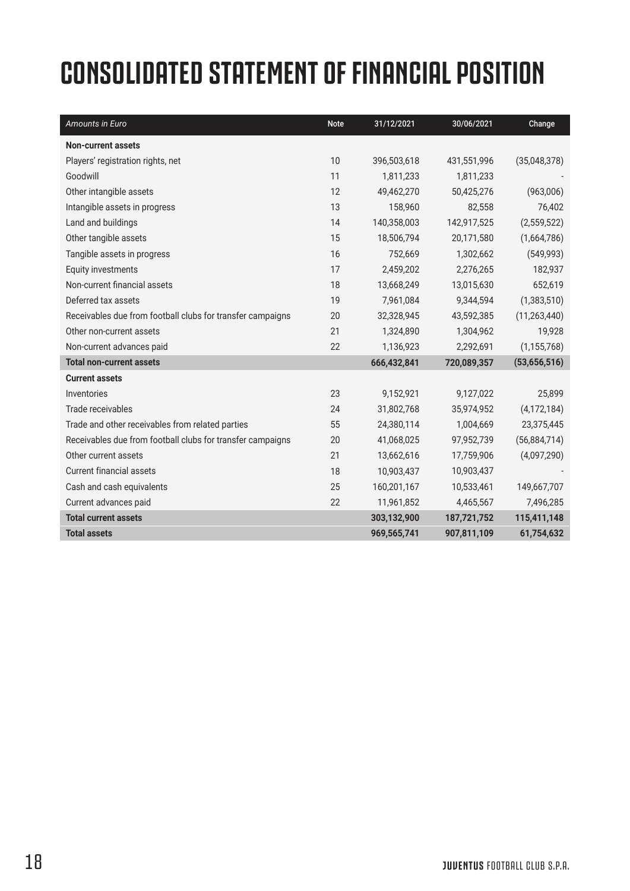## **CONSOLIDATED STATEMENT OF FINANCIAL POSITION**

| Amounts in Euro                                            | <b>Note</b> | 31/12/2021  | 30/06/2021  | Change         |
|------------------------------------------------------------|-------------|-------------|-------------|----------------|
| <b>Non-current assets</b>                                  |             |             |             |                |
| Players' registration rights, net                          | 10          | 396,503,618 | 431,551,996 | (35,048,378)   |
| Goodwill                                                   | 11          | 1,811,233   | 1,811,233   |                |
| Other intangible assets                                    | 12          | 49,462,270  | 50,425,276  | (963,006)      |
| Intangible assets in progress                              | 13          | 158,960     | 82,558      | 76,402         |
| Land and buildings                                         | 14          | 140,358,003 | 142,917,525 | (2,559,522)    |
| Other tangible assets                                      | 15          | 18,506,794  | 20,171,580  | (1,664,786)    |
| Tangible assets in progress                                | 16          | 752,669     | 1,302,662   | (549, 993)     |
| <b>Equity investments</b>                                  | 17          | 2,459,202   | 2,276,265   | 182,937        |
| Non-current financial assets                               | 18          | 13,668,249  | 13,015,630  | 652,619        |
| Deferred tax assets                                        | 19          | 7,961,084   | 9,344,594   | (1,383,510)    |
| Receivables due from football clubs for transfer campaigns | 20          | 32,328,945  | 43,592,385  | (11, 263, 440) |
| Other non-current assets                                   | 21          | 1,324,890   | 1,304,962   | 19,928         |
| Non-current advances paid                                  | 22          | 1,136,923   | 2,292,691   | (1, 155, 768)  |
| <b>Total non-current assets</b>                            |             | 666,432,841 | 720,089,357 | (53,656,516)   |
| <b>Current assets</b>                                      |             |             |             |                |
| Inventories                                                | 23          | 9,152,921   | 9,127,022   | 25,899         |
| Trade receivables                                          | 24          | 31,802,768  | 35,974,952  | (4, 172, 184)  |
| Trade and other receivables from related parties           | 55          | 24,380,114  | 1,004,669   | 23,375,445     |
| Receivables due from football clubs for transfer campaigns | 20          | 41,068,025  | 97,952,739  | (56,884,714)   |
| Other current assets                                       | 21          | 13,662,616  | 17,759,906  | (4,097,290)    |
| Current financial assets                                   | 18          | 10,903,437  | 10,903,437  |                |
| Cash and cash equivalents                                  | 25          | 160,201,167 | 10,533,461  | 149,667,707    |
| Current advances paid                                      | 22          | 11,961,852  | 4,465,567   | 7,496,285      |
| <b>Total current assets</b>                                |             | 303,132,900 | 187,721,752 | 115,411,148    |
| <b>Total assets</b>                                        |             | 969,565,741 | 907,811,109 | 61,754,632     |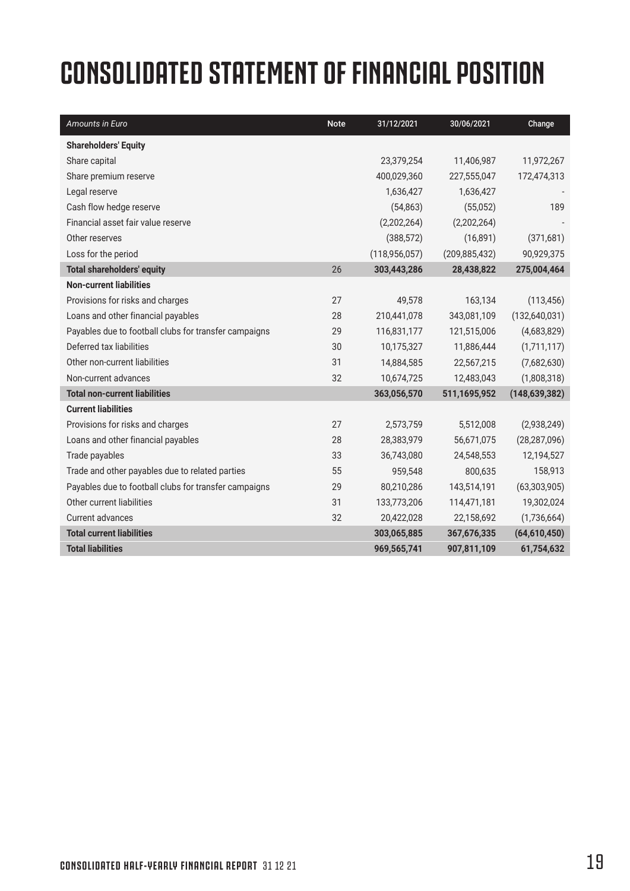## **CONSOLIDATED STATEMENT OF FINANCIAL POSITION**

| Amounts in Euro                                       | <b>Note</b> | 31/12/2021    | 30/06/2021      | Change          |
|-------------------------------------------------------|-------------|---------------|-----------------|-----------------|
| <b>Shareholders' Equity</b>                           |             |               |                 |                 |
| Share capital                                         |             | 23,379,254    | 11,406,987      | 11,972,267      |
| Share premium reserve                                 |             | 400,029,360   | 227,555,047     | 172,474,313     |
| Legal reserve                                         |             | 1,636,427     | 1,636,427       |                 |
| Cash flow hedge reserve                               |             | (54, 863)     | (55,052)        | 189             |
| Financial asset fair value reserve                    |             | (2,202,264)   | (2,202,264)     |                 |
| Other reserves                                        |             | (388, 572)    | (16,891)        | (371,681)       |
| Loss for the period                                   |             | (118,956,057) | (209, 885, 432) | 90,929,375      |
| <b>Total shareholders' equity</b>                     | 26          | 303,443,286   | 28,438,822      | 275,004,464     |
| <b>Non-current liabilities</b>                        |             |               |                 |                 |
| Provisions for risks and charges                      | 27          | 49,578        | 163,134         | (113, 456)      |
| Loans and other financial payables                    | 28          | 210,441,078   | 343,081,109     | (132, 640, 031) |
| Payables due to football clubs for transfer campaigns | 29          | 116,831,177   | 121,515,006     | (4,683,829)     |
| Deferred tax liabilities                              | 30          | 10,175,327    | 11,886,444      | (1,711,117)     |
| Other non-current liabilities                         | 31          | 14,884,585    | 22,567,215      | (7,682,630)     |
| Non-current advances                                  | 32          | 10,674,725    | 12,483,043      | (1,808,318)     |
| <b>Total non-current liabilities</b>                  |             | 363,056,570   | 511,1695,952    | (148, 639, 382) |
| <b>Current liabilities</b>                            |             |               |                 |                 |
| Provisions for risks and charges                      | 27          | 2,573,759     | 5,512,008       | (2,938,249)     |
| Loans and other financial payables                    | 28          | 28,383,979    | 56,671,075      | (28, 287, 096)  |
| Trade payables                                        | 33          | 36,743,080    | 24,548,553      | 12,194,527      |
| Trade and other payables due to related parties       | 55          | 959,548       | 800,635         | 158,913         |
| Payables due to football clubs for transfer campaigns | 29          | 80,210,286    | 143,514,191     | (63,303,905)    |
| Other current liabilities                             | 31          | 133,773,206   | 114,471,181     | 19,302,024      |
| Current advances                                      | 32          | 20,422,028    | 22,158,692      | (1,736,664)     |
| <b>Total current liabilities</b>                      |             | 303,065,885   | 367,676,335     | (64, 610, 450)  |
| <b>Total liabilities</b>                              |             | 969,565,741   | 907,811,109     | 61,754,632      |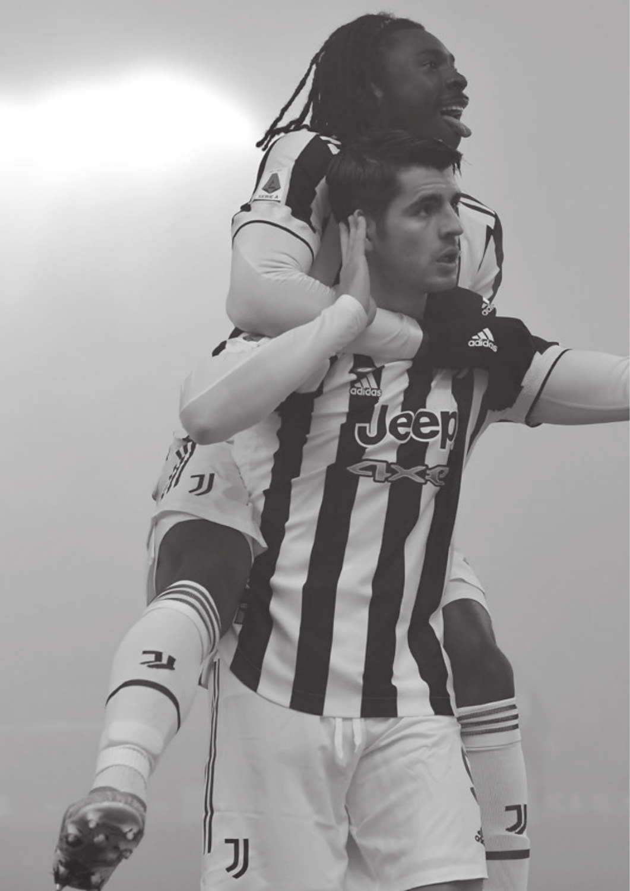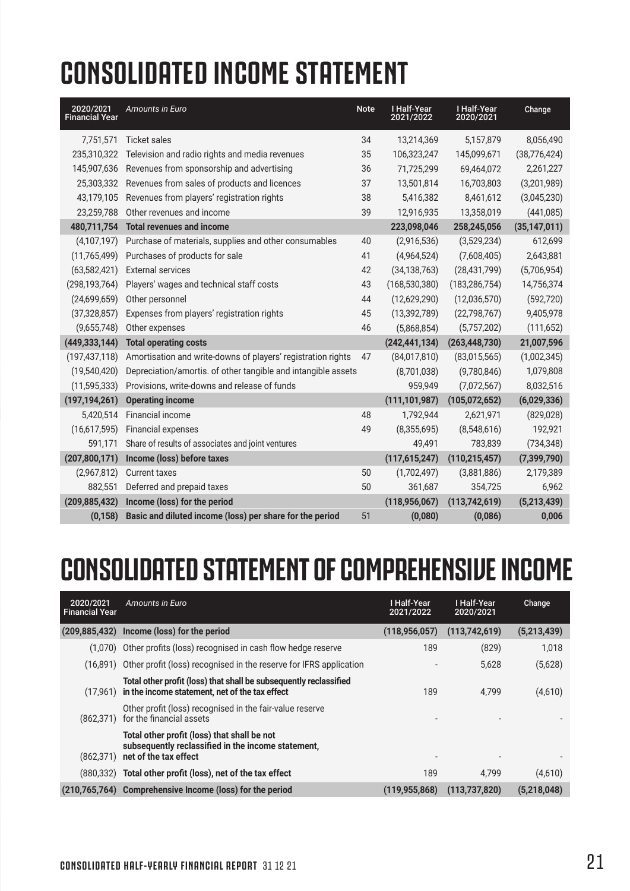## **CONSOLIDATED INCOME STATEMENT**

| 2020/2021<br><b>Financial Year</b> | Amounts in Euro                                               | <b>Note</b> | I Half-Year<br>2021/2022 | I Half-Year<br>2020/2021 | Change         |
|------------------------------------|---------------------------------------------------------------|-------------|--------------------------|--------------------------|----------------|
| 7,751,571                          | <b>Ticket sales</b>                                           | 34          | 13,214,369               | 5,157,879                | 8,056,490      |
| 235,310,322                        | Television and radio rights and media revenues                | 35          | 106,323,247              | 145,099,671              | (38, 776, 424) |
| 145,907,636                        | Revenues from sponsorship and advertising                     | 36          | 71,725,299               | 69,464,072               | 2,261,227      |
| 25,303,332                         | Revenues from sales of products and licences                  | 37          | 13,501,814               | 16,703,803               | (3,201,989)    |
| 43,179,105                         | Revenues from players' registration rights                    | 38          | 5,416,382                | 8,461,612                | (3,045,230)    |
| 23,259,788                         | Other revenues and income                                     | 39          | 12,916,935               | 13,358,019               | (441, 085)     |
| 480,711,754                        | <b>Total revenues and income</b>                              |             | 223,098,046              | 258,245,056              | (35, 147, 011) |
| (4,107,197)                        | Purchase of materials, supplies and other consumables         | 40          | (2,916,536)              | (3,529,234)              | 612,699        |
| (11,765,499)                       | Purchases of products for sale                                | 41          | (4,964,524)              | (7,608,405)              | 2,643,881      |
| (63, 582, 421)                     | <b>External services</b>                                      | 42          | (34, 138, 763)           | (28, 431, 799)           | (5,706,954)    |
| (298, 193, 764)                    | Players' wages and technical staff costs                      | 43          | (168, 530, 380)          | (183, 286, 754)          | 14,756,374     |
| (24,699,659)                       | Other personnel                                               | 44          | (12,629,290)             | (12,036,570)             | (592,720)      |
| (37,328,857)                       | Expenses from players' registration rights                    | 45          | (13,392,789)             | (22,798,767)             | 9,405,978      |
| (9,655,748)                        | Other expenses                                                | 46          | (5,868,854)              | (5,757,202)              | (111, 652)     |
| (449, 333, 144)                    | <b>Total operating costs</b>                                  |             | (242, 441, 134)          | (263, 448, 730)          | 21,007,596     |
| (197, 437, 118)                    | Amortisation and write-downs of players' registration rights  | 47          | (84,017,810)             | (83,015,565)             | (1,002,345)    |
| (19,540,420)                       | Depreciation/amortis. of other tangible and intangible assets |             | (8,701,038)              | (9,780,846)              | 1,079,808      |
| (11, 595, 333)                     | Provisions, write-downs and release of funds                  |             | 959.949                  | (7,072,567)              | 8,032,516      |
| (197, 194, 261)                    | <b>Operating income</b>                                       |             | (111, 101, 987)          | (105, 072, 652)          | (6,029,336)    |
| 5,420,514                          | <b>Financial income</b>                                       | 48          | 1,792,944                | 2,621,971                | (829, 028)     |
| (16,617,595)                       | <b>Financial expenses</b>                                     | 49          | (8,355,695)              | (8,548,616)              | 192,921        |
| 591,171                            | Share of results of associates and joint ventures             |             | 49.491                   | 783,839                  | (734, 348)     |
| (207, 800, 171)                    | Income (loss) before taxes                                    |             | (117, 615, 247)          | (110, 215, 457)          | (7, 399, 790)  |
| (2,967,812)                        | <b>Current taxes</b>                                          | 50          | (1,702,497)              | (3,881,886)              | 2,179,389      |
| 882.551                            | Deferred and prepaid taxes                                    | 50          | 361,687                  | 354,725                  | 6,962          |
| (209, 885, 432)                    | Income (loss) for the period                                  |             | (118,956,067)            | (113,742,619)            | (5,213,439)    |
| (0, 158)                           | Basic and diluted income (loss) per share for the period      | 51          | (0,080)                  | (0,086)                  | 0,006          |

## **CONSOLIDATED STATEMENT OF COMPREHENSIVE INCOME**

| 2020/2021<br><b>Financial Year</b> | <b>Amounts in Euro</b>                                                                                                       | I Half-Year<br>2021/2022 | I Half-Year<br>2020/2021 | Change      |
|------------------------------------|------------------------------------------------------------------------------------------------------------------------------|--------------------------|--------------------------|-------------|
|                                    | (209,885,432) Income (loss) for the period                                                                                   | (118, 956, 057)          | (113,742,619)            | (5,213,439) |
| (1.070)                            | Other profits (loss) recognised in cash flow hedge reserve                                                                   | 189                      | (829)                    | 1,018       |
| (16.891)                           | Other profit (loss) recognised in the reserve for IFRS application                                                           |                          | 5,628                    | (5,628)     |
|                                    | Total other profit (loss) that shall be subsequently reclassified<br>(17,961) in the income statement, net of the tax effect | 189                      | 4.799                    | (4,610)     |
|                                    | Other profit (loss) recognised in the fair-value reserve<br>(862,371) for the financial assets                               |                          |                          |             |
| (862, 371)                         | Total other profit (loss) that shall be not<br>subsequently reclassified in the income statement,<br>net of the tax effect   |                          |                          |             |
|                                    | (880,332) Total other profit (loss), net of the tax effect                                                                   | 189                      | 4.799                    | (4,610)     |
|                                    | (210,765,764) Comprehensive Income (loss) for the period                                                                     | (119, 955, 868)          | (113,737,820)            | (5,218,048) |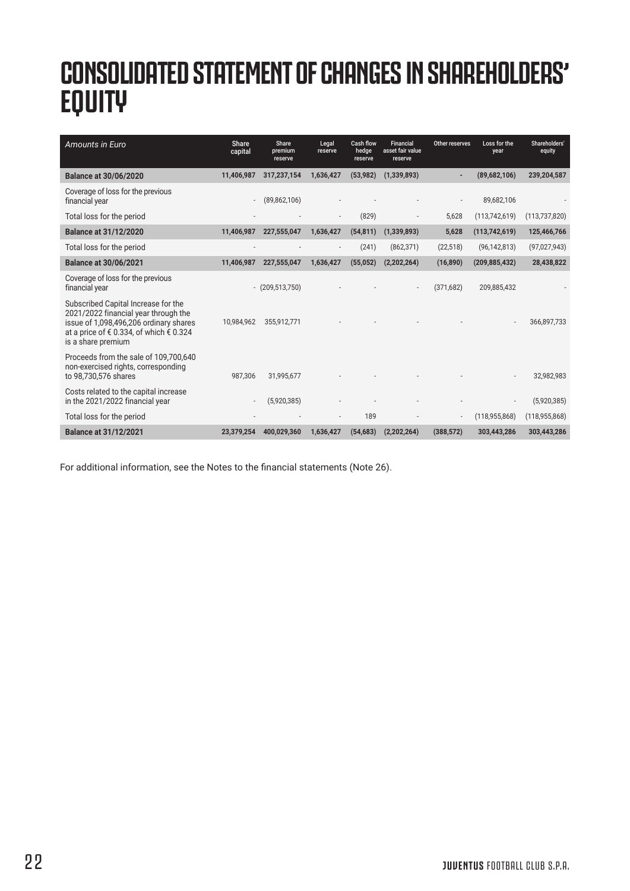## **CONSOLIDATED STATEMENT OF CHANGES IN SHAREHOLDERS' EQUITY**

| <b>Amounts in Euro</b>                                                                                                                                                                   | Share<br>capital | Share<br>premium<br>reserve | Legal<br>reserve | <b>Cash flow</b><br>hedge<br>reserve | Financial<br>asset fair value<br>reserve | Other reserves | Loss for the<br>year | Shareholders'<br>equity |
|------------------------------------------------------------------------------------------------------------------------------------------------------------------------------------------|------------------|-----------------------------|------------------|--------------------------------------|------------------------------------------|----------------|----------------------|-------------------------|
| <b>Balance at 30/06/2020</b>                                                                                                                                                             | 11,406,987       | 317,237,154                 | 1,636,427        | (53,982)                             | (1,339,893)                              |                | (89,682,106)         | 239,204,587             |
| Coverage of loss for the previous<br>financial year                                                                                                                                      | $\overline{a}$   | (89, 862, 106)              |                  |                                      |                                          |                | 89,682,106           |                         |
| Total loss for the period                                                                                                                                                                |                  |                             |                  | (829)                                |                                          | 5,628          | (113,742,619)        | (113,737,820)           |
| <b>Balance at 31/12/2020</b>                                                                                                                                                             | 11,406,987       | 227,555,047                 | 1,636,427        | (54, 811)                            | (1, 339, 893)                            | 5,628          | (113, 742, 619)      | 125,466,766             |
| Total loss for the period                                                                                                                                                                |                  |                             |                  | (241)                                | (862, 371)                               | (22, 518)      | (96, 142, 813)       | (97,027,943)            |
| <b>Balance at 30/06/2021</b>                                                                                                                                                             | 11,406,987       | 227,555,047                 | 1,636,427        | (55,052)                             | (2,202,264)                              | (16, 890)      | (209, 885, 432)      | 28,438,822              |
| Coverage of loss for the previous<br>financial year                                                                                                                                      |                  | $-(209,513,750)$            |                  |                                      |                                          | (371, 682)     | 209,885,432          |                         |
| Subscribed Capital Increase for the<br>2021/2022 financial year through the<br>issue of 1,098,496,206 ordinary shares<br>at a price of € 0.334, of which $€$ 0.324<br>is a share premium | 10,984,962       | 355.912.771                 |                  |                                      |                                          |                |                      | 366,897,733             |
| Proceeds from the sale of 109,700,640<br>non-exercised rights, corresponding<br>to 98.730.576 shares                                                                                     | 987.306          | 31.995.677                  |                  |                                      |                                          |                |                      | 32,982,983              |
| Costs related to the capital increase<br>in the 2021/2022 financial year                                                                                                                 |                  | (5,920,385)                 |                  |                                      |                                          |                |                      | (5,920,385)             |
| Total loss for the period                                                                                                                                                                |                  |                             |                  | 189                                  |                                          |                | (118,955,868)        | (118,955,868)           |
| <b>Balance at 31/12/2021</b>                                                                                                                                                             | 23,379,254       | 400,029,360                 | 1,636,427        | (54, 683)                            | (2,202,264)                              | (388, 572)     | 303,443,286          | 303,443,286             |

For additional information, see the Notes to the financial statements (Note 26).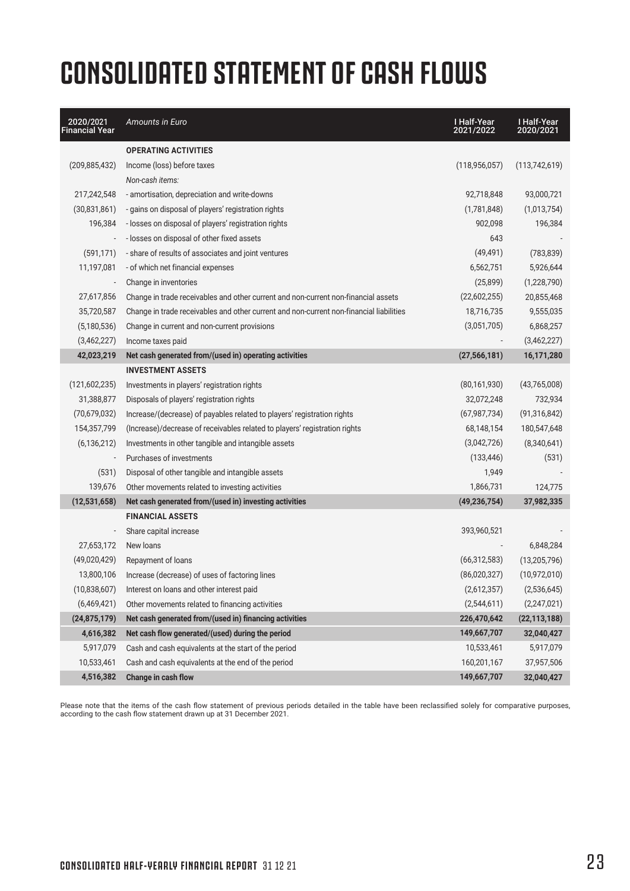## **CONSOLIDATED STATEMENT OF CASH FLOWS**

| 2020/2021<br><b>Financial Year</b> | Amounts in Euro                                                                         | I Half-Year<br>2021/2022 | I Half-Year<br>2020/2021 |
|------------------------------------|-----------------------------------------------------------------------------------------|--------------------------|--------------------------|
|                                    | <b>OPERATING ACTIVITIES</b>                                                             |                          |                          |
| (209, 885, 432)                    | Income (loss) before taxes                                                              | (118,956,057)            | (113,742,619)            |
|                                    | Non-cash items:                                                                         |                          |                          |
| 217,242,548                        | - amortisation, depreciation and write-downs                                            | 92,718,848               | 93,000,721               |
| (30, 831, 861)                     | - gains on disposal of players' registration rights                                     | (1,781,848)              | (1,013,754)              |
| 196,384                            | - losses on disposal of players' registration rights                                    | 902,098                  | 196,384                  |
|                                    | - losses on disposal of other fixed assets                                              | 643                      |                          |
| (591, 171)                         | - share of results of associates and joint ventures                                     | (49, 491)                | (783, 839)               |
| 11,197,081                         | - of which net financial expenses                                                       | 6,562,751                | 5,926,644                |
|                                    | Change in inventories                                                                   | (25,899)                 | (1,228,790)              |
| 27,617,856                         | Change in trade receivables and other current and non-current non-financial assets      | (22,602,255)             | 20,855,468               |
| 35,720,587                         | Change in trade receivables and other current and non-current non-financial liabilities | 18,716,735               | 9,555,035                |
| (5,180,536)                        | Change in current and non-current provisions                                            | (3,051,705)              | 6,868,257                |
| (3,462,227)                        | Income taxes paid                                                                       |                          | (3,462,227)              |
| 42,023,219                         | Net cash generated from/(used in) operating activities                                  | (27, 566, 181)           | 16,171,280               |
|                                    | <b>INVESTMENT ASSETS</b>                                                                |                          |                          |
| (121,602,235)                      | Investments in players' registration rights                                             | (80, 161, 930)           | (43,765,008)             |
| 31,388,877                         | Disposals of players' registration rights                                               | 32,072,248               | 732,934                  |
| (70,679,032)                       | Increase/(decrease) of payables related to players' registration rights                 | (67, 987, 734)           | (91, 316, 842)           |
| 154,357,799                        | (Increase)/decrease of receivables related to players' registration rights              | 68,148,154               | 180,547,648              |
| (6, 136, 212)                      | Investments in other tangible and intangible assets                                     | (3,042,726)              | (8,340,641)              |
|                                    | Purchases of investments                                                                | (133, 446)               | (531)                    |
| (531)                              | Disposal of other tangible and intangible assets                                        | 1,949                    |                          |
| 139,676                            | Other movements related to investing activities                                         | 1,866,731                | 124,775                  |
| (12, 531, 658)                     | Net cash generated from/(used in) investing activities                                  | (49, 236, 754)           | 37,982,335               |
|                                    | <b>FINANCIAL ASSETS</b>                                                                 |                          |                          |
|                                    | Share capital increase                                                                  | 393,960,521              |                          |
| 27,653,172                         | New loans                                                                               |                          | 6,848,284                |
| (49,020,429)                       | Repayment of loans                                                                      | (66, 312, 583)           | (13,205,796)             |
| 13,800,106                         | Increase (decrease) of uses of factoring lines                                          | (86,020,327)             | (10,972,010)             |
| (10,838,607)                       | Interest on loans and other interest paid                                               | (2,612,357)              | (2,536,645)              |
| (6,469,421)                        | Other movements related to financing activities                                         | (2,544,611)              | (2,247,021)              |
| (24, 875, 179)                     | Net cash generated from/(used in) financing activities                                  | 226,470,642              | (22, 113, 188)           |
| 4,616,382                          | Net cash flow generated/(used) during the period                                        | 149,667,707              | 32,040,427               |
| 5,917,079                          | Cash and cash equivalents at the start of the period                                    | 10,533,461               | 5,917,079                |
| 10,533,461                         | Cash and cash equivalents at the end of the period                                      | 160,201,167              | 37,957,506               |
| 4,516,382                          | Change in cash flow                                                                     | 149,667,707              | 32,040,427               |

Please note that the items of the cash flow statement of previous periods detailed in the table have been reclassified solely for comparative purposes, according to the cash flow statement drawn up at 31 December 2021.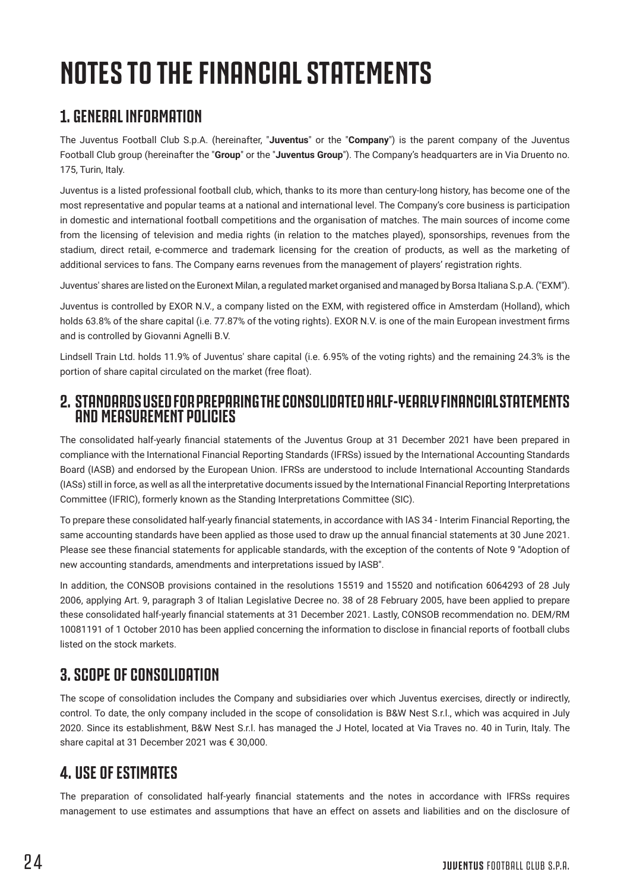## **NOTES TO THE FINANCIAL STATEMENTS**

### **1. GENERAL INFORMATION**

The Juventus Football Club S.p.A. (hereinafter, "**Juventus**" or the "**Company**") is the parent company of the Juventus Football Club group (hereinafter the "**Group**" or the "**Juventus Group**"). The Company's headquarters are in Via Druento no. 175, Turin, Italy.

Juventus is a listed professional football club, which, thanks to its more than century-long history, has become one of the most representative and popular teams at a national and international level. The Company's core business is participation in domestic and international football competitions and the organisation of matches. The main sources of income come from the licensing of television and media rights (in relation to the matches played), sponsorships, revenues from the stadium, direct retail, e-commerce and trademark licensing for the creation of products, as well as the marketing of additional services to fans. The Company earns revenues from the management of players' registration rights.

Juventus' shares are listed on the Euronext Milan, a regulated market organised and managed by Borsa Italiana S.p.A. ("EXM").

Juventus is controlled by EXOR N.V., a company listed on the EXM, with registered office in Amsterdam (Holland), which holds 63.8% of the share capital (i.e. 77.87% of the voting rights). EXOR N.V. is one of the main European investment firms and is controlled by Giovanni Agnelli B.V.

Lindsell Train Ltd. holds 11.9% of Juventus' share capital (i.e. 6.95% of the voting rights) and the remaining 24.3% is the portion of share capital circulated on the market (free float).

#### **2. STANDARDS USED FOR PREPARING THE CONSOLIDATED HALF-YEARLY FINANCIAL STATEMENTS AND MEASUREMENT POLICIES**

The consolidated half-yearly financial statements of the Juventus Group at 31 December 2021 have been prepared in compliance with the International Financial Reporting Standards (IFRSs) issued by the International Accounting Standards Board (IASB) and endorsed by the European Union. IFRSs are understood to include International Accounting Standards (IASs) still in force, as well as all the interpretative documents issued by the International Financial Reporting Interpretations Committee (IFRIC), formerly known as the Standing Interpretations Committee (SIC).

To prepare these consolidated half-yearly financial statements, in accordance with IAS 34 - Interim Financial Reporting, the same accounting standards have been applied as those used to draw up the annual financial statements at 30 June 2021. Please see these financial statements for applicable standards, with the exception of the contents of Note 9 "Adoption of new accounting standards, amendments and interpretations issued by IASB".

In addition, the CONSOB provisions contained in the resolutions 15519 and 15520 and notification 6064293 of 28 July 2006, applying Art. 9, paragraph 3 of Italian Legislative Decree no. 38 of 28 February 2005, have been applied to prepare these consolidated half-yearly financial statements at 31 December 2021. Lastly, CONSOB recommendation no. DEM/RM 10081191 of 1 October 2010 has been applied concerning the information to disclose in financial reports of football clubs listed on the stock markets.

### **3. SCOPE OF CONSOLIDATION**

The scope of consolidation includes the Company and subsidiaries over which Juventus exercises, directly or indirectly, control. To date, the only company included in the scope of consolidation is B&W Nest S.r.l., which was acquired in July 2020. Since its establishment, B&W Nest S.r.l. has managed the J Hotel, located at Via Traves no. 40 in Turin, Italy. The share capital at 31 December 2021 was € 30,000.

### **4. USE OF ESTIMATES**

The preparation of consolidated half-yearly financial statements and the notes in accordance with IFRSs requires management to use estimates and assumptions that have an effect on assets and liabilities and on the disclosure of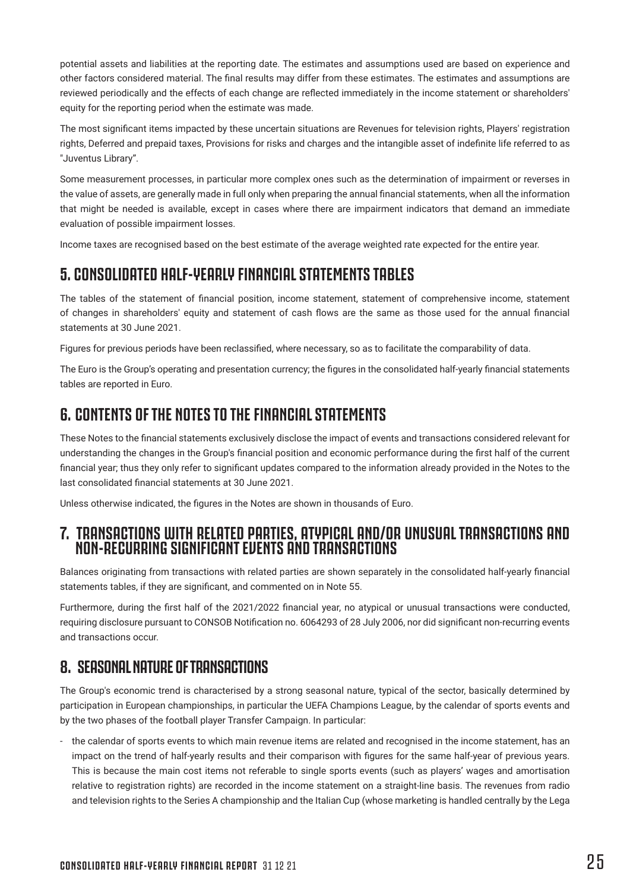potential assets and liabilities at the reporting date. The estimates and assumptions used are based on experience and other factors considered material. The final results may differ from these estimates. The estimates and assumptions are reviewed periodically and the effects of each change are reflected immediately in the income statement or shareholders' equity for the reporting period when the estimate was made.

The most significant items impacted by these uncertain situations are Revenues for television rights, Players' registration rights, Deferred and prepaid taxes, Provisions for risks and charges and the intangible asset of indefinite life referred to as "Juventus Library".

Some measurement processes, in particular more complex ones such as the determination of impairment or reverses in the value of assets, are generally made in full only when preparing the annual financial statements, when all the information that might be needed is available, except in cases where there are impairment indicators that demand an immediate evaluation of possible impairment losses.

Income taxes are recognised based on the best estimate of the average weighted rate expected for the entire year.

### **5. CONSOLIDATED HALF-YEARLY FINANCIAL STATEMENTS TABLES**

The tables of the statement of financial position, income statement, statement of comprehensive income, statement of changes in shareholders' equity and statement of cash flows are the same as those used for the annual financial statements at 30 June 2021.

Figures for previous periods have been reclassified, where necessary, so as to facilitate the comparability of data.

The Euro is the Group's operating and presentation currency; the figures in the consolidated half-yearly financial statements tables are reported in Euro.

#### **6. CONTENTS OF THE NOTES TO THE FINANCIAL STATEMENTS**

These Notes to the financial statements exclusively disclose the impact of events and transactions considered relevant for understanding the changes in the Group's financial position and economic performance during the first half of the current financial year; thus they only refer to significant updates compared to the information already provided in the Notes to the last consolidated financial statements at 30 June 2021.

Unless otherwise indicated, the figures in the Notes are shown in thousands of Euro.

#### **7. TRANSACTIONS WITH RELATED PARTIES, ATYPICAL AND/OR UNUSUAL TRANSACTIONS AND NON-RECURRING SIGNIFICANT EVENTS AND TRANSACTIONS**

Balances originating from transactions with related parties are shown separately in the consolidated half-yearly financial statements tables, if they are significant, and commented on in Note 55.

Furthermore, during the first half of the 2021/2022 financial year, no atypical or unusual transactions were conducted, requiring disclosure pursuant to CONSOB Notification no. 6064293 of 28 July 2006, nor did significant non-recurring events and transactions occur.

#### **8. SEASONAL NATURE OF TRANSACTIONS**

The Group's economic trend is characterised by a strong seasonal nature, typical of the sector, basically determined by participation in European championships, in particular the UEFA Champions League, by the calendar of sports events and by the two phases of the football player Transfer Campaign. In particular:

- the calendar of sports events to which main revenue items are related and recognised in the income statement, has an impact on the trend of half-yearly results and their comparison with figures for the same half-year of previous years. This is because the main cost items not referable to single sports events (such as players' wages and amortisation relative to registration rights) are recorded in the income statement on a straight-line basis. The revenues from radio and television rights to the Series A championship and the Italian Cup (whose marketing is handled centrally by the Lega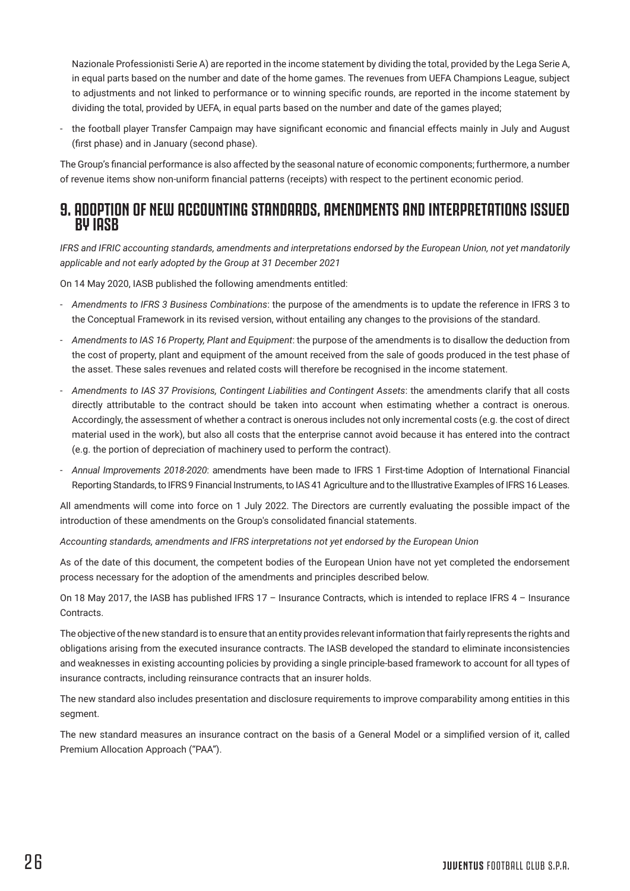Nazionale Professionisti Serie A) are reported in the income statement by dividing the total, provided by the Lega Serie A, in equal parts based on the number and date of the home games. The revenues from UEFA Champions League, subject to adjustments and not linked to performance or to winning specific rounds, are reported in the income statement by dividing the total, provided by UEFA, in equal parts based on the number and date of the games played;

- the football player Transfer Campaign may have significant economic and financial effects mainly in July and August (first phase) and in January (second phase).

The Group's financial performance is also affected by the seasonal nature of economic components; furthermore, a number of revenue items show non-uniform financial patterns (receipts) with respect to the pertinent economic period.

#### **9. ADOPTION OF NEW ACCOUNTING STANDARDS, AMENDMENTS AND INTERPRETATIONS ISSUED BY IASB**

*IFRS and IFRIC accounting standards, amendments and interpretations endorsed by the European Union, not yet mandatorily applicable and not early adopted by the Group at 31 December 2021*

On 14 May 2020, IASB published the following amendments entitled:

- *Amendments to IFRS 3 Business Combinations*: the purpose of the amendments is to update the reference in IFRS 3 to the Conceptual Framework in its revised version, without entailing any changes to the provisions of the standard.
- *Amendments to IAS 16 Property, Plant and Equipment*: the purpose of the amendments is to disallow the deduction from the cost of property, plant and equipment of the amount received from the sale of goods produced in the test phase of the asset. These sales revenues and related costs will therefore be recognised in the income statement.
- *Amendments to IAS 37 Provisions, Contingent Liabilities and Contingent Assets*: the amendments clarify that all costs directly attributable to the contract should be taken into account when estimating whether a contract is onerous. Accordingly, the assessment of whether a contract is onerous includes not only incremental costs (e.g. the cost of direct material used in the work), but also all costs that the enterprise cannot avoid because it has entered into the contract (e.g. the portion of depreciation of machinery used to perform the contract).
- *Annual Improvements 2018-2020*: amendments have been made to IFRS 1 First-time Adoption of International Financial Reporting Standards, to IFRS 9 Financial Instruments, to IAS 41 Agriculture and to the Illustrative Examples of IFRS 16 Leases.

All amendments will come into force on 1 July 2022. The Directors are currently evaluating the possible impact of the introduction of these amendments on the Group's consolidated financial statements.

*Accounting standards, amendments and IFRS interpretations not yet endorsed by the European Union*

As of the date of this document, the competent bodies of the European Union have not yet completed the endorsement process necessary for the adoption of the amendments and principles described below.

On 18 May 2017, the IASB has published IFRS 17 – Insurance Contracts, which is intended to replace IFRS 4 – Insurance Contracts.

The objective of the new standard is to ensure that an entity provides relevant information that fairly represents the rights and obligations arising from the executed insurance contracts. The IASB developed the standard to eliminate inconsistencies and weaknesses in existing accounting policies by providing a single principle-based framework to account for all types of insurance contracts, including reinsurance contracts that an insurer holds.

The new standard also includes presentation and disclosure requirements to improve comparability among entities in this segment.

The new standard measures an insurance contract on the basis of a General Model or a simplified version of it, called Premium Allocation Approach ("PAA").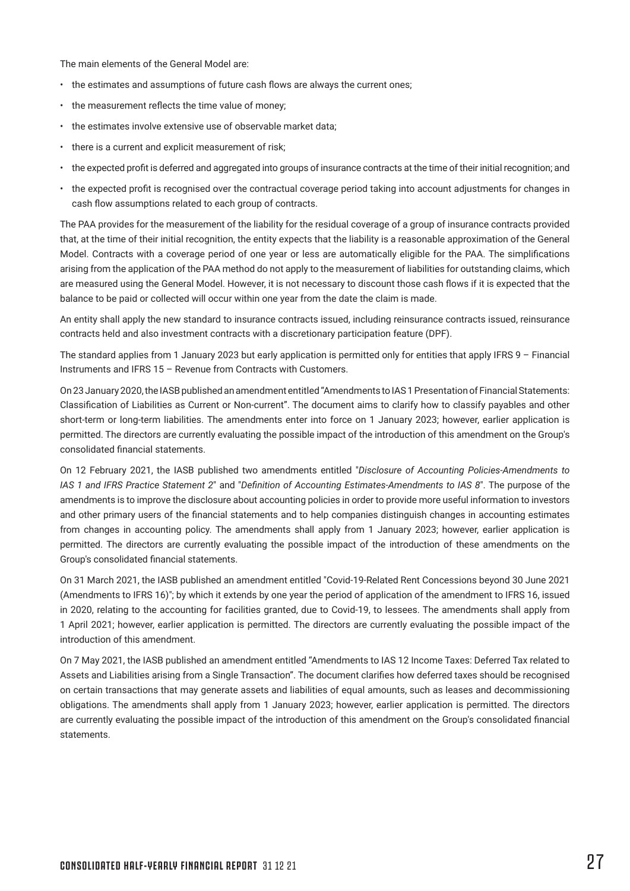The main elements of the General Model are:

- the estimates and assumptions of future cash flows are always the current ones;
- the measurement reflects the time value of money;
- the estimates involve extensive use of observable market data;
- there is a current and explicit measurement of risk;
- the expected profit is deferred and aggregated into groups of insurance contracts at the time of their initial recognition; and
- the expected profit is recognised over the contractual coverage period taking into account adjustments for changes in cash flow assumptions related to each group of contracts.

The PAA provides for the measurement of the liability for the residual coverage of a group of insurance contracts provided that, at the time of their initial recognition, the entity expects that the liability is a reasonable approximation of the General Model. Contracts with a coverage period of one year or less are automatically eligible for the PAA. The simplifications arising from the application of the PAA method do not apply to the measurement of liabilities for outstanding claims, which are measured using the General Model. However, it is not necessary to discount those cash flows if it is expected that the balance to be paid or collected will occur within one year from the date the claim is made.

An entity shall apply the new standard to insurance contracts issued, including reinsurance contracts issued, reinsurance contracts held and also investment contracts with a discretionary participation feature (DPF).

The standard applies from 1 January 2023 but early application is permitted only for entities that apply IFRS 9 – Financial Instruments and IFRS 15 – Revenue from Contracts with Customers.

On 23 January 2020, the IASB published an amendment entitled "Amendments to IAS 1 Presentation of Financial Statements: Classification of Liabilities as Current or Non-current". The document aims to clarify how to classify payables and other short-term or long-term liabilities. The amendments enter into force on 1 January 2023; however, earlier application is permitted. The directors are currently evaluating the possible impact of the introduction of this amendment on the Group's consolidated financial statements.

On 12 February 2021, the IASB published two amendments entitled "*Disclosure of Accounting Policies-Amendments to IAS 1 and IFRS Practice Statement 2*" and "*Definition of Accounting Estimates-Amendments to IAS 8*". The purpose of the amendments is to improve the disclosure about accounting policies in order to provide more useful information to investors and other primary users of the financial statements and to help companies distinguish changes in accounting estimates from changes in accounting policy. The amendments shall apply from 1 January 2023; however, earlier application is permitted. The directors are currently evaluating the possible impact of the introduction of these amendments on the Group's consolidated financial statements.

On 31 March 2021, the IASB published an amendment entitled "Covid-19-Related Rent Concessions beyond 30 June 2021 (Amendments to IFRS 16)"; by which it extends by one year the period of application of the amendment to IFRS 16, issued in 2020, relating to the accounting for facilities granted, due to Covid-19, to lessees. The amendments shall apply from 1 April 2021; however, earlier application is permitted. The directors are currently evaluating the possible impact of the introduction of this amendment.

On 7 May 2021, the IASB published an amendment entitled "Amendments to IAS 12 Income Taxes: Deferred Tax related to Assets and Liabilities arising from a Single Transaction". The document clarifies how deferred taxes should be recognised on certain transactions that may generate assets and liabilities of equal amounts, such as leases and decommissioning obligations. The amendments shall apply from 1 January 2023; however, earlier application is permitted. The directors are currently evaluating the possible impact of the introduction of this amendment on the Group's consolidated financial statements.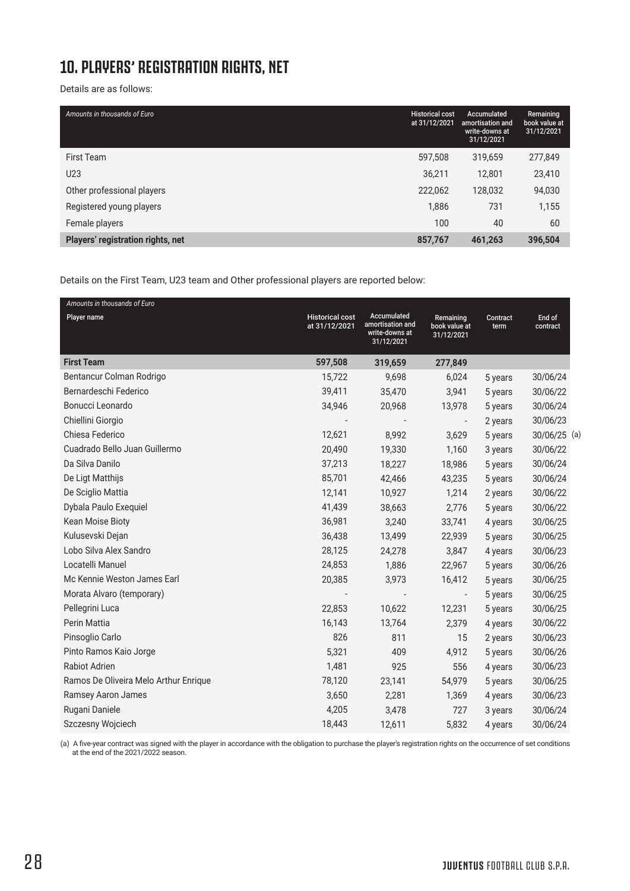## **10. PLAYERS' REGISTRATION RIGHTS, NET**

Details are as follows:

| Amounts in thousands of Euro      | <b>Historical cost</b><br>at 31/12/2021 | Accumulated<br>amortisation and<br>write-downs at<br>31/12/2021 | Remaining<br>book value at<br>31/12/2021 |
|-----------------------------------|-----------------------------------------|-----------------------------------------------------------------|------------------------------------------|
| <b>First Team</b>                 | 597,508                                 | 319.659                                                         | 277,849                                  |
| U <sub>23</sub>                   | 36,211                                  | 12,801                                                          | 23,410                                   |
| Other professional players        | 222,062                                 | 128,032                                                         | 94,030                                   |
| Registered young players          | 1,886                                   | 731                                                             | 1,155                                    |
| Female players                    | 100                                     | 40                                                              | 60                                       |
| Players' registration rights, net | 857,767                                 | 461,263                                                         | 396,504                                  |

Details on the First Team, U23 team and Other professional players are reported below:

| Amounts in thousands of Euro          |                                         |                                                                 |                                          |                  |                    |
|---------------------------------------|-----------------------------------------|-----------------------------------------------------------------|------------------------------------------|------------------|--------------------|
| Player name                           | <b>Historical cost</b><br>at 31/12/2021 | Accumulated<br>amortisation and<br>write-downs at<br>31/12/2021 | Remaining<br>book value at<br>31/12/2021 | Contract<br>term | End of<br>contract |
| <b>First Team</b>                     | 597,508                                 | 319,659                                                         | 277,849                                  |                  |                    |
| Bentancur Colman Rodrigo              | 15,722                                  | 9,698                                                           | 6,024                                    | 5 years          | 30/06/24           |
| Bernardeschi Federico                 | 39,411                                  | 35,470                                                          | 3,941                                    | 5 years          | 30/06/22           |
| Bonucci Leonardo                      | 34,946                                  | 20,968                                                          | 13,978                                   | 5 years          | 30/06/24           |
| Chiellini Giorgio                     |                                         |                                                                 |                                          | 2 years          | 30/06/23           |
| Chiesa Federico                       | 12,621                                  | 8,992                                                           | 3,629                                    | 5 years          | $30/06/25$ (a)     |
| Cuadrado Bello Juan Guillermo         | 20,490                                  | 19,330                                                          | 1,160                                    | 3 years          | 30/06/22           |
| Da Silva Danilo                       | 37,213                                  | 18,227                                                          | 18,986                                   | 5 years          | 30/06/24           |
| De Ligt Matthijs                      | 85,701                                  | 42,466                                                          | 43,235                                   | 5 years          | 30/06/24           |
| De Sciglio Mattia                     | 12,141                                  | 10,927                                                          | 1,214                                    | 2 years          | 30/06/22           |
| Dybala Paulo Exequiel                 | 41,439                                  | 38,663                                                          | 2,776                                    | 5 years          | 30/06/22           |
| Kean Moise Bioty                      | 36,981                                  | 3,240                                                           | 33,741                                   | 4 years          | 30/06/25           |
| Kulusevski Dejan                      | 36,438                                  | 13,499                                                          | 22,939                                   | 5 years          | 30/06/25           |
| Lobo Silva Alex Sandro                | 28,125                                  | 24,278                                                          | 3,847                                    | 4 years          | 30/06/23           |
| Locatelli Manuel                      | 24,853                                  | 1,886                                                           | 22,967                                   | 5 years          | 30/06/26           |
| Mc Kennie Weston James Earl           | 20,385                                  | 3,973                                                           | 16,412                                   | 5 years          | 30/06/25           |
| Morata Alvaro (temporary)             |                                         |                                                                 | $\overline{\phantom{a}}$                 | 5 years          | 30/06/25           |
| Pellegrini Luca                       | 22,853                                  | 10,622                                                          | 12,231                                   | 5 years          | 30/06/25           |
| Perin Mattia                          | 16,143                                  | 13,764                                                          | 2,379                                    | 4 years          | 30/06/22           |
| Pinsoglio Carlo                       | 826                                     | 811                                                             | 15                                       | 2 years          | 30/06/23           |
| Pinto Ramos Kaio Jorge                | 5,321                                   | 409                                                             | 4,912                                    | 5 years          | 30/06/26           |
| <b>Rabiot Adrien</b>                  | 1,481                                   | 925                                                             | 556                                      | 4 years          | 30/06/23           |
| Ramos De Oliveira Melo Arthur Enrique | 78,120                                  | 23,141                                                          | 54,979                                   | 5 years          | 30/06/25           |
| Ramsey Aaron James                    | 3,650                                   | 2,281                                                           | 1,369                                    | 4 years          | 30/06/23           |
| Rugani Daniele                        | 4,205                                   | 3,478                                                           | 727                                      | 3 years          | 30/06/24           |
| Szczesny Wojciech                     | 18,443                                  | 12,611                                                          | 5,832                                    | 4 years          | 30/06/24           |

(a) A five-year contract was signed with the player in accordance with the obligation to purchase the player's registration rights on the occurrence of set conditions at the end of the 2021/2022 season.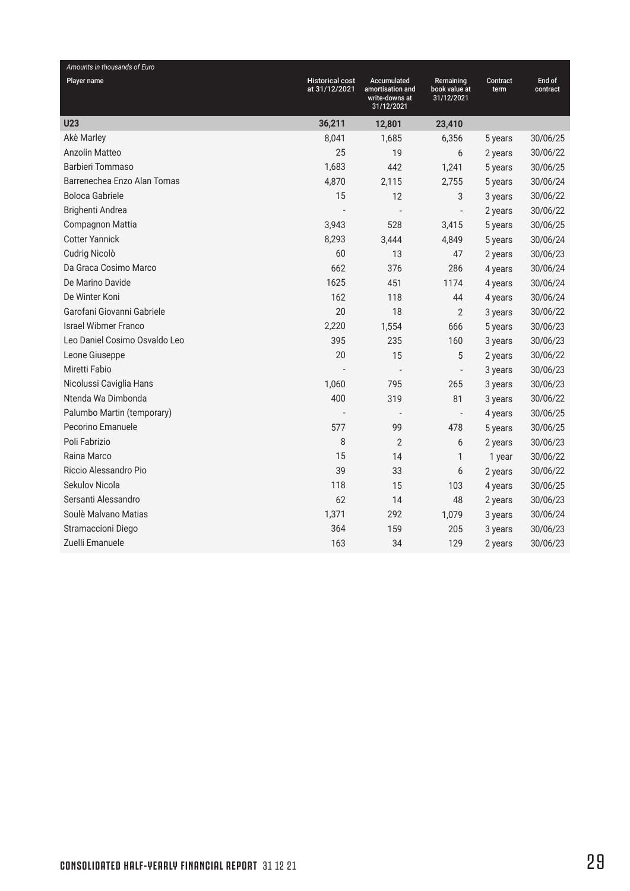| Amounts in thousands of Euro  |                                         |                                                                 |                                          |                  |                    |
|-------------------------------|-----------------------------------------|-----------------------------------------------------------------|------------------------------------------|------------------|--------------------|
| Player name                   | <b>Historical cost</b><br>at 31/12/2021 | Accumulated<br>amortisation and<br>write-downs at<br>31/12/2021 | Remaining<br>book value at<br>31/12/2021 | Contract<br>term | End of<br>contract |
| <b>U23</b>                    | 36,211                                  | 12,801                                                          | 23,410                                   |                  |                    |
| Akè Marley                    | 8,041                                   | 1,685                                                           | 6,356                                    | 5 years          | 30/06/25           |
| <b>Anzolin Matteo</b>         | 25                                      | 19                                                              | 6                                        | 2 years          | 30/06/22           |
| Barbieri Tommaso              | 1,683                                   | 442                                                             | 1,241                                    | 5 years          | 30/06/25           |
| Barrenechea Enzo Alan Tomas   | 4,870                                   | 2,115                                                           | 2,755                                    | 5 years          | 30/06/24           |
| <b>Boloca Gabriele</b>        | 15                                      | 12                                                              | 3                                        | 3 years          | 30/06/22           |
| Brighenti Andrea              | $\overline{\phantom{a}}$                |                                                                 |                                          | 2 years          | 30/06/22           |
| Compagnon Mattia              | 3,943                                   | 528                                                             | 3,415                                    | 5 years          | 30/06/25           |
| <b>Cotter Yannick</b>         | 8,293                                   | 3,444                                                           | 4,849                                    | 5 years          | 30/06/24           |
| Cudrig Nicolò                 | 60                                      | 13                                                              | 47                                       | 2 years          | 30/06/23           |
| Da Graca Cosimo Marco         | 662                                     | 376                                                             | 286                                      | 4 years          | 30/06/24           |
| De Marino Davide              | 1625                                    | 451                                                             | 1174                                     | 4 years          | 30/06/24           |
| De Winter Koni                | 162                                     | 118                                                             | 44                                       | 4 years          | 30/06/24           |
| Garofani Giovanni Gabriele    | 20                                      | 18                                                              | 2                                        | 3 years          | 30/06/22           |
| Israel Wibmer Franco          | 2,220                                   | 1,554                                                           | 666                                      | 5 years          | 30/06/23           |
| Leo Daniel Cosimo Osvaldo Leo | 395                                     | 235                                                             | 160                                      | 3 years          | 30/06/23           |
| Leone Giuseppe                | 20                                      | 15                                                              | 5                                        | 2 years          | 30/06/22           |
| Miretti Fabio                 |                                         |                                                                 | $\overline{a}$                           | 3 years          | 30/06/23           |
| Nicolussi Caviglia Hans       | 1,060                                   | 795                                                             | 265                                      | 3 years          | 30/06/23           |
| Ntenda Wa Dimbonda            | 400                                     | 319                                                             | 81                                       | 3 years          | 30/06/22           |
| Palumbo Martin (temporary)    |                                         |                                                                 | $\overline{\phantom{m}}$                 | 4 years          | 30/06/25           |
| Pecorino Emanuele             | 577                                     | 99                                                              | 478                                      | 5 years          | 30/06/25           |
| Poli Fabrizio                 | 8                                       | $\overline{2}$                                                  | 6                                        | 2 years          | 30/06/23           |
| Raina Marco                   | 15                                      | 14                                                              | 1                                        | 1 year           | 30/06/22           |
| Riccio Alessandro Pio         | 39                                      | 33                                                              | 6                                        | 2 years          | 30/06/22           |
| Sekulov Nicola                | 118                                     | 15                                                              | 103                                      | 4 years          | 30/06/25           |
| Sersanti Alessandro           | 62                                      | 14                                                              | 48                                       | 2 years          | 30/06/23           |
| Soulè Malvano Matias          | 1,371                                   | 292                                                             | 1,079                                    | 3 years          | 30/06/24           |
| Stramaccioni Diego            | 364                                     | 159                                                             | 205                                      | 3 years          | 30/06/23           |
| Zuelli Emanuele               | 163                                     | 34                                                              | 129                                      | 2 years          | 30/06/23           |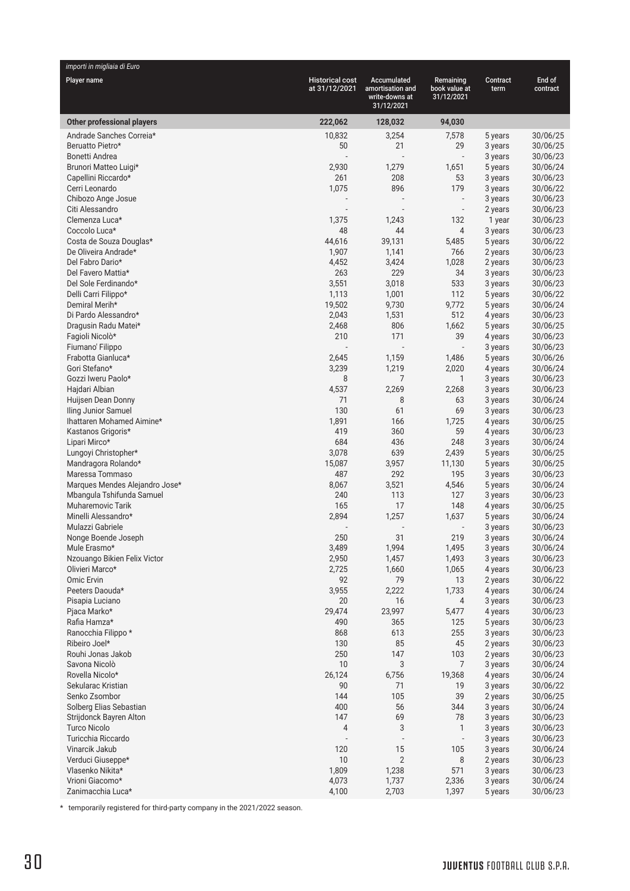| importi in migliaia di Euro              |                                         |                                                                 |                                          |                    |                      |
|------------------------------------------|-----------------------------------------|-----------------------------------------------------------------|------------------------------------------|--------------------|----------------------|
| Player name                              | <b>Historical cost</b><br>at 31/12/2021 | Accumulated<br>amortisation and<br>write-downs at<br>31/12/2021 | Remaining<br>book value at<br>31/12/2021 | Contract<br>term   | End of<br>contract   |
| Other professional players               | 222,062                                 | 128,032                                                         | 94,030                                   |                    |                      |
| Andrade Sanches Correia*                 | 10,832                                  | 3,254                                                           | 7,578                                    | 5 years            | 30/06/25             |
| Beruatto Pietro*                         | 50                                      | 21                                                              | 29                                       | 3 years            | 30/06/25             |
| Bonetti Andrea                           |                                         |                                                                 | $\overline{\phantom{a}}$                 | 3 years            | 30/06/23             |
| Brunori Matteo Luigi*                    | 2,930                                   | 1,279                                                           | 1,651                                    | 5 years            | 30/06/24             |
| Capellini Riccardo*                      | 261                                     | 208                                                             | 53                                       | 3 years            | 30/06/23             |
| Cerri Leonardo                           | 1,075                                   | 896                                                             | 179                                      | 3 years            | 30/06/22             |
| Chibozo Ange Josue                       |                                         |                                                                 | $\overline{a}$                           | 3 years            | 30/06/23             |
| Citi Alessandro                          |                                         |                                                                 | $\overline{\phantom{a}}$                 | 2 years            | 30/06/23             |
| Clemenza Luca*                           | 1,375                                   | 1,243                                                           | 132                                      | 1 year             | 30/06/23             |
| Coccolo Luca*                            | 48                                      | 44                                                              | 4                                        | 3 years            | 30/06/23             |
| Costa de Souza Douglas*                  | 44,616                                  | 39,131                                                          | 5,485                                    | 5 years            | 30/06/22             |
| De Oliveira Andrade*                     | 1,907                                   | 1,141                                                           | 766                                      | 2 years            | 30/06/23             |
| Del Fabro Dario*                         | 4,452                                   | 3,424                                                           | 1,028                                    | 2 years            | 30/06/23             |
| Del Favero Mattia*                       | 263                                     | 229                                                             | 34                                       | 3 years            | 30/06/23             |
| Del Sole Ferdinando*                     | 3,551                                   | 3,018                                                           | 533<br>112                               | 3 years            | 30/06/23             |
| Delli Carri Filippo*<br>Demiral Merih*   | 1,113                                   | 1,001<br>9,730                                                  | 9,772                                    | 5 years            | 30/06/22<br>30/06/24 |
| Di Pardo Alessandro*                     | 19,502<br>2,043                         | 1,531                                                           | 512                                      | 5 years<br>4 years | 30/06/23             |
| Dragusin Radu Matei*                     | 2,468                                   | 806                                                             | 1,662                                    | 5 years            | 30/06/25             |
| Fagioli Nicolò*                          | 210                                     | 171                                                             | 39                                       | 4 years            | 30/06/23             |
| Fiumano' Filippo                         |                                         | $\overline{\phantom{a}}$                                        | $\overline{\phantom{a}}$                 | 3 years            | 30/06/23             |
| Frabotta Gianluca*                       | 2,645                                   | 1,159                                                           | 1,486                                    | 5 years            | 30/06/26             |
| Gori Stefano*                            | 3,239                                   | 1,219                                                           | 2,020                                    | 4 years            | 30/06/24             |
| Gozzi Iweru Paolo*                       | 8                                       | 7                                                               | 1                                        | 3 years            | 30/06/23             |
| Hajdari Albian                           | 4,537                                   | 2,269                                                           | 2,268                                    | 3 years            | 30/06/23             |
| Huijsen Dean Donny                       | 71                                      | 8                                                               | 63                                       | 3 years            | 30/06/24             |
| Iling Junior Samuel                      | 130                                     | 61                                                              | 69                                       | 3 years            | 30/06/23             |
| Ihattaren Mohamed Aimine*                | 1,891                                   | 166                                                             | 1,725                                    | 4 years            | 30/06/25             |
| Kastanos Grigoris*                       | 419                                     | 360                                                             | 59                                       | 4 years            | 30/06/23             |
| Lipari Mirco*                            | 684                                     | 436                                                             | 248                                      | 3 years            | 30/06/24             |
| Lungoyi Christopher*                     | 3,078                                   | 639                                                             | 2,439                                    | 5 years            | 30/06/25             |
| Mandragora Rolando*                      | 15,087                                  | 3,957                                                           | 11,130                                   | 5 years            | 30/06/25             |
| Maressa Tommaso                          | 487                                     | 292                                                             | 195                                      | 3 years            | 30/06/23             |
| Marques Mendes Alejandro Jose*           | 8,067                                   | 3,521                                                           | 4,546                                    | 5 years            | 30/06/24             |
| Mbangula Tshifunda Samuel                | 240                                     | 113                                                             | 127                                      | 3 years            | 30/06/23             |
| Muharemovic Tarik<br>Minelli Alessandro* | 165                                     | 17<br>1,257                                                     | 148<br>1,637                             | 4 years            | 30/06/25             |
| Mulazzi Gabriele                         | 2,894                                   |                                                                 | $\overline{\phantom{a}}$                 | 5 years            | 30/06/24<br>30/06/23 |
| Nonge Boende Joseph                      | 250                                     | 31                                                              | 219                                      | 3 years<br>3 years | 30/06/24             |
| Mule Erasmo*                             | 3,489                                   | 1,994                                                           | 1,495                                    | 3 years            | 30/06/24             |
| Nzouango Bikien Felix Victor             | 2,950                                   | 1,457                                                           | 1,493                                    | 3 years            | 30/06/23             |
| Olivieri Marco*                          | 2,725                                   | 1,660                                                           | 1,065                                    | 4 years            | 30/06/23             |
| Omic Ervin                               | 92                                      | 79                                                              | 13                                       | 2 years            | 30/06/22             |
| Peeters Daouda*                          | 3,955                                   | 2,222                                                           | 1,733                                    | 4 years            | 30/06/24             |
| Pisapia Luciano                          | 20                                      | 16                                                              | 4                                        | 3 years            | 30/06/23             |
| Pjaca Marko*                             | 29,474                                  | 23,997                                                          | 5,477                                    | 4 years            | 30/06/23             |
| Rafia Hamza*                             | 490                                     | 365                                                             | 125                                      | 5 years            | 30/06/23             |
| Ranocchia Filippo *                      | 868                                     | 613                                                             | 255                                      | 3 years            | 30/06/23             |
| Ribeiro Joel*                            | 130                                     | 85                                                              | 45                                       | 2 years            | 30/06/23             |
| Rouhi Jonas Jakob                        | 250                                     | 147                                                             | 103                                      | 2 years            | 30/06/23             |
| Savona Nicolò                            | 10                                      | 3                                                               | 7                                        | 3 years            | 30/06/24             |
| Rovella Nicolo*                          | 26,124                                  | 6,756                                                           | 19,368                                   | 4 years            | 30/06/24             |
| Sekularac Kristian                       | 90                                      | 71                                                              | 19                                       | 3 years            | 30/06/22             |
| Senko Zsombor                            | 144                                     | 105                                                             | 39                                       | 2 years            | 30/06/25             |
| Solberg Elias Sebastian                  | 400<br>147                              | 56<br>69                                                        | 344                                      | 3 years            | 30/06/24             |
| Strijdonck Bayren Alton<br>Turco Nicolo  | 4                                       | 3                                                               | 78<br>$\mathbf{1}$                       | 3 years<br>3 years | 30/06/23<br>30/06/23 |
| Turicchia Riccardo                       |                                         |                                                                 | $\overline{\phantom{a}}$                 | 3 years            | 30/06/23             |
| Vinarcik Jakub                           | 120                                     | 15                                                              | 105                                      | 3 years            | 30/06/24             |
| Verduci Giuseppe*                        | 10                                      | $\overline{2}$                                                  | 8                                        | 2 years            | 30/06/23             |
| Vlasenko Nikita*                         | 1,809                                   | 1,238                                                           | 571                                      | 3 years            | 30/06/23             |
| Vrioni Giacomo*                          | 4,073                                   | 1,737                                                           | 2,336                                    | 3 years            | 30/06/24             |
| Zanimacchia Luca*                        | 4,100                                   | 2,703                                                           | 1,397                                    | 5 years            | 30/06/23             |

\* temporarily registered for third-party company in the 2021/2022 season.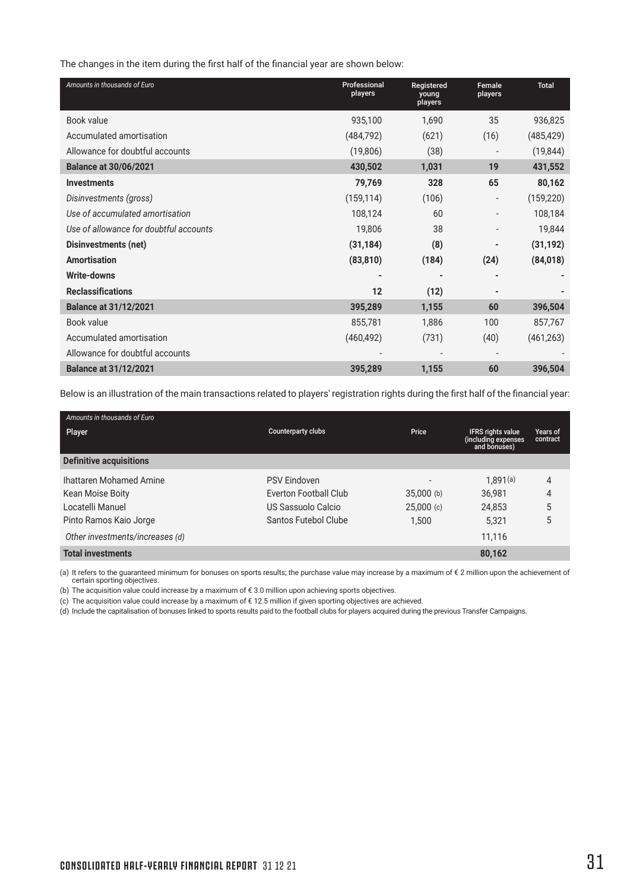The changes in the item during the first half of the financial year are shown below:

| Amounts in thousands of Euro           | Professional<br>players | Registered<br>young<br>players | Female<br>players        | <b>Total</b> |
|----------------------------------------|-------------------------|--------------------------------|--------------------------|--------------|
| Book value                             | 935,100                 | 1,690                          | 35                       | 936,825      |
| Accumulated amortisation               | (484,792)               | (621)                          | (16)                     | (485, 429)   |
| Allowance for doubtful accounts        | (19,806)                | (38)                           | $\overline{\phantom{a}}$ | (19, 844)    |
| <b>Balance at 30/06/2021</b>           | 430,502                 | 1,031                          | 19                       | 431,552      |
| <b>Investments</b>                     | 79,769                  | 328                            | 65                       | 80,162       |
| Disinvestments (gross)                 | (159, 114)              | (106)                          | $\overline{\phantom{a}}$ | (159, 220)   |
| Use of accumulated amortisation        | 108,124                 | 60                             | $\overline{\phantom{a}}$ | 108,184      |
| Use of allowance for doubtful accounts | 19,806                  | 38                             |                          | 19,844       |
| Disinvestments (net)                   | (31, 184)               | (8)                            | $\blacksquare$           | (31, 192)    |
| Amortisation                           | (83, 810)               | (184)                          | (24)                     | (84, 018)    |
| <b>Write-downs</b>                     |                         |                                |                          |              |
| <b>Reclassifications</b>               | 12                      | (12)                           |                          |              |
| <b>Balance at 31/12/2021</b>           | 395,289                 | 1,155                          | 60                       | 396,504      |
| Book value                             | 855,781                 | 1,886                          | 100                      | 857,767      |
| Accumulated amortisation               | (460,492)               | (731)                          | (40)                     | (461, 263)   |
| Allowance for doubtful accounts        |                         |                                |                          |              |
| <b>Balance at 31/12/2021</b>           | 395,289                 | 1,155                          | 60                       | 396,504      |

Below is an illustration of the main transactions related to players' registration rights during the first half of the financial year:

| Amounts in thousands of Euro    |                       |                          |                                                                 |                      |
|---------------------------------|-----------------------|--------------------------|-----------------------------------------------------------------|----------------------|
| Player                          | Counterparty clubs    | Price                    | <b>IFRS rights value</b><br>(including expenses<br>and bonuses) | Years of<br>contract |
| <b>Definitive acquisitions</b>  |                       |                          |                                                                 |                      |
| <b>Ihattaren Mohamed Amine</b>  | <b>PSV Eindoven</b>   | $\overline{\phantom{0}}$ | 1.891(a)                                                        | 4                    |
| Kean Moise Boity                | Everton Football Club | $35,000$ (b)             | 36,981                                                          | 4                    |
| Locatelli Manuel                | US Sassuolo Calcio    | $25,000$ (c)             | 24,853                                                          | 5                    |
| Pinto Ramos Kaio Jorge          | Santos Futebol Clube  | 1.500                    | 5.321                                                           | 5                    |
| Other investments/increases (d) |                       |                          | 11,116                                                          |                      |
| <b>Total investments</b>        |                       |                          | 80,162                                                          |                      |

(a) It refers to the guaranteed minimum for bonuses on sports results; the purchase value may increase by a maximum of € 2 million upon the achievement of<br>certain sporting objectives.

(b) The acquisition value could increase by a maximum of € 3.0 million upon achieving sports objectives.

(c) The acquisition value could increase by a maximum of € 12.5 million if given sporting objectives are achieved.

(d) Include the capitalisation of bonuses linked to sports results paid to the football clubs for players acquired during the previous Transfer Campaigns.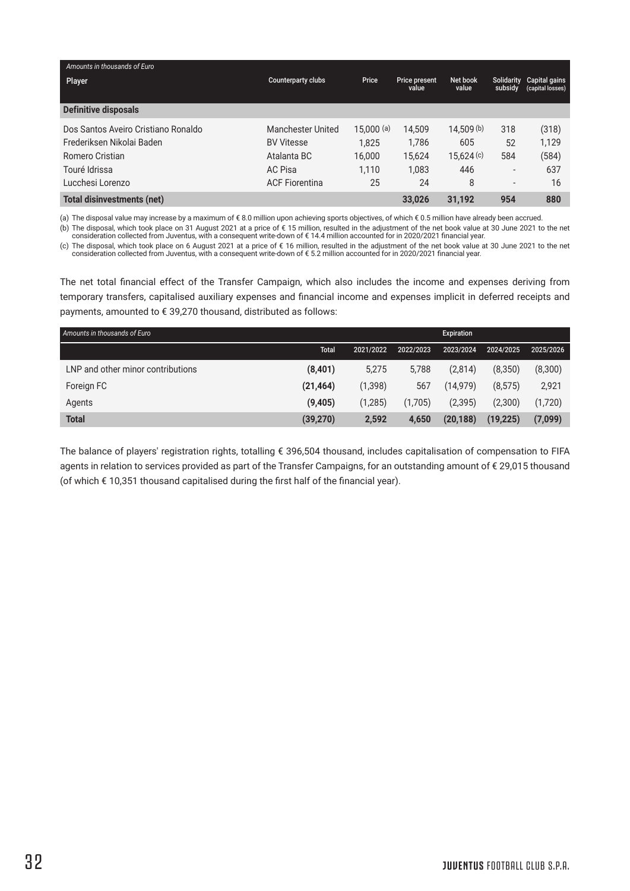| Amounts in thousands of Euro        |                       |              |                               |                   |                              |                                   |
|-------------------------------------|-----------------------|--------------|-------------------------------|-------------------|------------------------------|-----------------------------------|
| <b>Player</b>                       | Counterparty clubs    | Price        | <b>Price present</b><br>value | Net book<br>value | <b>Solidarity</b><br>subsidy | Capital gains<br>(capital losses) |
|                                     |                       |              |                               |                   |                              |                                   |
| <b>Definitive disposals</b>         |                       |              |                               |                   |                              |                                   |
| Dos Santos Aveiro Cristiano Ronaldo | Manchester United     | $15,000$ (a) | 14.509                        | 14.509(b)         | 318                          | (318)                             |
| Frederiksen Nikolai Baden           | <b>BV Vitesse</b>     | 1.825        | 1.786                         | 605               | 52                           | 1.129                             |
| Romero Cristian                     | Atalanta BC           | 16,000       | 15.624                        | 15.624(c)         | 584                          | (584)                             |
| Touré Idrissa                       | <b>AC Pisa</b>        | 1.110        | 1.083                         | 446               | $\overline{\phantom{a}}$     | 637                               |
| Lucchesi Lorenzo                    | <b>ACF Fiorentina</b> | 25           | 24                            | 8                 | $\overline{\phantom{a}}$     | 16                                |
| <b>Total disinvestments (net)</b>   |                       |              | 33,026                        | 31.192            | 954                          | 880                               |

(a) The disposal value may increase by a maximum of € 8.0 million upon achieving sports objectives, of which € 0.5 million have already been accrued.

(b) The disposal, which took place on 31 August 2021 at a price of € 15 million, resulted in the adjustment of the net book value at 30 June 2021 to the net<br>consideration collected from Juventus, with a consequent write-d

(c) The disposal, which took place on 6 August 2021 at a price of € 16 million, resulted in the adjustment of the net book value at 30 June 2021 to the net<br>consideration collected from Juventus, with a consequent write-do

The net total financial effect of the Transfer Campaign, which also includes the income and expenses deriving from temporary transfers, capitalised auxiliary expenses and financial income and expenses implicit in deferred receipts and payments, amounted to € 39,270 thousand, distributed as follows:

| Amounts in thousands of Euro      |              |           |           | <b>Expiration</b> |           |           |
|-----------------------------------|--------------|-----------|-----------|-------------------|-----------|-----------|
|                                   | <b>Total</b> | 2021/2022 | 2022/2023 | 2023/2024         | 2024/2025 | 2025/2026 |
| LNP and other minor contributions | (8, 401)     | 5,275     | 5.788     | (2,814)           | (8,350)   | (8,300)   |
| Foreign FC                        | (21, 464)    | (1, 398)  | 567       | (14, 979)         | (8, 575)  | 2,921     |
| Agents                            | (9, 405)     | (1,285)   | (1,705)   | (2,395)           | (2,300)   | (1,720)   |
| <b>Total</b>                      | (39, 270)    | 2,592     | 4,650     | (20, 188)         | (19, 225) | (7,099)   |

The balance of players' registration rights, totalling € 396,504 thousand, includes capitalisation of compensation to FIFA agents in relation to services provided as part of the Transfer Campaigns, for an outstanding amount of € 29,015 thousand (of which € 10,351 thousand capitalised during the first half of the financial year).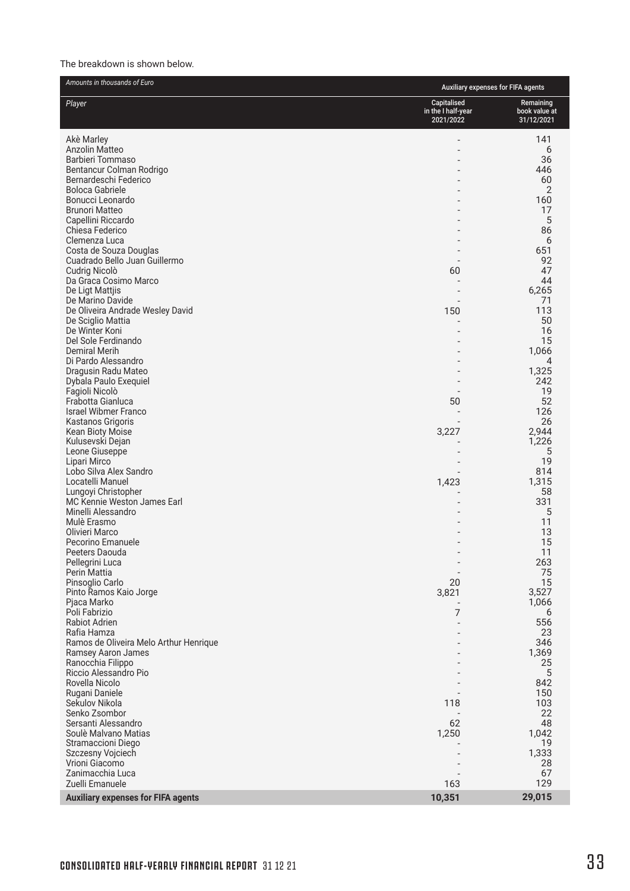#### The breakdown is shown below.

| Amounts in thousands of Euro                      | Auxiliary expenses for FIFA agents             |                                          |  |  |
|---------------------------------------------------|------------------------------------------------|------------------------------------------|--|--|
| Player                                            | Capitalised<br>in the I half-year<br>2021/2022 | Remaining<br>book value at<br>31/12/2021 |  |  |
| Akè Marley                                        |                                                | 141                                      |  |  |
| <b>Anzolin Matteo</b>                             |                                                | 6                                        |  |  |
| <b>Barbieri Tommaso</b>                           |                                                | 36                                       |  |  |
| Bentancur Colman Rodrigo                          |                                                | 446                                      |  |  |
| Bernardeschi Federico<br><b>Boloca Gabriele</b>   |                                                | 60<br>2                                  |  |  |
| Bonucci Leonardo                                  |                                                | 160                                      |  |  |
| <b>Brunori Matteo</b>                             |                                                | 17                                       |  |  |
| Capellini Riccardo                                |                                                | 5                                        |  |  |
| Chiesa Federico<br>Clemenza Luca                  |                                                | 86<br>6                                  |  |  |
| Costa de Souza Douglas                            |                                                | 651                                      |  |  |
| Cuadrado Bello Juan Guillermo                     |                                                | 92                                       |  |  |
| Cudrig Nicolò                                     | 60                                             | 47                                       |  |  |
| Da Graca Cosimo Marco<br>De Ligt Mattjis          |                                                | 44<br>6,265                              |  |  |
| De Marino Davide                                  |                                                | 71                                       |  |  |
| De Oliveira Andrade Wesley David                  | 150                                            | 113                                      |  |  |
| De Sciglio Mattia                                 |                                                | 50                                       |  |  |
| De Winter Koni<br>Del Sole Ferdinando             |                                                | 16<br>15                                 |  |  |
| <b>Demiral Merih</b>                              |                                                | 1,066                                    |  |  |
| Di Pardo Alessandro                               |                                                | 4                                        |  |  |
| Dragusin Radu Mateo                               |                                                | 1,325                                    |  |  |
| Dybala Paulo Exequiel                             |                                                | 242                                      |  |  |
| Fagioli Nicolò<br>Frabotta Gianluca               | 50                                             | 19<br>52                                 |  |  |
| <b>Israel Wibmer Franco</b>                       |                                                | 126                                      |  |  |
| Kastanos Grigoris                                 |                                                | 26                                       |  |  |
| Kean Bioty Moise                                  | 3,227                                          | 2,944                                    |  |  |
| Kulusevski Dejan<br>Leone Giuseppe                |                                                | 1,226<br>5                               |  |  |
| Lipari Mirco                                      |                                                | 19                                       |  |  |
| Lobo Silva Alex Sandro                            |                                                | 814                                      |  |  |
| Locatelli Manuel                                  | 1,423                                          | 1,315                                    |  |  |
| Lungoyi Christopher                               |                                                | 58                                       |  |  |
| MC Kennie Weston James Earl<br>Minelli Alessandro |                                                | 331<br>5                                 |  |  |
| Mulè Erasmo                                       |                                                | 11                                       |  |  |
| Olivieri Marco                                    |                                                | 13                                       |  |  |
| Pecorino Emanuele                                 |                                                | 15                                       |  |  |
| Peeters Daouda<br>Pellegrini Luca                 |                                                | 11<br>263                                |  |  |
| Perin Mattia                                      |                                                | 75                                       |  |  |
| Pinsoglio Carlo                                   | 20                                             | 15                                       |  |  |
| Pinto Ramos Kaio Jorge                            | 3,821                                          | 3,527                                    |  |  |
| Pjaca Marko<br>Poli Fabrizio                      | 7                                              | 1,066<br>6                               |  |  |
| <b>Rabiot Adrien</b>                              |                                                | 556                                      |  |  |
| Rafia Hamza                                       |                                                | 23                                       |  |  |
| Ramos de Oliveira Melo Arthur Henrique            |                                                | 346                                      |  |  |
| Ramsey Aaron James<br>Ranocchia Filippo           |                                                | 1,369<br>25                              |  |  |
| Riccio Alessandro Pio                             |                                                | 5                                        |  |  |
| Rovella Nicolo                                    |                                                | 842                                      |  |  |
| Rugani Daniele                                    |                                                | 150                                      |  |  |
| Sekulov Nikola                                    | 118                                            | 103                                      |  |  |
| Senko Zsombor<br>Sersanti Alessandro              | 62                                             | 22<br>48                                 |  |  |
| Soulè Malvano Matias                              | 1,250                                          | 1,042                                    |  |  |
| Stramaccioni Diego                                |                                                | 19                                       |  |  |
| Szczesny Vojciech                                 |                                                | 1,333                                    |  |  |
| Vrioni Giacomo<br>Zanimacchia Luca                |                                                | 28<br>67                                 |  |  |
| Zuelli Emanuele                                   | 163                                            | 129                                      |  |  |
| <b>Auxiliary expenses for FIFA agents</b>         | 10,351                                         | 29,015                                   |  |  |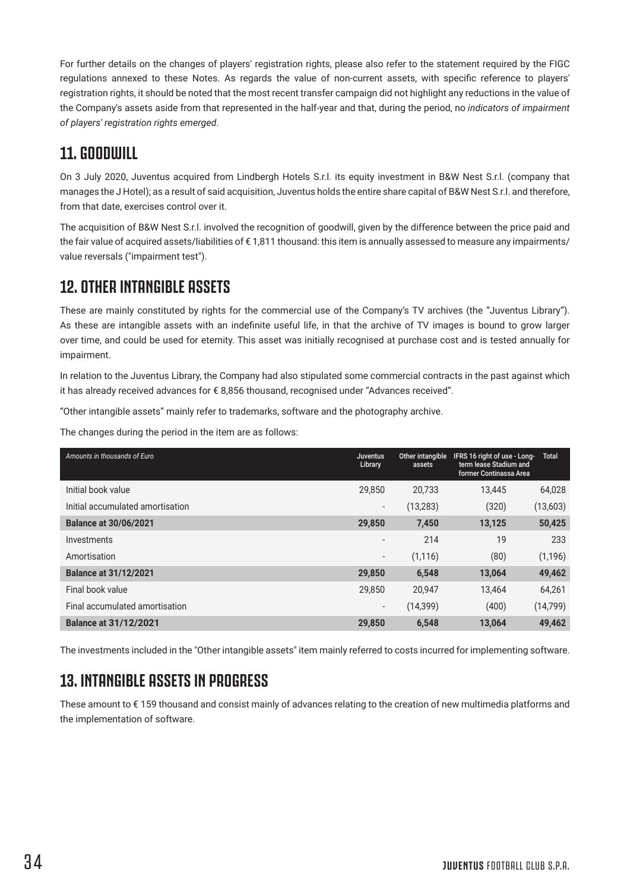For further details on the changes of players' registration rights, please also refer to the statement required by the FIGC regulations annexed to these Notes. As regards the value of non-current assets, with specific reference to players' registration rights, it should be noted that the most recent transfer campaign did not highlight any reductions in the value of the Company's assets aside from that represented in the half-year and that, during the period, no *indicators of impairment of players' registration rights emerged*.

## **11. GOODWILL**

On 3 July 2020, Juventus acquired from Lindbergh Hotels S.r.l. its equity investment in B&W Nest S.r.l. (company that manages the J Hotel); as a result of said acquisition, Juventus holds the entire share capital of B&W Nest S.r.l. and therefore, from that date, exercises control over it.

The acquisition of B&W Nest S.r.l. involved the recognition of goodwill, given by the difference between the price paid and the fair value of acquired assets/liabilities of € 1,811 thousand: this item is annually assessed to measure any impairments/ value reversals ("impairment test").

#### **12. OTHER INTANGIBLE ASSETS**

These are mainly constituted by rights for the commercial use of the Company's TV archives (the "Juventus Library"). As these are intangible assets with an indefinite useful life, in that the archive of TV images is bound to grow larger over time, and could be used for eternity. This asset was initially recognised at purchase cost and is tested annually for impairment.

In relation to the Juventus Library, the Company had also stipulated some commercial contracts in the past against which it has already received advances for € 8,856 thousand, recognised under "Advances received".

"Other intangible assets" mainly refer to trademarks, software and the photography archive.

The changes during the period in the item are as follows:

| Amounts in thousands of Euro     | <b>Juventus</b><br>Library   | Other intangible<br>assets | IFRS 16 right of use - Long-<br>term lease Stadium and<br>former Continassa Area | <b>Total</b> |
|----------------------------------|------------------------------|----------------------------|----------------------------------------------------------------------------------|--------------|
| Initial book value               | 29,850                       | 20,733                     | 13.445                                                                           | 64,028       |
| Initial accumulated amortisation | $\overline{\phantom{a}}$     | (13, 283)                  | (320)                                                                            | (13,603)     |
| <b>Balance at 30/06/2021</b>     | 29,850                       | 7,450                      | 13,125                                                                           | 50,425       |
| Investments                      | $\qquad \qquad \blacksquare$ | 214                        | 19                                                                               | 233          |
| Amortisation                     | $\overline{\phantom{a}}$     | (1, 116)                   | (80)                                                                             | (1, 196)     |
| <b>Balance at 31/12/2021</b>     | 29,850                       | 6,548                      | 13,064                                                                           | 49,462       |
| Final book value                 | 29,850                       | 20.947                     | 13.464                                                                           | 64,261       |
| Final accumulated amortisation   | $\overline{\phantom{a}}$     | (14, 399)                  | (400)                                                                            | (14, 799)    |
| <b>Balance at 31/12/2021</b>     | 29,850                       | 6,548                      | 13,064                                                                           | 49,462       |

The investments included in the "Other intangible assets" item mainly referred to costs incurred for implementing software.

### **13. INTANGIBLE ASSETS IN PROGRESS**

These amount to € 159 thousand and consist mainly of advances relating to the creation of new multimedia platforms and the implementation of software.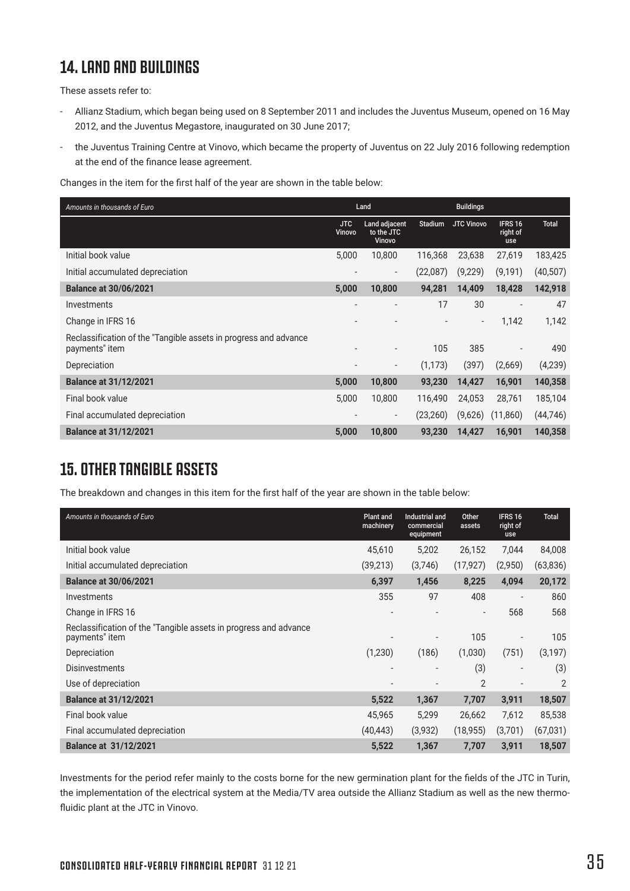## **14. LAND AND BUILDINGS**

These assets refer to:

- Allianz Stadium, which began being used on 8 September 2011 and includes the Juventus Museum, opened on 16 May 2012, and the Juventus Megastore, inaugurated on 30 June 2017;
- the Juventus Training Centre at Vinovo, which became the property of Juventus on 22 July 2016 following redemption at the end of the finance lease agreement.

Changes in the item for the first half of the year are shown in the table below:

| Amounts in thousands of Euro                                                       | Land                     |                                       | <b>Buildings</b> |                          |                                   |              |
|------------------------------------------------------------------------------------|--------------------------|---------------------------------------|------------------|--------------------------|-----------------------------------|--------------|
|                                                                                    | <b>JTC</b><br>Vinovo     | Land adjacent<br>to the JTC<br>Vinovo | Stadium          | <b>JTC Vinovo</b>        | IFRS 16<br>right of<br><b>use</b> | <b>Total</b> |
| Initial book value                                                                 | 5,000                    | 10,800                                | 116,368          | 23,638                   | 27,619                            | 183,425      |
| Initial accumulated depreciation                                                   |                          | $\overline{\phantom{a}}$              | (22,087)         | (9,229)                  | (9, 191)                          | (40, 507)    |
| <b>Balance at 30/06/2021</b>                                                       | 5,000                    | 10,800                                | 94,281           | 14,409                   | 18,428                            | 142,918      |
| Investments                                                                        | $\overline{\phantom{a}}$ | $\overline{\phantom{a}}$              | 17               | 30                       |                                   | 47           |
| Change in IFRS 16                                                                  |                          |                                       |                  | $\overline{\phantom{a}}$ | 1,142                             | 1,142        |
| Reclassification of the "Tangible assets in progress and advance<br>payments" item |                          | $\overline{\phantom{a}}$              | 105              | 385                      | $\overline{\phantom{a}}$          | 490          |
| Depreciation                                                                       |                          | $\overline{\phantom{a}}$              | (1, 173)         | (397)                    | (2,669)                           | (4,239)      |
| <b>Balance at 31/12/2021</b>                                                       | 5,000                    | 10,800                                | 93,230           | 14,427                   | 16,901                            | 140,358      |
| Final book value                                                                   | 5,000                    | 10,800                                | 116,490          | 24,053                   | 28,761                            | 185,104      |
| Final accumulated depreciation                                                     |                          | $\overline{\phantom{a}}$              | (23, 260)        | (9,626)                  | (11, 860)                         | (44,746)     |
| <b>Balance at 31/12/2021</b>                                                       | 5,000                    | 10,800                                | 93,230           | 14,427                   | 16,901                            | 140,358      |

#### **15. OTHER TANGIBLE ASSETS**

The breakdown and changes in this item for the first half of the year are shown in the table below:

| Amounts in thousands of Euro                                                       | <b>Plant and</b><br>machinery | Industrial and<br>commercial<br>equipment | Other<br>assets          | IFRS <sub>16</sub><br>right of<br><b>use</b> | <b>Total</b>   |
|------------------------------------------------------------------------------------|-------------------------------|-------------------------------------------|--------------------------|----------------------------------------------|----------------|
| Initial book value                                                                 | 45,610                        | 5,202                                     | 26,152                   | 7,044                                        | 84,008         |
| Initial accumulated depreciation                                                   | (39, 213)                     | (3,746)                                   | (17, 927)                | (2,950)                                      | (63,836)       |
| <b>Balance at 30/06/2021</b>                                                       | 6,397                         | 1,456                                     | 8,225                    | 4,094                                        | 20,172         |
| Investments                                                                        | 355                           | 97                                        | 408                      |                                              | 860            |
| Change in IFRS 16                                                                  |                               |                                           | $\overline{\phantom{a}}$ | 568                                          | 568            |
| Reclassification of the "Tangible assets in progress and advance<br>payments" item |                               | $\overline{\phantom{a}}$                  | 105                      |                                              | 105            |
| Depreciation                                                                       | (1,230)                       | (186)                                     | (1,030)                  | (751)                                        | (3, 197)       |
| <b>Disinvestments</b>                                                              |                               | $\overline{\phantom{0}}$                  | (3)                      |                                              | (3)            |
| Use of depreciation                                                                |                               |                                           | $\overline{2}$           |                                              | $\overline{2}$ |
| <b>Balance at 31/12/2021</b>                                                       | 5,522                         | 1,367                                     | 7,707                    | 3,911                                        | 18,507         |
| Final book value                                                                   | 45,965                        | 5,299                                     | 26,662                   | 7,612                                        | 85,538         |
| Final accumulated depreciation                                                     | (40, 443)                     | (3,932)                                   | (18, 955)                | (3,701)                                      | (67,031)       |
| <b>Balance at 31/12/2021</b>                                                       | 5,522                         | 1,367                                     | 7,707                    | 3,911                                        | 18,507         |
|                                                                                    |                               |                                           |                          |                                              |                |

Investments for the period refer mainly to the costs borne for the new germination plant for the fields of the JTC in Turin, the implementation of the electrical system at the Media/TV area outside the Allianz Stadium as well as the new thermofluidic plant at the JTC in Vinovo.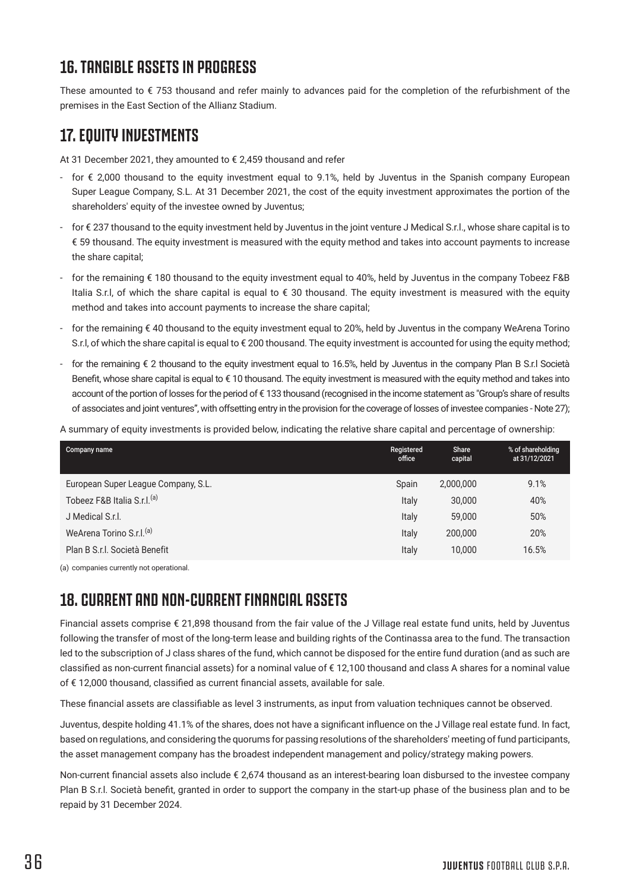#### **16. TANGIBLE ASSETS IN PROGRESS**

These amounted to € 753 thousand and refer mainly to advances paid for the completion of the refurbishment of the premises in the East Section of the Allianz Stadium.

#### **17. EQUITY INVESTMENTS**

At 31 December 2021, they amounted to € 2,459 thousand and refer

- for € 2,000 thousand to the equity investment equal to 9.1%, held by Juventus in the Spanish company European Super League Company, S.L. At 31 December 2021, the cost of the equity investment approximates the portion of the shareholders' equity of the investee owned by Juventus;
- for € 237 thousand to the equity investment held by Juventus in the joint venture J Medical S.r.l., whose share capital is to € 59 thousand. The equity investment is measured with the equity method and takes into account payments to increase the share capital;
- for the remaining € 180 thousand to the equity investment equal to 40%, held by Juventus in the company Tobeez F&B Italia S.r.l, of which the share capital is equal to  $\epsilon$  30 thousand. The equity investment is measured with the equity method and takes into account payments to increase the share capital;
- for the remaining € 40 thousand to the equity investment equal to 20%, held by Juventus in the company WeArena Torino S.r.l, of which the share capital is equal to  $\epsilon$  200 thousand. The equity investment is accounted for using the equity method;
- for the remaining € 2 thousand to the equity investment equal to 16.5%, held by Juventus in the company Plan B S.r.l Società Benefit, whose share capital is equal to € 10 thousand. The equity investment is measured with the equity method and takes into account of the portion of losses for the period of € 133 thousand (recognised in the income statement as "Group's share of results of associates and joint ventures", with offsetting entry in the provision for the coverage of losses of investee companies - Note 27);

A summary of equity investments is provided below, indicating the relative share capital and percentage of ownership:

| Company name                            | Registered<br>office | Share<br>capital | % of shareholding<br>at 31/12/2021 |
|-----------------------------------------|----------------------|------------------|------------------------------------|
| European Super League Company, S.L.     | Spain                | 2,000,000        | 9.1%                               |
| Tobeez F&B Italia S.r.I. <sup>(a)</sup> | Italy                | 30,000           | 40%                                |
| J Medical S.r.l.                        | Italy                | 59,000           | 50%                                |
| WeArena Torino S.r.I. <sup>(a)</sup>    | Italy                | 200,000          | 20%                                |
| Plan B S.r.l. Società Benefit           | Italy                | 10,000           | 16.5%                              |

(a) companies currently not operational.

#### **18. CURRENT AND NON-CURRENT FINANCIAL ASSETS**

Financial assets comprise € 21,898 thousand from the fair value of the J Village real estate fund units, held by Juventus following the transfer of most of the long-term lease and building rights of the Continassa area to the fund. The transaction led to the subscription of J class shares of the fund, which cannot be disposed for the entire fund duration (and as such are classified as non-current financial assets) for a nominal value of € 12,100 thousand and class A shares for a nominal value of € 12,000 thousand, classified as current financial assets, available for sale.

These financial assets are classifiable as level 3 instruments, as input from valuation techniques cannot be observed.

Juventus, despite holding 41.1% of the shares, does not have a significant influence on the J Village real estate fund. In fact, based on regulations, and considering the quorums for passing resolutions of the shareholders' meeting of fund participants, the asset management company has the broadest independent management and policy/strategy making powers.

Non-current financial assets also include € 2,674 thousand as an interest-bearing loan disbursed to the investee company Plan B S.r.l. Società benefit, granted in order to support the company in the start-up phase of the business plan and to be repaid by 31 December 2024.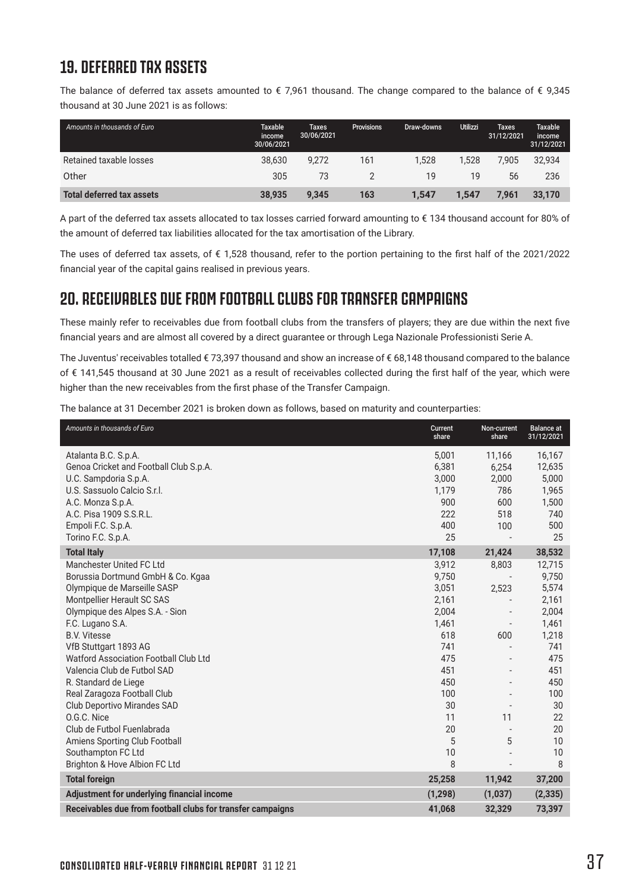#### **19. DEFERRED TAX ASSETS**

The balance of deferred tax assets amounted to € 7,961 thousand. The change compared to the balance of € 9,345 thousand at 30 June 2021 is as follows:

| Amounts in thousands of Euro | <b>Taxable</b><br>income<br>30/06/2021 | <b>Taxes</b><br>30/06/2021 | <b>Provisions</b> | Draw-downs | <b>Utilizzi</b> | Taxes<br>31/12/2021 | <b>Taxable</b><br>income<br>31/12/2021 |
|------------------------------|----------------------------------------|----------------------------|-------------------|------------|-----------------|---------------------|----------------------------------------|
| Retained taxable losses      | 38,630                                 | 9.272                      | 161               | 1.528      | 1.528           | 7.905               | 32,934                                 |
| Other                        | 305                                    | 73                         |                   | 19         | 19              | 56                  | 236                                    |
| Total deferred tax assets    | 38,935                                 | 9.345                      | 163               | 1.547      | 1.547           | 7.961               | 33.170                                 |

A part of the deferred tax assets allocated to tax losses carried forward amounting to € 134 thousand account for 80% of the amount of deferred tax liabilities allocated for the tax amortisation of the Library.

The uses of deferred tax assets, of € 1,528 thousand, refer to the portion pertaining to the first half of the 2021/2022 financial year of the capital gains realised in previous years.

#### **20. RECEIVABLES DUE FROM FOOTBALL CLUBS FOR TRANSFER CAMPAIGNS**

These mainly refer to receivables due from football clubs from the transfers of players; they are due within the next five financial years and are almost all covered by a direct guarantee or through Lega Nazionale Professionisti Serie A.

The Juventus' receivables totalled € 73,397 thousand and show an increase of € 68,148 thousand compared to the balance of € 141,545 thousand at 30 June 2021 as a result of receivables collected during the first half of the year, which were higher than the new receivables from the first phase of the Transfer Campaign.

The balance at 31 December 2021 is broken down as follows, based on maturity and counterparties:

| Amounts in thousands of Euro                               | <b>Current</b><br>share | Non-current<br>share     | <b>Balance</b> at<br>31/12/2021 |
|------------------------------------------------------------|-------------------------|--------------------------|---------------------------------|
| Atalanta B.C. S.p.A.                                       | 5,001                   | 11,166                   | 16,167                          |
| Genoa Cricket and Football Club S.p.A.                     | 6,381                   | 6,254                    | 12,635                          |
| U.C. Sampdoria S.p.A.                                      | 3,000                   | 2,000                    | 5,000                           |
| U.S. Sassuolo Calcio S.r.l.                                | 1.179                   | 786                      | 1,965                           |
| A.C. Monza S.p.A.                                          | 900                     | 600                      | 1,500                           |
| A.C. Pisa 1909 S.S.R.L.                                    | 222                     | 518                      | 740                             |
| Empoli F.C. S.p.A.                                         | 400                     | 100                      | 500                             |
| Torino F.C. S.p.A.                                         | 25                      |                          | 25                              |
| <b>Total Italy</b>                                         | 17,108                  | 21,424                   | 38,532                          |
| Manchester United FC Ltd                                   | 3,912                   | 8,803                    | 12,715                          |
| Borussia Dortmund GmbH & Co. Kgaa                          | 9,750                   |                          | 9,750                           |
| Olympique de Marseille SASP                                | 3,051                   | 2,523                    | 5,574                           |
| Montpellier Herault SC SAS                                 | 2,161                   |                          | 2,161                           |
| Olympique des Alpes S.A. - Sion                            | 2,004                   | $\overline{\phantom{a}}$ | 2,004                           |
| F.C. Lugano S.A.                                           | 1,461                   |                          | 1,461                           |
| <b>B.V. Vitesse</b>                                        | 618                     | 600                      | 1,218                           |
| VfB Stuttgart 1893 AG                                      | 741                     |                          | 741                             |
| Watford Association Football Club Ltd                      | 475                     |                          | 475                             |
| Valencia Club de Futbol SAD                                | 451                     |                          | 451                             |
| R. Standard de Liege                                       | 450                     |                          | 450                             |
| Real Zaragoza Football Club                                | 100                     |                          | 100                             |
| Club Deportivo Mirandes SAD                                | 30                      |                          | 30                              |
| O.G.C. Nice                                                | 11                      | 11                       | 22                              |
| Club de Futbol Fuenlabrada                                 | 20                      |                          | 20                              |
| Amiens Sporting Club Football                              | 5                       | 5                        | 10                              |
| Southampton FC Ltd                                         | 10                      |                          | 10                              |
| Brighton & Hove Albion FC Ltd                              | 8                       |                          | 8                               |
| <b>Total foreign</b>                                       | 25,258                  | 11,942                   | 37,200                          |
| Adjustment for underlying financial income                 | (1, 298)                | (1,037)                  | (2, 335)                        |
| Receivables due from football clubs for transfer campaigns | 41,068                  | 32,329                   | 73,397                          |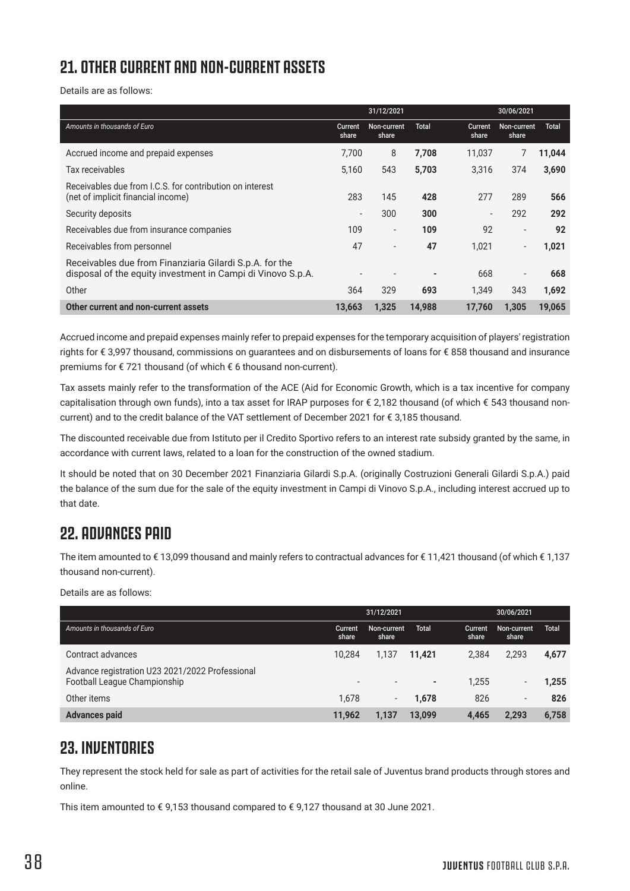## **21. OTHER CURRENT AND NON-CURRENT ASSETS**

Details are as follows:

|                                                                                                                        |                              | 31/12/2021               |              |                         | 30/06/2021               |              |
|------------------------------------------------------------------------------------------------------------------------|------------------------------|--------------------------|--------------|-------------------------|--------------------------|--------------|
| Amounts in thousands of Euro                                                                                           | <b>Current</b><br>share      | Non-current<br>share     | <b>Total</b> | <b>Current</b><br>share | Non-current<br>share     | <b>Total</b> |
| Accrued income and prepaid expenses                                                                                    | 7.700                        | 8                        | 7,708        | 11.037                  | 7                        | 11,044       |
| Tax receivables                                                                                                        | 5.160                        | 543                      | 5,703        | 3.316                   | 374                      | 3,690        |
| Receivables due from I.C.S. for contribution on interest<br>(net of implicit financial income)                         | 283                          | 145                      | 428          | 277                     | 289                      | 566          |
| Security deposits                                                                                                      | $\qquad \qquad \blacksquare$ | 300                      | 300          |                         | 292                      | 292          |
| Receivables due from insurance companies                                                                               | 109                          | $\overline{\phantom{a}}$ | 109          | 92                      | $\overline{\phantom{a}}$ | 92           |
| Receivables from personnel                                                                                             | 47                           | $\overline{\phantom{a}}$ | 47           | 1.021                   | $\overline{\phantom{a}}$ | 1,021        |
| Receivables due from Finanziaria Gilardi S.p.A. for the<br>disposal of the equity investment in Campi di Vinovo S.p.A. |                              |                          |              | 668                     | $\overline{\phantom{a}}$ | 668          |
| Other                                                                                                                  | 364                          | 329                      | 693          | 1.349                   | 343                      | 1,692        |
| Other current and non-current assets                                                                                   | 13.663                       | 1.325                    | 14,988       | 17.760                  | 1.305                    | 19.065       |

Accrued income and prepaid expenses mainly refer to prepaid expenses for the temporary acquisition of players' registration rights for € 3,997 thousand, commissions on guarantees and on disbursements of loans for € 858 thousand and insurance premiums for € 721 thousand (of which € 6 thousand non-current).

Tax assets mainly refer to the transformation of the ACE (Aid for Economic Growth, which is a tax incentive for company capitalisation through own funds), into a tax asset for IRAP purposes for € 2,182 thousand (of which € 543 thousand noncurrent) and to the credit balance of the VAT settlement of December 2021 for € 3,185 thousand.

The discounted receivable due from Istituto per il Credito Sportivo refers to an interest rate subsidy granted by the same, in accordance with current laws, related to a loan for the construction of the owned stadium.

It should be noted that on 30 December 2021 Finanziaria Gilardi S.p.A. (originally Costruzioni Generali Gilardi S.p.A.) paid the balance of the sum due for the sale of the equity investment in Campi di Vinovo S.p.A., including interest accrued up to that date.

### **22. ADVANCES PAID**

The item amounted to € 13,099 thousand and mainly refers to contractual advances for € 11,421 thousand (of which € 1,137 thousand non-current).

Details are as follows:

|                                                                                 |                          | 31/12/2021               |                          |                         | 30/06/2021               |              |
|---------------------------------------------------------------------------------|--------------------------|--------------------------|--------------------------|-------------------------|--------------------------|--------------|
| Amounts in thousands of Euro                                                    | <b>Current</b><br>share  | Non-current<br>share     | Total                    | <b>Current</b><br>share | Non-current<br>share     | <b>Total</b> |
| Contract advances                                                               | 10.284                   | 1.137                    | 11.421                   | 2.384                   | 2.293                    | 4,677        |
| Advance registration U23 2021/2022 Professional<br>Football League Championship | $\overline{\phantom{a}}$ | $\overline{\phantom{a}}$ | $\overline{\phantom{a}}$ | 1.255                   | $\overline{\phantom{a}}$ | 1,255        |
| Other items                                                                     | 1.678                    | $\overline{\phantom{0}}$ | 1.678                    | 826                     | $\overline{\phantom{a}}$ | 826          |
| <b>Advances paid</b>                                                            | 11.962                   | 1.137                    | 13.099                   | 4.465                   | 2.293                    | 6,758        |

#### **23. INVENTORIES**

They represent the stock held for sale as part of activities for the retail sale of Juventus brand products through stores and online.

This item amounted to  $\epsilon$  9,153 thousand compared to  $\epsilon$  9,127 thousand at 30 June 2021.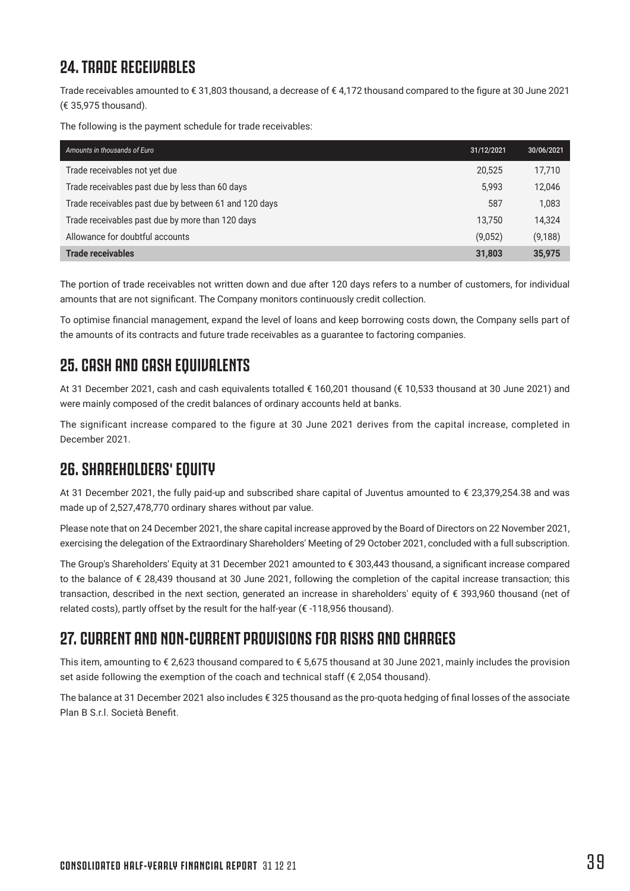#### **24. TRADE RECEIVABLES**

Trade receivables amounted to € 31,803 thousand, a decrease of € 4,172 thousand compared to the figure at 30 June 2021 (€ 35,975 thousand).

The following is the payment schedule for trade receivables:

| Amounts in thousands of Euro                          | 31/12/2021 | 30/06/2021 |
|-------------------------------------------------------|------------|------------|
| Trade receivables not yet due                         | 20.525     | 17,710     |
| Trade receivables past due by less than 60 days       | 5.993      | 12,046     |
| Trade receivables past due by between 61 and 120 days | 587        | 1,083      |
| Trade receivables past due by more than 120 days      | 13.750     | 14,324     |
| Allowance for doubtful accounts                       | (9,052)    | (9, 188)   |
| <b>Trade receivables</b>                              | 31.803     | 35,975     |

The portion of trade receivables not written down and due after 120 days refers to a number of customers, for individual amounts that are not significant. The Company monitors continuously credit collection.

To optimise financial management, expand the level of loans and keep borrowing costs down, the Company sells part of the amounts of its contracts and future trade receivables as a guarantee to factoring companies.

## **25. CASH AND CASH EQUIVALENTS**

At 31 December 2021, cash and cash equivalents totalled € 160,201 thousand (€ 10,533 thousand at 30 June 2021) and were mainly composed of the credit balances of ordinary accounts held at banks.

The significant increase compared to the figure at 30 June 2021 derives from the capital increase, completed in December 2021.

#### **26. SHAREHOLDERS' EQUITY**

At 31 December 2021, the fully paid-up and subscribed share capital of Juventus amounted to € 23,379,254.38 and was made up of 2,527,478,770 ordinary shares without par value.

Please note that on 24 December 2021, the share capital increase approved by the Board of Directors on 22 November 2021, exercising the delegation of the Extraordinary Shareholders' Meeting of 29 October 2021, concluded with a full subscription.

The Group's Shareholders' Equity at 31 December 2021 amounted to € 303,443 thousand, a significant increase compared to the balance of € 28,439 thousand at 30 June 2021, following the completion of the capital increase transaction; this transaction, described in the next section, generated an increase in shareholders' equity of € 393,960 thousand (net of related costs), partly offset by the result for the half-year ( $\epsilon$ -118,956 thousand).

#### **27. CURRENT AND NON-CURRENT PROVISIONS FOR RISKS AND CHARGES**

This item, amounting to  $\epsilon$  2,623 thousand compared to  $\epsilon$  5,675 thousand at 30 June 2021, mainly includes the provision set aside following the exemption of the coach and technical staff (€ 2,054 thousand).

The balance at 31 December 2021 also includes € 325 thousand as the pro-quota hedging of final losses of the associate Plan B S.r.l. Società Benefit.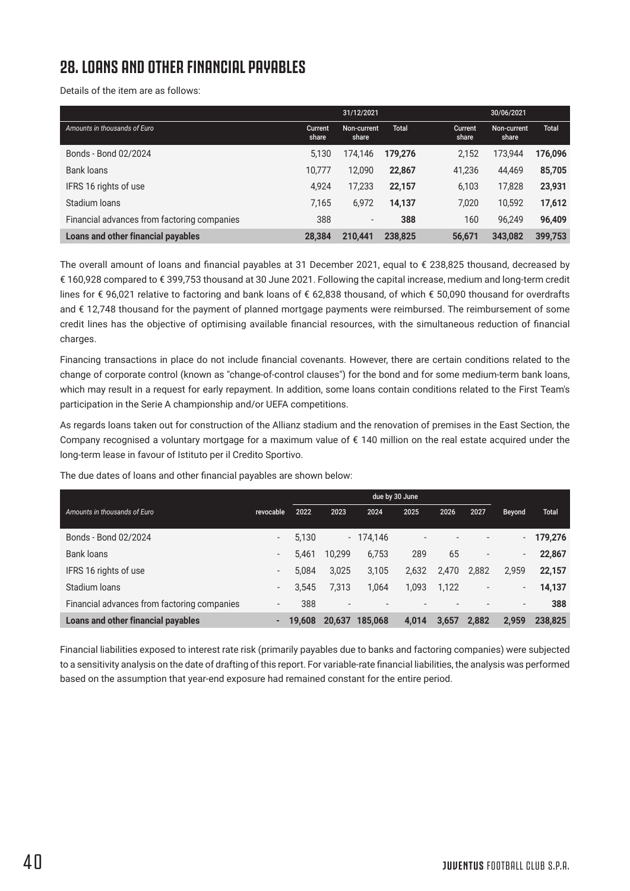#### **28. LOANS AND OTHER FINANCIAL PAYABLES**

Details of the item are as follows:

|                                             |                         | 31/12/2021               |              |                         | 30/06/2021           |              |
|---------------------------------------------|-------------------------|--------------------------|--------------|-------------------------|----------------------|--------------|
| Amounts in thousands of Euro                | <b>Current</b><br>share | Non-current<br>share     | <b>Total</b> | <b>Current</b><br>share | Non-current<br>share | <b>Total</b> |
| Bonds - Bond 02/2024                        | 5.130                   | 174.146                  | 179.276      | 2,152                   | 173.944              | 176,096      |
| Bank loans                                  | 10.777                  | 12.090                   | 22,867       | 41,236                  | 44,469               | 85,705       |
| IFRS 16 rights of use                       | 4.924                   | 17,233                   | 22,157       | 6,103                   | 17,828               | 23,931       |
| Stadium Ioans                               | 7.165                   | 6.972                    | 14,137       | 7.020                   | 10,592               | 17,612       |
| Financial advances from factoring companies | 388                     | $\overline{\phantom{0}}$ | 388          | 160                     | 96.249               | 96,409       |
| Loans and other financial payables          | 28.384                  | 210.441                  | 238,825      | 56,671                  | 343,082              | 399,753      |

The overall amount of loans and financial payables at 31 December 2021, equal to € 238,825 thousand, decreased by € 160,928 compared to € 399,753 thousand at 30 June 2021. Following the capital increase, medium and long-term credit lines for € 96,021 relative to factoring and bank loans of € 62,838 thousand, of which € 50,090 thousand for overdrafts and € 12,748 thousand for the payment of planned mortgage payments were reimbursed. The reimbursement of some credit lines has the objective of optimising available financial resources, with the simultaneous reduction of financial charges.

Financing transactions in place do not include financial covenants. However, there are certain conditions related to the change of corporate control (known as "change-of-control clauses") for the bond and for some medium-term bank loans, which may result in a request for early repayment. In addition, some loans contain conditions related to the First Team's participation in the Serie A championship and/or UEFA competitions.

As regards loans taken out for construction of the Allianz stadium and the renovation of premises in the East Section, the Company recognised a voluntary mortgage for a maximum value of € 140 million on the real estate acquired under the long-term lease in favour of Istituto per il Credito Sportivo.

|                                             | due by 30 June           |        |                          |            |                          |                          |                          |                          |              |
|---------------------------------------------|--------------------------|--------|--------------------------|------------|--------------------------|--------------------------|--------------------------|--------------------------|--------------|
| Amounts in thousands of Euro                | revocable                | 2022   | 2023                     | 2024       | 2025                     | 2026                     | 2027                     | <b>Beyond</b>            | <b>Total</b> |
| Bonds - Bond 02/2024                        | $\overline{\phantom{a}}$ | 5.130  |                          | $-174.146$ | $\overline{\phantom{0}}$ | $\overline{\phantom{a}}$ |                          | -                        | 179,276      |
| Bank loans                                  | $\overline{\phantom{a}}$ | 5.461  | 10.299                   | 6,753      | 289                      | 65                       | $\overline{\phantom{a}}$ | $\overline{\phantom{0}}$ | 22,867       |
| IFRS 16 rights of use                       | -                        | 5.084  | 3,025                    | 3.105      | 2,632                    | 2,470                    | 2,882                    | 2,959                    | 22,157       |
| Stadium Ioans                               | $\overline{\phantom{0}}$ | 3,545  | 7,313                    | 1,064      | 1.093                    | 1,122                    | $\overline{\phantom{a}}$ | $\overline{\phantom{a}}$ | 14,137       |
| Financial advances from factoring companies | $\overline{\phantom{0}}$ | 388    | $\overline{\phantom{a}}$ |            |                          | $\overline{\phantom{a}}$ |                          | $\overline{\phantom{a}}$ | 388          |
| Loans and other financial payables          |                          | 19,608 | 20.637                   | 185,068    | 4,014                    | 3,657                    | 2,882                    | 2,959                    | 238,825      |

The due dates of loans and other financial payables are shown below:

Financial liabilities exposed to interest rate risk (primarily payables due to banks and factoring companies) were subjected to a sensitivity analysis on the date of drafting of this report. For variable-rate financial liabilities, the analysis was performed based on the assumption that year-end exposure had remained constant for the entire period.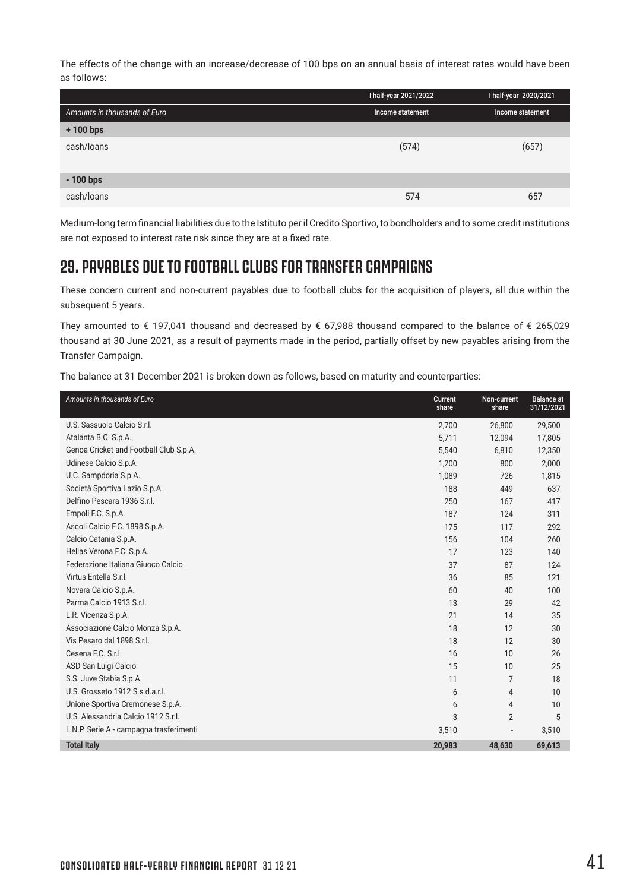The effects of the change with an increase/decrease of 100 bps on an annual basis of interest rates would have been as follows:

|                              | I half-year 2021/2022 | I half-year 2020/2021 |
|------------------------------|-----------------------|-----------------------|
| Amounts in thousands of Euro | Income statement      | Income statement      |
| $+100$ bps                   |                       |                       |
| cash/loans                   | (574)                 | (657)                 |
|                              |                       |                       |
| $-100$ bps                   |                       |                       |
| cash/loans                   | 574                   | 657                   |

Medium-long term financial liabilities due to the Istituto per il Credito Sportivo, to bondholders and to some credit institutions are not exposed to interest rate risk since they are at a fixed rate.

#### **29. PAYABLES DUE TO FOOTBALL CLUBS FOR TRANSFER CAMPAIGNS**

These concern current and non-current payables due to football clubs for the acquisition of players, all due within the subsequent 5 years.

They amounted to € 197,041 thousand and decreased by € 67,988 thousand compared to the balance of € 265,029 thousand at 30 June 2021, as a result of payments made in the period, partially offset by new payables arising from the Transfer Campaign.

The balance at 31 December 2021 is broken down as follows, based on maturity and counterparties:

| Amounts in thousands of Euro            | Current<br>share | Non-current<br>share     | <b>Balance</b> at<br>31/12/2021 |
|-----------------------------------------|------------------|--------------------------|---------------------------------|
| U.S. Sassuolo Calcio S.r.l.             | 2,700            | 26,800                   | 29,500                          |
| Atalanta B.C. S.p.A.                    | 5,711            | 12,094                   | 17,805                          |
| Genoa Cricket and Football Club S.p.A.  | 5,540            | 6,810                    | 12,350                          |
| Udinese Calcio S.p.A.                   | 1,200            | 800                      | 2,000                           |
| U.C. Sampdoria S.p.A.                   | 1,089            | 726                      | 1,815                           |
| Società Sportiva Lazio S.p.A.           | 188              | 449                      | 637                             |
| Delfino Pescara 1936 S.r.l.             | 250              | 167                      | 417                             |
| Empoli F.C. S.p.A.                      | 187              | 124                      | 311                             |
| Ascoli Calcio F.C. 1898 S.p.A.          | 175              | 117                      | 292                             |
| Calcio Catania S.p.A.                   | 156              | 104                      | 260                             |
| Hellas Verona F.C. S.p.A.               | 17               | 123                      | 140                             |
| Federazione Italiana Giuoco Calcio      | 37               | 87                       | 124                             |
| Virtus Entella S.r.l.                   | 36               | 85                       | 121                             |
| Novara Calcio S.p.A.                    | 60               | 40                       | 100                             |
| Parma Calcio 1913 S.r.l.                | 13               | 29                       | 42                              |
| L.R. Vicenza S.p.A.                     | 21               | 14                       | 35                              |
| Associazione Calcio Monza S.p.A.        | 18               | 12                       | 30                              |
| Vis Pesaro dal 1898 S.r.l.              | 18               | 12                       | 30                              |
| Cesena F.C. S.r.l.                      | 16               | 10                       | 26                              |
| ASD San Luigi Calcio                    | 15               | 10                       | 25                              |
| S.S. Juve Stabia S.p.A.                 | 11               | $\overline{7}$           | 18                              |
| U.S. Grosseto 1912 S.s.d.a.r.l.         | 6                | 4                        | 10                              |
| Unione Sportiva Cremonese S.p.A.        | 6                | $\overline{4}$           | 10                              |
| U.S. Alessandria Calcio 1912 S.r.l.     | 3                | $\overline{2}$           | 5                               |
| L.N.P. Serie A - campagna trasferimenti | 3,510            | $\overline{\phantom{a}}$ | 3,510                           |
| <b>Total Italy</b>                      | 20,983           | 48,630                   | 69,613                          |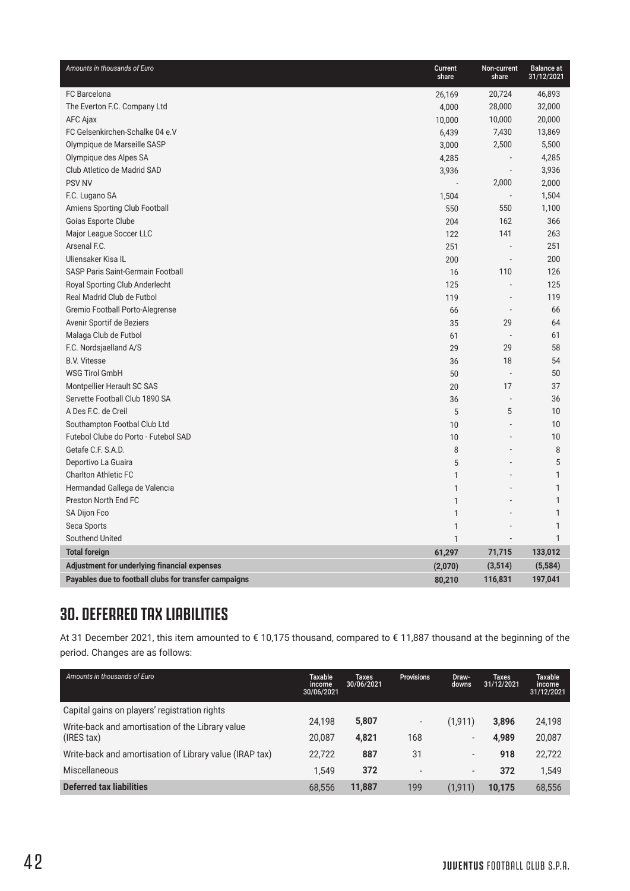| Amounts in thousands of Euro                          | Current<br>share | Non-current<br>share | <b>Balance</b> at<br>31/12/2021 |
|-------------------------------------------------------|------------------|----------------------|---------------------------------|
| <b>FC</b> Barcelona                                   | 26,169           | 20,724               | 46,893                          |
| The Everton F.C. Company Ltd                          | 4,000            | 28,000               | 32,000                          |
| AFC Ajax                                              | 10,000           | 10,000               | 20,000                          |
| FC Gelsenkirchen-Schalke 04 e.V                       | 6,439            | 7,430                | 13,869                          |
| Olympique de Marseille SASP                           | 3,000            | 2,500                | 5,500                           |
| Olympique des Alpes SA                                | 4,285            | $\overline{a}$       | 4,285                           |
| Club Atletico de Madrid SAD                           | 3,936            | $\overline{a}$       | 3,936                           |
| <b>PSV NV</b>                                         |                  | 2,000                | 2,000                           |
| F.C. Lugano SA                                        | 1,504            | $\overline{a}$       | 1,504                           |
| Amiens Sporting Club Football                         | 550              | 550                  | 1,100                           |
| Goias Esporte Clube                                   | 204              | 162                  | 366                             |
| Major League Soccer LLC                               | 122              | 141                  | 263                             |
| Arsenal F.C.                                          | 251              | $\overline{a}$       | 251                             |
| Uliensaker Kisa IL                                    | 200              | Ĭ.                   | 200                             |
| <b>SASP Paris Saint-Germain Football</b>              | 16               | 110                  | 126                             |
| Royal Sporting Club Anderlecht                        | 125              | $\overline{a}$       | 125                             |
| Real Madrid Club de Futbol                            | 119              | $\overline{a}$       | 119                             |
| Gremio Football Porto-Alegrense                       | 66               | $\overline{a}$       | 66                              |
| Avenir Sportif de Beziers                             | 35               | 29                   | 64                              |
| Malaga Club de Futbol                                 | 61               |                      | 61                              |
| F.C. Nordsjaelland A/S                                | 29               | 29                   | 58                              |
| <b>B.V. Vitesse</b>                                   | 36               | 18                   | 54                              |
| <b>WSG Tirol GmbH</b>                                 | 50               | $\overline{a}$       | 50                              |
| Montpellier Herault SC SAS                            | 20               | 17                   | 37                              |
| Servette Football Club 1890 SA                        | 36               | $\overline{a}$       | 36                              |
| A Des F.C. de Creil                                   | 5                | 5                    | 10                              |
| Southampton Footbal Club Ltd                          | 10               | $\overline{a}$       | 10                              |
| Futebol Clube do Porto - Futebol SAD                  | 10               | $\overline{a}$       | 10                              |
| Getafe C.F. S.A.D.                                    | 8                |                      | 8                               |
| Deportivo La Guaira                                   | 5                |                      | 5                               |
| Charlton Athletic FC                                  | $\mathbf{1}$     |                      | 1                               |
| Hermandad Gallega de Valencia                         | $\mathbf{1}$     |                      | $\mathbf{1}$                    |
| Preston North End FC                                  | 1                |                      | $\mathbf{1}$                    |
| SA Dijon Fco                                          | 1                |                      | $\mathbf{1}$                    |
| Seca Sports                                           | 1                |                      | 1                               |
| Southend United                                       | $\mathbf{1}$     | $\overline{a}$       | 1                               |
| <b>Total foreign</b>                                  | 61,297           | 71,715               | 133,012                         |
| Adjustment for underlying financial expenses          | (2,070)          | (3, 514)             | (5, 584)                        |
| Payables due to football clubs for transfer campaigns | 80,210           | 116,831              | 197,041                         |

#### **30. DEFERRED TAX LIABILITIES**

At 31 December 2021, this item amounted to € 10,175 thousand, compared to € 11,887 thousand at the beginning of the period. Changes are as follows:

| Amounts in thousands of Euro                            | Taxable<br>income<br>30/06/2021 | Taxes<br>30/06/2021 | <b>Provisions</b>        | Draw-<br>downs.          | Taxes<br>31/12/2021 | Taxable<br>income<br>31/12/2021 |
|---------------------------------------------------------|---------------------------------|---------------------|--------------------------|--------------------------|---------------------|---------------------------------|
| Capital gains on players' registration rights           |                                 |                     |                          |                          |                     |                                 |
| Write-back and amortisation of the Library value        | 24.198                          | 5,807               | $\overline{\phantom{a}}$ | (1,911)                  | 3,896               | 24,198                          |
| (IRES tax)                                              | 20,087                          | 4,821               | 168                      | $\overline{\phantom{0}}$ | 4.989               | 20,087                          |
| Write-back and amortisation of Library value (IRAP tax) | 22.722                          | 887                 | 31                       | $\overline{\phantom{a}}$ | 918                 | 22,722                          |
| Miscellaneous                                           | 1.549                           | 372                 | $\overline{\phantom{0}}$ | $\overline{\phantom{a}}$ | 372                 | 1.549                           |
| <b>Deferred tax liabilities</b>                         | 68.556                          | 11.887              | 199                      | (1.911)                  | 10.175              | 68,556                          |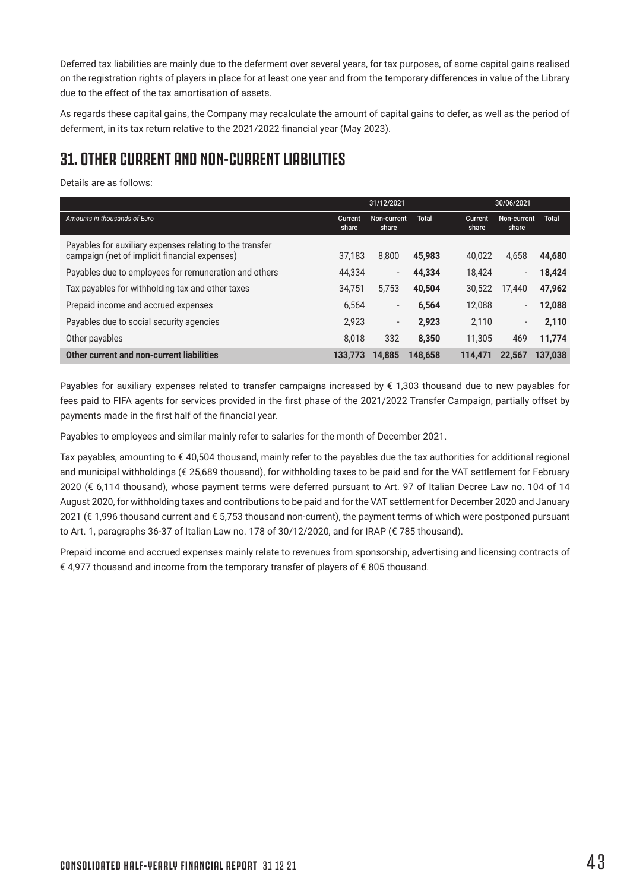Deferred tax liabilities are mainly due to the deferment over several years, for tax purposes, of some capital gains realised on the registration rights of players in place for at least one year and from the temporary differences in value of the Library due to the effect of the tax amortisation of assets.

As regards these capital gains, the Company may recalculate the amount of capital gains to defer, as well as the period of deferment, in its tax return relative to the 2021/2022 financial year (May 2023).

### **31. OTHER CURRENT AND NON-CURRENT LIABILITIES**

Details are as follows:

|                                                                                                           | 31/12/2021        |                          |              | 30/06/2021       |                          |              |
|-----------------------------------------------------------------------------------------------------------|-------------------|--------------------------|--------------|------------------|--------------------------|--------------|
| Amounts in thousands of Euro                                                                              | Current.<br>share | Non-current<br>share     | <b>Total</b> | Current<br>share | Non-current<br>share     | <b>Total</b> |
| Payables for auxiliary expenses relating to the transfer<br>campaign (net of implicit financial expenses) | 37.183            | 8.800                    | 45.983       | 40.022           | 4,658                    | 44,680       |
| Payables due to employees for remuneration and others                                                     | 44.334            | $\overline{\phantom{a}}$ | 44.334       | 18.424           | $\overline{\phantom{a}}$ | 18,424       |
| Tax payables for withholding tax and other taxes                                                          | 34,751            | 5.753                    | 40.504       | 30,522           | 17.440                   | 47,962       |
| Prepaid income and accrued expenses                                                                       | 6.564             | $\overline{\phantom{a}}$ | 6.564        | 12,088           | $\overline{\phantom{a}}$ | 12,088       |
| Payables due to social security agencies                                                                  | 2.923             | $\overline{\phantom{a}}$ | 2.923        | 2.110            | $\overline{\phantom{a}}$ | 2,110        |
| Other payables                                                                                            | 8.018             | 332                      | 8.350        | 11.305           | 469                      | 11,774       |
| Other current and non-current liabilities                                                                 | 133.773           | 14.885                   | 148,658      | 114.471          | 22.567                   | 137.038      |

Payables for auxiliary expenses related to transfer campaigns increased by € 1,303 thousand due to new payables for fees paid to FIFA agents for services provided in the first phase of the 2021/2022 Transfer Campaign, partially offset by payments made in the first half of the financial year.

Payables to employees and similar mainly refer to salaries for the month of December 2021.

Tax payables, amounting to € 40,504 thousand, mainly refer to the payables due the tax authorities for additional regional and municipal withholdings (€ 25,689 thousand), for withholding taxes to be paid and for the VAT settlement for February 2020 (€ 6,114 thousand), whose payment terms were deferred pursuant to Art. 97 of Italian Decree Law no. 104 of 14 August 2020, for withholding taxes and contributions to be paid and for the VAT settlement for December 2020 and January 2021 (€ 1,996 thousand current and € 5,753 thousand non-current), the payment terms of which were postponed pursuant to Art. 1, paragraphs 36-37 of Italian Law no. 178 of 30/12/2020, and for IRAP (€ 785 thousand).

Prepaid income and accrued expenses mainly relate to revenues from sponsorship, advertising and licensing contracts of € 4,977 thousand and income from the temporary transfer of players of € 805 thousand.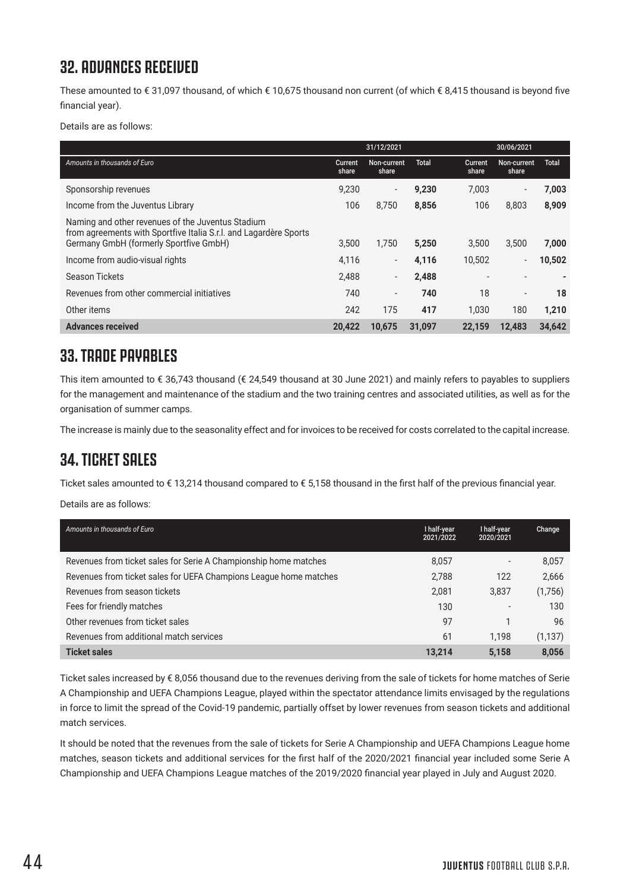### **32. ADVANCES RECEIVED**

These amounted to € 31,097 thousand, of which € 10,675 thousand non current (of which € 8,415 thousand is beyond five financial year).

Details are as follows:

|                                                                                                                                                                  |                         | 31/12/2021               |              |                         | 30/06/2021               |              |
|------------------------------------------------------------------------------------------------------------------------------------------------------------------|-------------------------|--------------------------|--------------|-------------------------|--------------------------|--------------|
| Amounts in thousands of Euro                                                                                                                                     | <b>Current</b><br>share | Non-current<br>share     | <b>Total</b> | <b>Current</b><br>share | Non-current<br>share     | <b>Total</b> |
| Sponsorship revenues                                                                                                                                             | 9,230                   | $\overline{\phantom{a}}$ | 9,230        | 7.003                   | $\overline{\phantom{a}}$ | 7,003        |
| Income from the Juventus Library                                                                                                                                 | 106                     | 8,750                    | 8,856        | 106                     | 8,803                    | 8,909        |
| Naming and other revenues of the Juventus Stadium<br>from agreements with Sportfive Italia S.r.l. and Lagardère Sports<br>Germany GmbH (formerly Sportfive GmbH) | 3.500                   | 1.750                    | 5.250        | 3.500                   | 3.500                    | 7,000        |
| Income from audio-visual rights                                                                                                                                  | 4,116                   | $\overline{\phantom{a}}$ | 4,116        | 10,502                  | $\overline{\phantom{a}}$ | 10,502       |
| Season Tickets                                                                                                                                                   | 2.488                   | $\overline{\phantom{a}}$ | 2,488        |                         |                          |              |
| Revenues from other commercial initiatives                                                                                                                       | 740                     | $\overline{\phantom{0}}$ | 740          | 18                      | $\overline{\phantom{a}}$ | 18           |
| Other items                                                                                                                                                      | 242                     | 175                      | 417          | 1.030                   | 180                      | 1,210        |
| <b>Advances received</b>                                                                                                                                         | 20.422                  | 10,675                   | 31,097       | 22.159                  | 12,483                   | 34,642       |

### **33. TRADE PAYABLES**

This item amounted to € 36,743 thousand (€ 24,549 thousand at 30 June 2021) and mainly refers to payables to suppliers for the management and maintenance of the stadium and the two training centres and associated utilities, as well as for the organisation of summer camps.

The increase is mainly due to the seasonality effect and for invoices to be received for costs correlated to the capital increase.

#### **34. TICKET SALES**

Ticket sales amounted to € 13,214 thousand compared to € 5,158 thousand in the first half of the previous financial year.

Details are as follows:

| Amounts in thousands of Euro                                      | I half-year<br>2021/2022 | I half-year<br>2020/2021 | Change   |
|-------------------------------------------------------------------|--------------------------|--------------------------|----------|
| Revenues from ticket sales for Serie A Championship home matches  | 8.057                    |                          | 8,057    |
| Revenues from ticket sales for UEFA Champions League home matches | 2,788                    | 122                      | 2,666    |
| Revenues from season tickets                                      | 2.081                    | 3.837                    | (1,756)  |
| Fees for friendly matches                                         | 130                      | $\overline{\phantom{a}}$ | 130      |
| Other revenues from ticket sales                                  | 97                       |                          | 96       |
| Revenues from additional match services                           | 61                       | 1.198                    | (1, 137) |
| <b>Ticket sales</b>                                               | 13.214                   | 5.158                    | 8,056    |

Ticket sales increased by € 8,056 thousand due to the revenues deriving from the sale of tickets for home matches of Serie A Championship and UEFA Champions League, played within the spectator attendance limits envisaged by the regulations in force to limit the spread of the Covid-19 pandemic, partially offset by lower revenues from season tickets and additional match services.

It should be noted that the revenues from the sale of tickets for Serie A Championship and UEFA Champions League home matches, season tickets and additional services for the first half of the 2020/2021 financial year included some Serie A Championship and UEFA Champions League matches of the 2019/2020 financial year played in July and August 2020.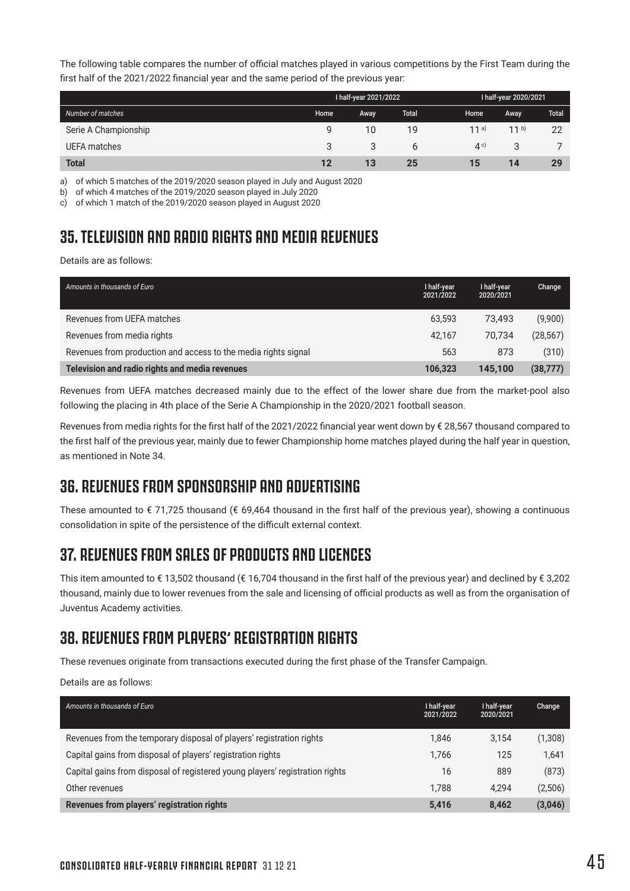The following table compares the number of official matches played in various competitions by the First Team during the first half of the 2021/2022 financial year and the same period of the previous year:

|                      |      | I half-year 2021/2022 |              |                | I half-year 2020/2021 |              |
|----------------------|------|-----------------------|--------------|----------------|-----------------------|--------------|
| Number of matches    | Home | Away                  | <b>Total</b> | Home           | Away                  | <b>Total</b> |
| Serie A Championship | 9    | 10                    | 19           | 11a)           | 11 <sup>b</sup>       | 22           |
| <b>UEFA</b> matches  | 3    | 3                     | 6            | 4 <sup>c</sup> | 3                     |              |
| <b>Total</b>         | 12   | 13                    | 25           | 15             | 14                    | 29           |

a) of which 5 matches of the 2019/2020 season played in July and August 2020

b) of which 4 matches of the 2019/2020 season played in July 2020

c) of which 1 match of the 2019/2020 season played in August 2020

### **35. TELEVISION AND RADIO RIGHTS AND MEDIA REVENUES**

Details are as follows:

| Amounts in thousands of Euro                                   | I half-year<br>2021/2022 | I half-year<br>2020/2021 | Change    |
|----------------------------------------------------------------|--------------------------|--------------------------|-----------|
| Revenues from UEFA matches                                     | 63,593                   | 73.493                   | (9,900)   |
| Revenues from media rights                                     | 42.167                   | 70.734                   | (28, 567) |
| Revenues from production and access to the media rights signal | 563                      | 873                      | (310)     |
| Television and radio rights and media revenues                 | 106.323                  | 145.100                  | (38, 777) |

Revenues from UEFA matches decreased mainly due to the effect of the lower share due from the market-pool also following the placing in 4th place of the Serie A Championship in the 2020/2021 football season.

Revenues from media rights for the first half of the 2021/2022 financial year went down by € 28,567 thousand compared to the first half of the previous year, mainly due to fewer Championship home matches played during the half year in question, as mentioned in Note 34.

#### **36. REVENUES FROM SPONSORSHIP AND ADVERTISING**

These amounted to  $\epsilon$  71,725 thousand ( $\epsilon$  69,464 thousand in the first half of the previous year), showing a continuous consolidation in spite of the persistence of the difficult external context.

#### **37. REVENUES FROM SALES OF PRODUCTS AND LICENCES**

This item amounted to € 13,502 thousand (€ 16,704 thousand in the first half of the previous year) and declined by € 3,202 thousand, mainly due to lower revenues from the sale and licensing of official products as well as from the organisation of Juventus Academy activities.

#### **38. REVENUES FROM PLAYERS' REGISTRATION RIGHTS**

These revenues originate from transactions executed during the first phase of the Transfer Campaign.

Details are as follows:

| Amounts in thousands of Euro                                                 | I half-year<br>2021/2022 | I half-year<br>2020/2021 | Change  |
|------------------------------------------------------------------------------|--------------------------|--------------------------|---------|
| Revenues from the temporary disposal of players' registration rights         | 1.846                    | 3.154                    | (1,308) |
| Capital gains from disposal of players' registration rights                  | 1.766                    | 125                      | 1.641   |
| Capital gains from disposal of registered young players' registration rights | 16                       | 889                      | (873)   |
| Other revenues                                                               | 1.788                    | 4.294                    | (2,506) |
| Revenues from players' registration rights                                   | 5,416                    | 8.462                    | (3,046) |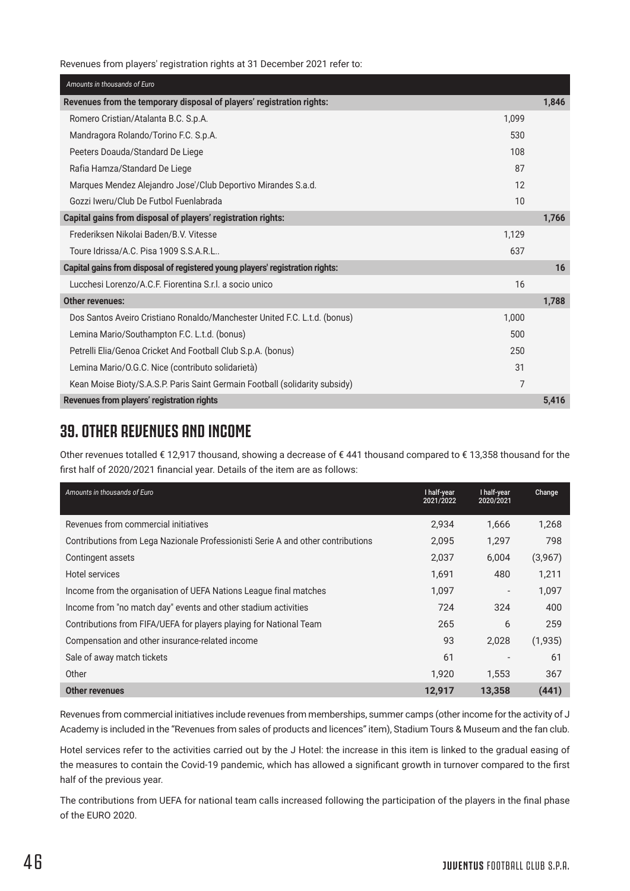Revenues from players' registration rights at 31 December 2021 refer to:

| Amounts in thousands of Euro                                                  |       |    |
|-------------------------------------------------------------------------------|-------|----|
| Revenues from the temporary disposal of players' registration rights:         | 1,846 |    |
| Romero Cristian/Atalanta B.C. S.p.A.                                          | 1,099 |    |
| Mandragora Rolando/Torino F.C. S.p.A.                                         | 530   |    |
| Peeters Doauda/Standard De Liege                                              | 108   |    |
| Rafia Hamza/Standard De Liege                                                 | 87    |    |
| Marques Mendez Alejandro Jose'/Club Deportivo Mirandes S.a.d.                 | 12    |    |
| Gozzi Iweru/Club De Futbol Fuenlabrada                                        | 10    |    |
| Capital gains from disposal of players' registration rights:                  | 1,766 |    |
| Frederiksen Nikolai Baden/B.V. Vitesse                                        | 1,129 |    |
| Toure Idrissa/A.C. Pisa 1909 S.S.A.R.L                                        | 637   |    |
| Capital gains from disposal of registered young players' registration rights: |       | 16 |
| Lucchesi Lorenzo/A.C.F. Fiorentina S.r.l. a socio unico                       | 16    |    |
| Other revenues:                                                               | 1,788 |    |
| Dos Santos Aveiro Cristiano Ronaldo/Manchester United F.C. L.t.d. (bonus)     | 1,000 |    |
| Lemina Mario/Southampton F.C. L.t.d. (bonus)                                  | 500   |    |
| Petrelli Elia/Genoa Cricket And Football Club S.p.A. (bonus)                  | 250   |    |
| Lemina Mario/O.G.C. Nice (contributo solidarietà)                             | 31    |    |
| Kean Moise Bioty/S.A.S.P. Paris Saint Germain Football (solidarity subsidy)   | 7     |    |
| Revenues from players' registration rights                                    | 5,416 |    |

#### **39. OTHER REVENUES AND INCOME**

Other revenues totalled € 12,917 thousand, showing a decrease of € 441 thousand compared to € 13,358 thousand for the first half of 2020/2021 financial year. Details of the item are as follows:

| Amounts in thousands of Euro                                                     | I half-year<br>2021/2022 | I half-year<br>2020/2021 | Change  |
|----------------------------------------------------------------------------------|--------------------------|--------------------------|---------|
| Revenues from commercial initiatives                                             | 2,934                    | 1.666                    | 1,268   |
| Contributions from Lega Nazionale Professionisti Serie A and other contributions | 2.095                    | 1.297                    | 798     |
| Contingent assets                                                                | 2,037                    | 6,004                    | (3,967) |
| Hotel services                                                                   | 1.691                    | 480                      | 1.211   |
| Income from the organisation of UEFA Nations League final matches                | 1,097                    |                          | 1,097   |
| Income from "no match day" events and other stadium activities                   | 724                      | 324                      | 400     |
| Contributions from FIFA/UEFA for players playing for National Team               | 265                      | 6                        | 259     |
| Compensation and other insurance-related income                                  | 93                       | 2,028                    | (1,935) |
| Sale of away match tickets                                                       | 61                       |                          | 61      |
| Other                                                                            | 1,920                    | 1,553                    | 367     |
| Other revenues                                                                   | 12,917                   | 13,358                   | (441)   |

Revenues from commercial initiatives include revenues from memberships, summer camps (other income for the activity of J Academy is included in the "Revenues from sales of products and licences" item), Stadium Tours & Museum and the fan club.

Hotel services refer to the activities carried out by the J Hotel: the increase in this item is linked to the gradual easing of the measures to contain the Covid-19 pandemic, which has allowed a significant growth in turnover compared to the first half of the previous year.

The contributions from UEFA for national team calls increased following the participation of the players in the final phase of the EURO 2020.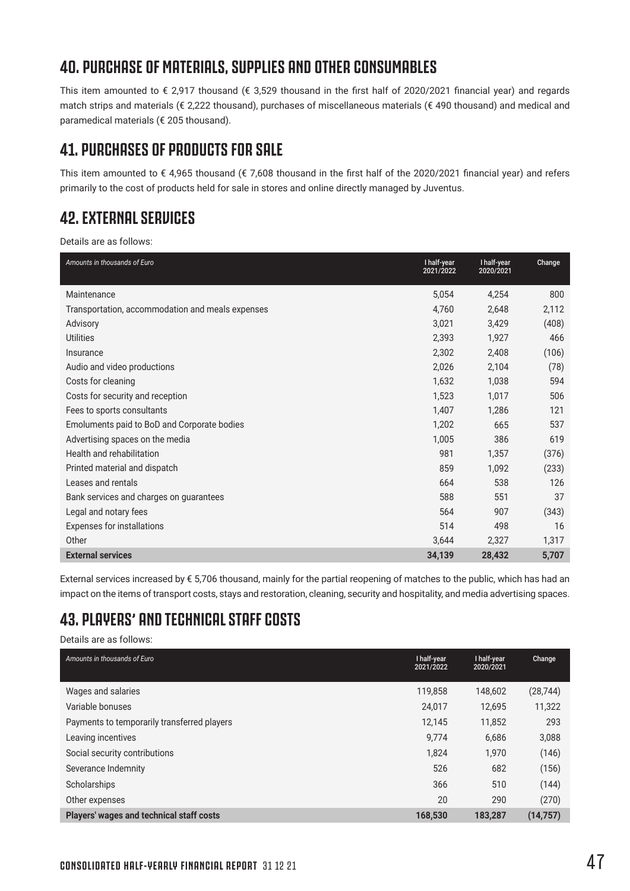### **40. PURCHASE OF MATERIALS, SUPPLIES AND OTHER CONSUMABLES**

This item amounted to  $\epsilon$  2,917 thousand ( $\epsilon$  3,529 thousand in the first half of 2020/2021 financial year) and regards match strips and materials (€ 2,222 thousand), purchases of miscellaneous materials (€ 490 thousand) and medical and paramedical materials (€ 205 thousand).

#### **41. PURCHASES OF PRODUCTS FOR SALE**

This item amounted to  $\epsilon$  4,965 thousand ( $\epsilon$  7,608 thousand in the first half of the 2020/2021 financial year) and refers primarily to the cost of products held for sale in stores and online directly managed by Juventus.

### **42. EXTERNAL SERVICES**

Details are as follows:

| Amounts in thousands of Euro                     | I half-year<br>2021/2022 | I half-year<br>2020/2021 | Change |
|--------------------------------------------------|--------------------------|--------------------------|--------|
| Maintenance                                      | 5,054                    | 4,254                    | 800    |
| Transportation, accommodation and meals expenses | 4,760                    | 2,648                    | 2,112  |
| Advisory                                         | 3,021                    | 3,429                    | (408)  |
| Utilities                                        | 2,393                    | 1,927                    | 466    |
| Insurance                                        | 2,302                    | 2,408                    | (106)  |
| Audio and video productions                      | 2,026                    | 2,104                    | (78)   |
| Costs for cleaning                               | 1,632                    | 1,038                    | 594    |
| Costs for security and reception                 | 1,523                    | 1,017                    | 506    |
| Fees to sports consultants                       | 1,407                    | 1,286                    | 121    |
| Emoluments paid to BoD and Corporate bodies      | 1,202                    | 665                      | 537    |
| Advertising spaces on the media                  | 1,005                    | 386                      | 619    |
| Health and rehabilitation                        | 981                      | 1,357                    | (376)  |
| Printed material and dispatch                    | 859                      | 1,092                    | (233)  |
| Leases and rentals                               | 664                      | 538                      | 126    |
| Bank services and charges on guarantees          | 588                      | 551                      | 37     |
| Legal and notary fees                            | 564                      | 907                      | (343)  |
| Expenses for installations                       | 514                      | 498                      | 16     |
| Other                                            | 3,644                    | 2,327                    | 1,317  |
| <b>External services</b>                         | 34,139                   | 28,432                   | 5,707  |

External services increased by  $\epsilon$  5,706 thousand, mainly for the partial reopening of matches to the public, which has had an impact on the items of transport costs, stays and restoration, cleaning, security and hospitality, and media advertising spaces.

### **43. PLAYERS' AND TECHNICAL STAFF COSTS**

Details are as follows:

| Amounts in thousands of Euro                | I half-year<br>2021/2022 | I half-year<br>2020/2021 | Change    |
|---------------------------------------------|--------------------------|--------------------------|-----------|
| Wages and salaries                          | 119.858                  | 148.602                  | (28, 744) |
| Variable bonuses                            | 24.017                   | 12.695                   | 11,322    |
| Payments to temporarily transferred players | 12.145                   | 11,852                   | 293       |
| Leaving incentives                          | 9.774                    | 6.686                    | 3,088     |
| Social security contributions               | 1.824                    | 1.970                    | (146)     |
| Severance Indemnity                         | 526                      | 682                      | (156)     |
| Scholarships                                | 366                      | 510                      | (144)     |
| Other expenses                              | 20                       | 290                      | (270)     |
| Players' wages and technical staff costs    | 168,530                  | 183,287                  | (14,757)  |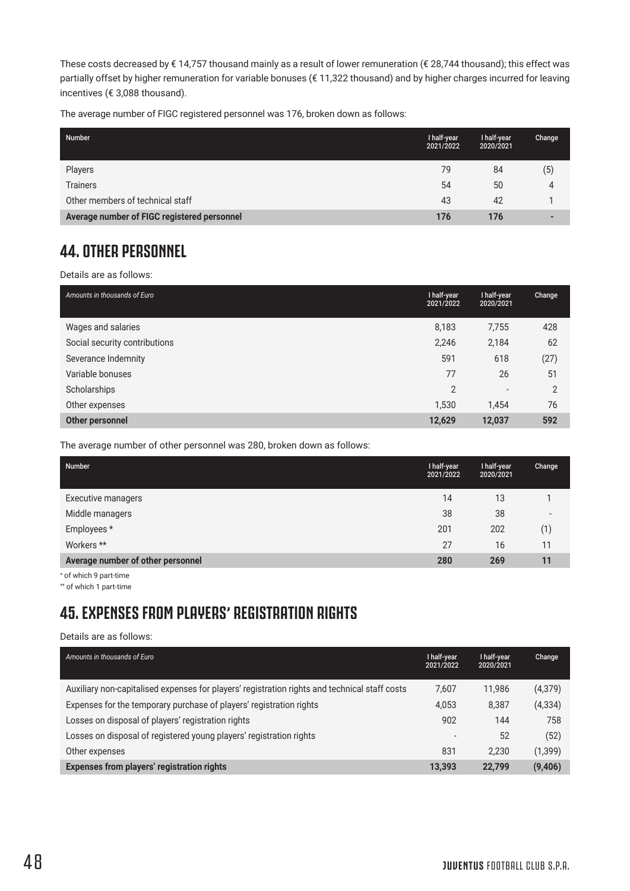These costs decreased by € 14,757 thousand mainly as a result of lower remuneration (€ 28,744 thousand); this effect was partially offset by higher remuneration for variable bonuses (€ 11,322 thousand) and by higher charges incurred for leaving incentives (€ 3,088 thousand).

The average number of FIGC registered personnel was 176, broken down as follows:

| <b>Number</b>                               | I half-year<br>2021/2022 | I half-year<br>2020/2021 | Change |
|---------------------------------------------|--------------------------|--------------------------|--------|
| Players                                     | 79                       | 84                       | (5)    |
| <b>Trainers</b>                             | 54                       | 50                       | 4      |
| Other members of technical staff            | 43                       | 42                       |        |
| Average number of FIGC registered personnel | 176                      | 176                      | -      |

#### **44. OTHER PERSONNEL**

Details are as follows:

| Amounts in thousands of Euro  | I half-year<br>2021/2022 | I half-year<br>2020/2021 | Change         |
|-------------------------------|--------------------------|--------------------------|----------------|
| Wages and salaries            | 8,183                    | 7,755                    | 428            |
| Social security contributions | 2,246                    | 2,184                    | 62             |
| Severance Indemnity           | 591                      | 618                      | (27)           |
| Variable bonuses              | 77                       | 26                       | 51             |
| Scholarships                  | 2                        | $\overline{\phantom{a}}$ | $\mathfrak{D}$ |
| Other expenses                | 1,530                    | 1.454                    | 76             |
| Other personnel               | 12,629                   | 12,037                   | 592            |

The average number of other personnel was 280, broken down as follows:

| <b>Number</b>                     | I half-year<br>2021/2022 | I half-year<br>2020/2021 | Change |
|-----------------------------------|--------------------------|--------------------------|--------|
| Executive managers                | 14                       | 13                       |        |
| Middle managers                   | 38                       | 38                       |        |
| Employees *                       | 201                      | 202                      | (1)    |
| Workers **                        | 27                       | 16                       | 11     |
| Average number of other personnel | 280                      | 269                      | 11     |

\* of which 9 part-time

\*\* of which 1 part-time

### **45. EXPENSES FROM PLAYERS' REGISTRATION RIGHTS**

#### Details are as follows:

| Amounts in thousands of Euro                                                                  | I half-year<br>2021/2022 | I half-year<br>2020/2021 | Change   |
|-----------------------------------------------------------------------------------------------|--------------------------|--------------------------|----------|
| Auxiliary non-capitalised expenses for players' registration rights and technical staff costs | 7,607                    | 11.986                   | (4,379)  |
| Expenses for the temporary purchase of players' registration rights                           | 4,053                    | 8.387                    | (4, 334) |
| Losses on disposal of players' registration rights                                            | 902                      | 144                      | 758      |
| Losses on disposal of registered young players' registration rights                           | -                        | 52                       | (52)     |
| Other expenses                                                                                | 831                      | 2.230                    | (1, 399) |
| Expenses from players' registration rights                                                    | 13.393                   | 22.799                   | (9,406)  |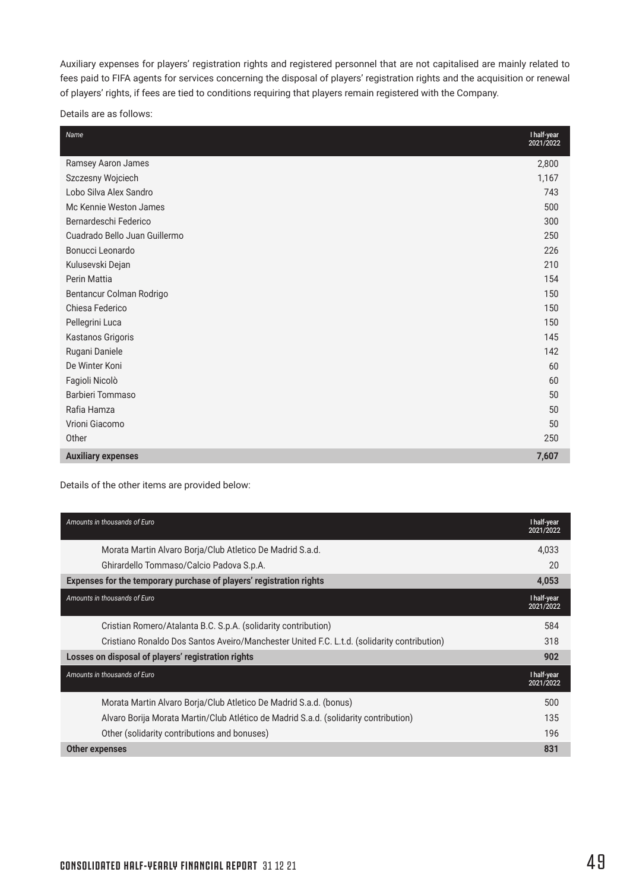Auxiliary expenses for players' registration rights and registered personnel that are not capitalised are mainly related to fees paid to FIFA agents for services concerning the disposal of players' registration rights and the acquisition or renewal of players' rights, if fees are tied to conditions requiring that players remain registered with the Company.

Details are as follows:

| Name                          | I half-year<br>2021/2022 |
|-------------------------------|--------------------------|
| Ramsey Aaron James            | 2,800                    |
| Szczesny Wojciech             | 1,167                    |
| Lobo Silva Alex Sandro        | 743                      |
| Mc Kennie Weston James        | 500                      |
| Bernardeschi Federico         | 300                      |
| Cuadrado Bello Juan Guillermo | 250                      |
| Bonucci Leonardo              | 226                      |
| Kulusevski Dejan              | 210                      |
| Perin Mattia                  | 154                      |
| Bentancur Colman Rodrigo      | 150                      |
| Chiesa Federico               | 150                      |
| Pellegrini Luca               | 150                      |
| Kastanos Grigoris             | 145                      |
| Rugani Daniele                | 142                      |
| De Winter Koni                | 60                       |
| Fagioli Nicolò                | 60                       |
| <b>Barbieri Tommaso</b>       | 50                       |
| Rafia Hamza                   | 50                       |
| Vrioni Giacomo                | 50                       |
| Other                         | 250                      |
| <b>Auxiliary expenses</b>     | 7,607                    |

Details of the other items are provided below:

| Amounts in thousands of Euro                                                                | I half-year<br>2021/2022 |
|---------------------------------------------------------------------------------------------|--------------------------|
| Morata Martin Alvaro Borja/Club Atletico De Madrid S.a.d.                                   | 4,033                    |
| Ghirardello Tommaso/Calcio Padova S.p.A.                                                    | 20                       |
| Expenses for the temporary purchase of players' registration rights                         | 4,053                    |
| Amounts in thousands of Euro                                                                | I half-year<br>2021/2022 |
| Cristian Romero/Atalanta B.C. S.p.A. (solidarity contribution)                              | 584                      |
| Cristiano Ronaldo Dos Santos Aveiro/Manchester United F.C. L.t.d. (solidarity contribution) | 318                      |
| Losses on disposal of players' registration rights                                          | 902                      |
| Amounts in thousands of Euro                                                                | I half-year<br>2021/2022 |
| Morata Martin Alvaro Borja/Club Atletico De Madrid S.a.d. (bonus)                           | 500                      |
| Alvaro Borija Morata Martin/Club Atlético de Madrid S.a.d. (solidarity contribution)        | 135                      |
| Other (solidarity contributions and bonuses)                                                | 196                      |
| <b>Other expenses</b>                                                                       | 831                      |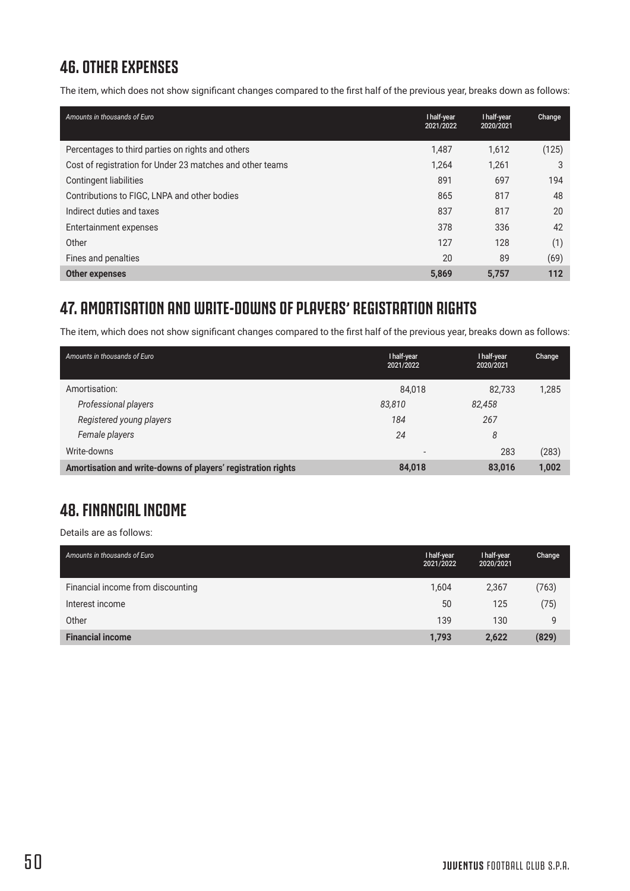#### **46. OTHER EXPENSES**

The item, which does not show significant changes compared to the first half of the previous year, breaks down as follows:

| Amounts in thousands of Euro                              | I half-year<br>2021/2022 | I half-year<br>2020/2021 | Change |
|-----------------------------------------------------------|--------------------------|--------------------------|--------|
| Percentages to third parties on rights and others         | 1.487                    | 1,612                    | (125)  |
| Cost of registration for Under 23 matches and other teams | 1.264                    | 1,261                    | 3      |
| <b>Contingent liabilities</b>                             | 891                      | 697                      | 194    |
| Contributions to FIGC, LNPA and other bodies              | 865                      | 817                      | 48     |
| Indirect duties and taxes                                 | 837                      | 817                      | 20     |
| Entertainment expenses                                    | 378                      | 336                      | 42     |
| Other                                                     | 127                      | 128                      | (1)    |
| Fines and penalties                                       | 20                       | 89                       | (69)   |
| <b>Other expenses</b>                                     | 5,869                    | 5,757                    | 112    |

#### **47. AMORTISATION AND WRITE-DOWNS OF PLAYERS' REGISTRATION RIGHTS**

The item, which does not show significant changes compared to the first half of the previous year, breaks down as follows:

| Amounts in thousands of Euro                                 | I half-year<br>2021/2022 | I half-year<br>2020/2021 | Change |
|--------------------------------------------------------------|--------------------------|--------------------------|--------|
| Amortisation:                                                | 84.018                   | 82.733                   | 1.285  |
| Professional players                                         | 83,810                   | 82,458                   |        |
| Registered young players                                     | 184                      | 267                      |        |
| Female players                                               | 24                       | 8                        |        |
| Write-downs                                                  | $\overline{\phantom{0}}$ | 283                      | (283)  |
| Amortisation and write-downs of players' registration rights | 84,018                   | 83,016                   | 1,002  |

#### **48. FINANCIAL INCOME**

Details are as follows:

| Amounts in thousands of Euro      | I half-year<br>2021/2022 | I half-year<br>2020/2021 | Change |
|-----------------------------------|--------------------------|--------------------------|--------|
| Financial income from discounting | 1,604                    | 2,367                    | (763)  |
| Interest income                   | 50                       | 125                      | (75)   |
| Other                             | 139                      | 130                      | 9      |
| <b>Financial income</b>           | 1.793                    | 2,622                    | (829)  |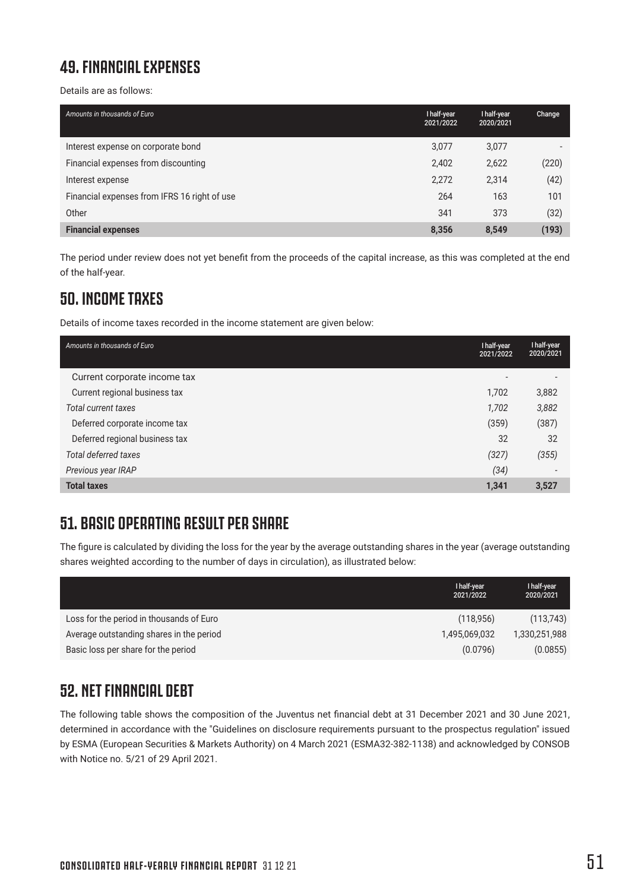#### **49. FINANCIAL EXPENSES**

Details are as follows:

| Amounts in thousands of Euro                 | I half-year<br>2021/2022 | I half-year<br>2020/2021 | Change                   |
|----------------------------------------------|--------------------------|--------------------------|--------------------------|
| Interest expense on corporate bond           | 3.077                    | 3,077                    | $\overline{\phantom{0}}$ |
| Financial expenses from discounting          | 2,402                    | 2,622                    | (220)                    |
| Interest expense                             | 2,272                    | 2,314                    | (42)                     |
| Financial expenses from IFRS 16 right of use | 264                      | 163                      | 101                      |
| Other                                        | 341                      | 373                      | (32)                     |
| <b>Financial expenses</b>                    | 8,356                    | 8,549                    | (193)                    |

The period under review does not yet benefit from the proceeds of the capital increase, as this was completed at the end of the half-year.

#### **50. INCOME TAXES**

Details of income taxes recorded in the income statement are given below:

| Amounts in thousands of Euro   | I half-year<br>2021/2022 | I half-year<br>2020/2021 |
|--------------------------------|--------------------------|--------------------------|
| Current corporate income tax   |                          |                          |
| Current regional business tax  | 1,702                    | 3,882                    |
| Total current taxes            | 1.702                    | 3,882                    |
| Deferred corporate income tax  | (359)                    | (387)                    |
| Deferred regional business tax | 32                       | 32                       |
| <b>Total deferred taxes</b>    | (327)                    | (355)                    |
| Previous year IRAP             | (34)                     |                          |
| <b>Total taxes</b>             | 1,341                    | 3,527                    |

### **51. BASIC OPERATING RESULT PER SHARE**

The figure is calculated by dividing the loss for the year by the average outstanding shares in the year (average outstanding shares weighted according to the number of days in circulation), as illustrated below:

|                                          | I half-year<br>2021/2022 | I half-year<br>2020/2021 |
|------------------------------------------|--------------------------|--------------------------|
| Loss for the period in thousands of Euro | (118,956)                | (113, 743)               |
| Average outstanding shares in the period | 1,495,069,032            | 1,330,251,988            |
| Basic loss per share for the period      | (0.0796)                 | (0.0855)                 |

### **52. NET FINANCIAL DEBT**

The following table shows the composition of the Juventus net financial debt at 31 December 2021 and 30 June 2021, determined in accordance with the "Guidelines on disclosure requirements pursuant to the prospectus regulation" issued by ESMA (European Securities & Markets Authority) on 4 March 2021 (ESMA32-382-1138) and acknowledged by CONSOB with Notice no. 5/21 of 29 April 2021.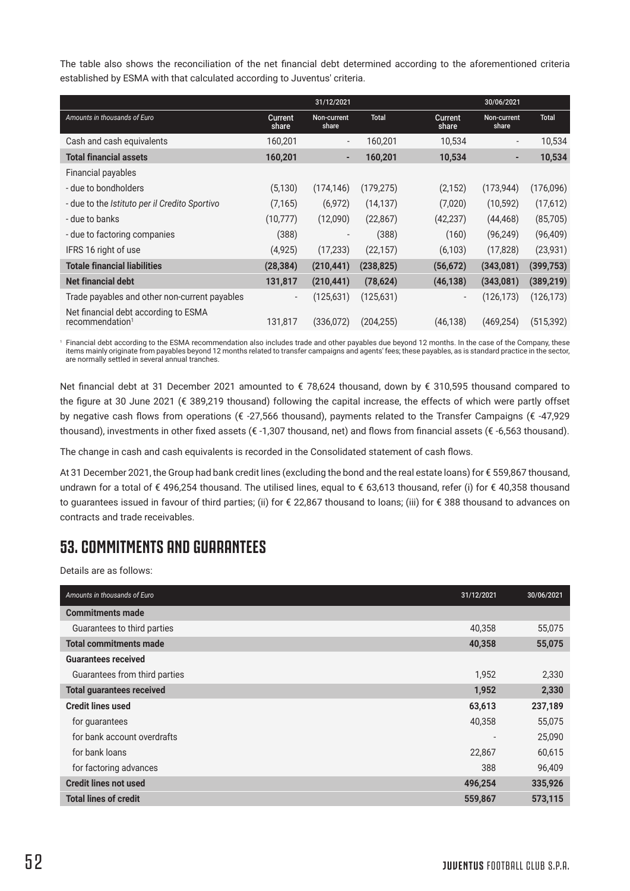The table also shows the reconciliation of the net financial debt determined according to the aforementioned criteria established by ESMA with that calculated according to Juventus' criteria.

|                                                                     |                          | 31/12/2021               |              |                         | 30/06/2021           |              |
|---------------------------------------------------------------------|--------------------------|--------------------------|--------------|-------------------------|----------------------|--------------|
| Amounts in thousands of Euro                                        | <b>Current</b><br>share  | Non-current<br>share     | <b>Total</b> | <b>Current</b><br>share | Non-current<br>share | <b>Total</b> |
| Cash and cash equivalents                                           | 160,201                  | $\overline{\phantom{a}}$ | 160,201      | 10,534                  |                      | 10,534       |
| <b>Total financial assets</b>                                       | 160,201                  | ٠                        | 160,201      | 10,534                  |                      | 10,534       |
| Financial payables                                                  |                          |                          |              |                         |                      |              |
| - due to bondholders                                                | (5, 130)                 | (174, 146)               | (179, 275)   | (2, 152)                | (173, 944)           | (176,096)    |
| - due to the Istituto per il Credito Sportivo                       | (7, 165)                 | (6,972)                  | (14, 137)    | (7,020)                 | (10, 592)            | (17,612)     |
| - due to banks                                                      | (10,777)                 | (12,090)                 | (22, 867)    | (42, 237)               | (44, 468)            | (85,705)     |
| - due to factoring companies                                        | (388)                    | $\overline{\phantom{a}}$ | (388)        | (160)                   | (96, 249)            | (96, 409)    |
| IFRS 16 right of use                                                | (4, 925)                 | (17, 233)                | (22, 157)    | (6,103)                 | (17, 828)            | (23,931)     |
| <b>Totale financial liabilities</b>                                 | (28, 384)                | (210, 441)               | (238, 825)   | (56, 672)               | (343,081)            | (399, 753)   |
| <b>Net financial debt</b>                                           | 131,817                  | (210, 441)               | (78, 624)    | (46, 138)               | (343,081)            | (389, 219)   |
| Trade payables and other non-current payables                       | $\overline{\phantom{a}}$ | (125, 631)               | (125, 631)   | $\overline{a}$          | (126, 173)           | (126, 173)   |
| Net financial debt according to ESMA<br>recommendation <sup>1</sup> | 131,817                  | (336,072)                | (204, 255)   | (46, 138)               | (469, 254)           | (515, 392)   |

1 Financial debt according to the ESMA recommendation also includes trade and other payables due beyond 12 months. In the case of the Company, these items mainly originate from payables beyond 12 months related to transfer campaigns and agents' fees; these payables, as is standard practice in the sector, are normally settled in several annual tranches.

Net financial debt at 31 December 2021 amounted to € 78,624 thousand, down by € 310,595 thousand compared to the figure at 30 June 2021 (€ 389,219 thousand) following the capital increase, the effects of which were partly offset by negative cash flows from operations (€ -27,566 thousand), payments related to the Transfer Campaigns (€ -47,929 thousand), investments in other fixed assets (€ -1,307 thousand, net) and flows from financial assets (€ -6,563 thousand).

The change in cash and cash equivalents is recorded in the Consolidated statement of cash flows.

At 31 December 2021, the Group had bank credit lines (excluding the bond and the real estate loans) for € 559,867 thousand, undrawn for a total of € 496,254 thousand. The utilised lines, equal to € 63,613 thousand, refer (i) for € 40,358 thousand to guarantees issued in favour of third parties; (ii) for € 22,867 thousand to loans; (iii) for € 388 thousand to advances on contracts and trade receivables.

#### **53. COMMITMENTS AND GUARANTEES**

Details are as follows:

| Amounts in thousands of Euro     | 31/12/2021 | 30/06/2021 |
|----------------------------------|------------|------------|
| <b>Commitments made</b>          |            |            |
| Guarantees to third parties      | 40,358     | 55,075     |
| <b>Total commitments made</b>    | 40,358     | 55,075     |
| <b>Guarantees received</b>       |            |            |
| Guarantees from third parties    | 1,952      | 2,330      |
| <b>Total guarantees received</b> | 1,952      | 2,330      |
| <b>Credit lines used</b>         | 63,613     | 237,189    |
| for guarantees                   | 40,358     | 55,075     |
| for bank account overdrafts      |            | 25,090     |
| for bank loans                   | 22,867     | 60,615     |
| for factoring advances           | 388        | 96,409     |
| <b>Credit lines not used</b>     | 496,254    | 335,926    |
| <b>Total lines of credit</b>     | 559,867    | 573,115    |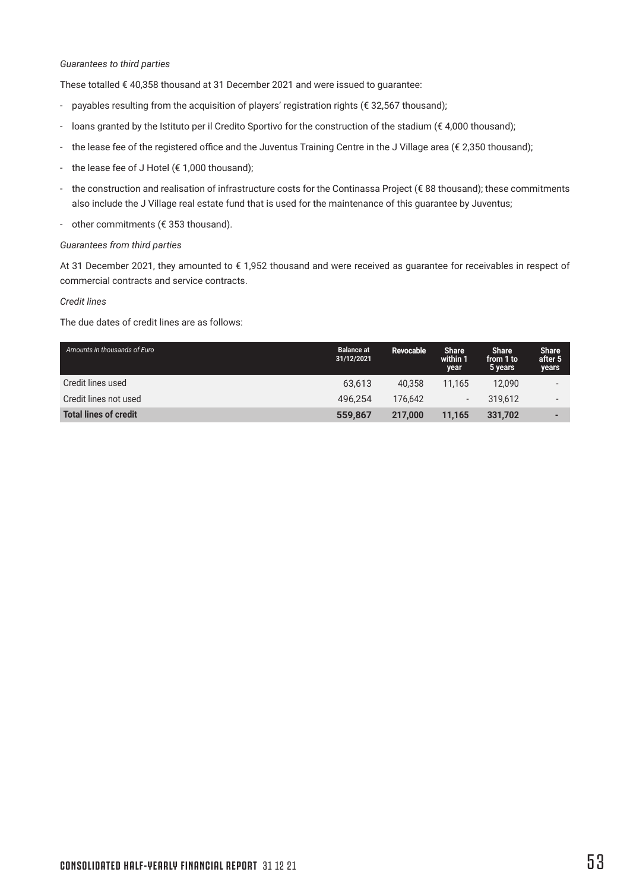#### *Guarantees to third parties*

These totalled € 40,358 thousand at 31 December 2021 and were issued to guarantee:

- payables resulting from the acquisition of players' registration rights (€ 32,567 thousand);
- loans granted by the Istituto per il Credito Sportivo for the construction of the stadium (€ 4,000 thousand);
- the lease fee of the registered office and the Juventus Training Centre in the J Village area (€ 2,350 thousand);
- the lease fee of J Hotel ( $\epsilon$  1,000 thousand);
- the construction and realisation of infrastructure costs for the Continassa Project (€ 88 thousand); these commitments also include the J Village real estate fund that is used for the maintenance of this guarantee by Juventus;
- other commitments (€ 353 thousand).

#### *Guarantees from third parties*

At 31 December 2021, they amounted to € 1,952 thousand and were received as guarantee for receivables in respect of commercial contracts and service contracts.

#### *Credit lines*

The due dates of credit lines are as follows:

| Amounts in thousands of Euro | <b>Balance at</b><br>31/12/2021 | Revocable | <b>Share</b><br>within 1<br>year | <b>Share</b><br>from 1 to<br>5 years | <b>Share</b><br>after 5<br>years |
|------------------------------|---------------------------------|-----------|----------------------------------|--------------------------------------|----------------------------------|
| Credit lines used            | 63.613                          | 40.358    | 11.165                           | 12.090                               | $\overline{\phantom{0}}$         |
| Credit lines not used        | 496.254                         | 176.642   | $\overline{\phantom{a}}$         | 319.612                              |                                  |
| <b>Total lines of credit</b> | 559.867                         | 217.000   | 11.165                           | 331.702                              |                                  |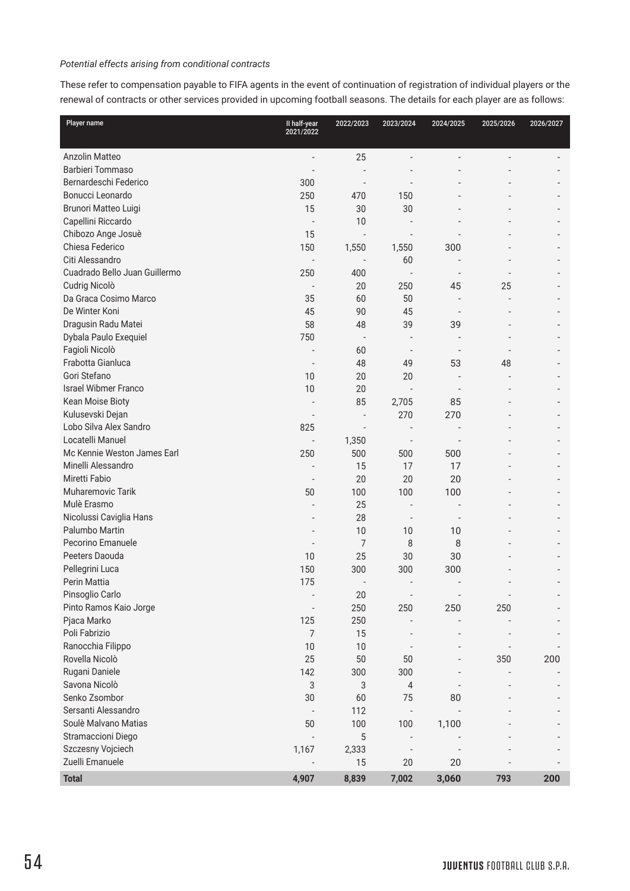#### *Potential effects arising from conditional contracts*

These refer to compensation payable to FIFA agents in the event of continuation of registration of individual players or the renewal of contracts or other services provided in upcoming football seasons. The details for each player are as follows:

| Player name                   | II half-year<br>2021/2022 | 2022/2023                | 2023/2024                | 2024/2025                | 2025/2026      | 2026/2027 |
|-------------------------------|---------------------------|--------------------------|--------------------------|--------------------------|----------------|-----------|
|                               |                           |                          |                          |                          |                |           |
| <b>Anzolin Matteo</b>         |                           | 25                       |                          |                          |                |           |
| Barbieri Tommaso              |                           |                          |                          |                          |                |           |
| Bernardeschi Federico         | 300                       |                          |                          |                          |                |           |
| Bonucci Leonardo              | 250                       | 470                      | 150                      |                          |                |           |
| Brunori Matteo Luigi          | 15                        | 30                       | 30                       |                          |                |           |
| Capellini Riccardo            | $\overline{\phantom{a}}$  | 10                       |                          |                          |                |           |
| Chibozo Ange Josuè            | 15                        | $\overline{\phantom{a}}$ |                          |                          |                |           |
| Chiesa Federico               | 150                       | 1,550                    | 1,550                    | 300                      |                |           |
| Citi Alessandro               | $\overline{\phantom{a}}$  |                          | 60                       |                          |                |           |
| Cuadrado Bello Juan Guillermo | 250                       | 400                      | $\overline{a}$           |                          |                |           |
| Cudrig Nicolò                 |                           | 20                       | 250                      | 45                       | 25             |           |
| Da Graca Cosimo Marco         | 35                        | 60                       | 50                       |                          |                |           |
| De Winter Koni                | 45                        | 90                       | 45                       |                          |                |           |
| Dragusin Radu Matei           | 58                        | 48                       | 39                       | 39                       |                |           |
| Dybala Paulo Exequiel         | 750                       |                          |                          |                          |                |           |
| Fagioli Nicolò                | $\overline{a}$            | 60                       |                          |                          |                |           |
| Frabotta Gianluca             | $\overline{\phantom{a}}$  | 48                       | 49                       | 53                       | 48             |           |
| Gori Stefano                  | 10                        | 20                       | 20                       |                          |                |           |
| <b>Israel Wibmer Franco</b>   | 10                        | 20                       |                          |                          |                |           |
| Kean Moise Bioty              | $\overline{\phantom{a}}$  | 85                       | 2,705                    | 85                       |                |           |
| Kulusevski Dejan              | $\overline{a}$            | $\overline{\phantom{a}}$ | 270                      | 270                      |                |           |
| Lobo Silva Alex Sandro        | 825                       | $\overline{\phantom{a}}$ |                          | $\overline{\phantom{a}}$ |                |           |
| Locatelli Manuel              | $\overline{\phantom{a}}$  | 1,350                    | $\overline{\phantom{a}}$ |                          |                |           |
| Mc Kennie Weston James Earl   | 250                       | 500                      | 500                      | 500                      |                |           |
| Minelli Alessandro            | $\overline{\phantom{a}}$  | 15                       | 17                       | 17                       |                |           |
| Miretti Fabio                 | $\overline{\phantom{a}}$  | 20                       | 20                       | 20                       |                |           |
| <b>Muharemovic Tarik</b>      | 50                        | 100                      | 100                      | 100                      |                |           |
| Mulè Erasmo                   | $\overline{a}$            | 25                       |                          |                          |                |           |
| Nicolussi Caviglia Hans       |                           | 28                       |                          |                          |                |           |
| Palumbo Martin                |                           | 10                       | 10                       | 10                       |                |           |
| Pecorino Emanuele             |                           | 7                        | 8                        | 8                        |                |           |
| Peeters Daouda                | 10                        | 25                       | 30                       | 30                       |                |           |
| Pellegrini Luca               | 150                       | 300                      | 300                      | 300                      |                |           |
| Perin Mattia                  | 175                       | $\overline{a}$           |                          | $\overline{a}$           |                |           |
| Pinsoglio Carlo               | $\overline{\phantom{0}}$  | 20                       |                          |                          | $\overline{a}$ |           |
| Pinto Ramos Kaio Jorge        |                           | 250                      | 250                      | 250                      | 250            |           |
| Pjaca Marko                   | 125                       | 250                      |                          |                          |                |           |
| Poli Fabrizio                 | 7                         | 15                       |                          |                          |                |           |
| Ranocchia Filippo             | 10                        | 10                       |                          |                          |                |           |
| Rovella Nicolò                | 25                        | 50                       | 50                       |                          | 350            | 200       |
| Rugani Daniele                | 142                       | 300                      | 300                      |                          |                |           |
| Savona Nicolò                 | 3                         | 3                        | 4                        |                          |                |           |
| Senko Zsombor                 | 30                        | 60                       | 75                       | 80                       |                |           |
| Sersanti Alessandro           | $\overline{\phantom{a}}$  | 112                      | $\overline{\phantom{a}}$ |                          |                |           |
| Soulè Malvano Matias          | 50                        | 100                      | 100                      | 1,100                    |                |           |
| Stramaccioni Diego            | $\overline{\phantom{a}}$  | 5                        |                          |                          |                |           |
| Szczesny Vojciech             | 1,167                     | 2,333                    |                          |                          |                |           |
| Zuelli Emanuele               |                           | 15                       | 20                       | 20                       |                |           |
| <b>Total</b>                  | 4,907                     | 8,839                    | 7,002                    | 3,060                    | 793            | 200       |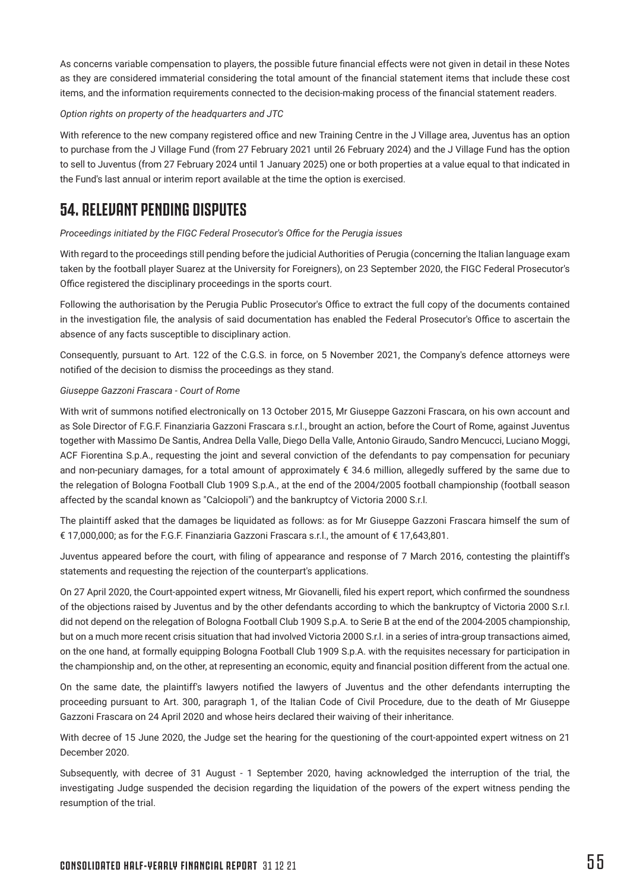As concerns variable compensation to players, the possible future financial effects were not given in detail in these Notes as they are considered immaterial considering the total amount of the financial statement items that include these cost items, and the information requirements connected to the decision-making process of the financial statement readers.

*Option rights on property of the headquarters and JTC*

With reference to the new company registered office and new Training Centre in the J Village area, Juventus has an option to purchase from the J Village Fund (from 27 February 2021 until 26 February 2024) and the J Village Fund has the option to sell to Juventus (from 27 February 2024 until 1 January 2025) one or both properties at a value equal to that indicated in the Fund's last annual or interim report available at the time the option is exercised.

#### **54. RELEVANT PENDING DISPUTES**

#### *Proceedings initiated by the FIGC Federal Prosecutor's Office for the Perugia issues*

With regard to the proceedings still pending before the judicial Authorities of Perugia (concerning the Italian language exam taken by the football player Suarez at the University for Foreigners), on 23 September 2020, the FIGC Federal Prosecutor's Office registered the disciplinary proceedings in the sports court.

Following the authorisation by the Perugia Public Prosecutor's Office to extract the full copy of the documents contained in the investigation file, the analysis of said documentation has enabled the Federal Prosecutor's Office to ascertain the absence of any facts susceptible to disciplinary action.

Consequently, pursuant to Art. 122 of the C.G.S. in force, on 5 November 2021, the Company's defence attorneys were notified of the decision to dismiss the proceedings as they stand.

#### *Giuseppe Gazzoni Frascara - Court of Rome*

With writ of summons notified electronically on 13 October 2015, Mr Giuseppe Gazzoni Frascara, on his own account and as Sole Director of F.G.F. Finanziaria Gazzoni Frascara s.r.l., brought an action, before the Court of Rome, against Juventus together with Massimo De Santis, Andrea Della Valle, Diego Della Valle, Antonio Giraudo, Sandro Mencucci, Luciano Moggi, ACF Fiorentina S.p.A., requesting the joint and several conviction of the defendants to pay compensation for pecuniary and non-pecuniary damages, for a total amount of approximately € 34.6 million, allegedly suffered by the same due to the relegation of Bologna Football Club 1909 S.p.A., at the end of the 2004/2005 football championship (football season affected by the scandal known as "Calciopoli") and the bankruptcy of Victoria 2000 S.r.l.

The plaintiff asked that the damages be liquidated as follows: as for Mr Giuseppe Gazzoni Frascara himself the sum of € 17,000,000; as for the F.G.F. Finanziaria Gazzoni Frascara s.r.l., the amount of € 17,643,801.

Juventus appeared before the court, with filing of appearance and response of 7 March 2016, contesting the plaintiff's statements and requesting the rejection of the counterpart's applications.

On 27 April 2020, the Court-appointed expert witness, Mr Giovanelli, filed his expert report, which confirmed the soundness of the objections raised by Juventus and by the other defendants according to which the bankruptcy of Victoria 2000 S.r.l. did not depend on the relegation of Bologna Football Club 1909 S.p.A. to Serie B at the end of the 2004-2005 championship, but on a much more recent crisis situation that had involved Victoria 2000 S.r.l. in a series of intra-group transactions aimed, on the one hand, at formally equipping Bologna Football Club 1909 S.p.A. with the requisites necessary for participation in the championship and, on the other, at representing an economic, equity and financial position different from the actual one.

On the same date, the plaintiff's lawyers notified the lawyers of Juventus and the other defendants interrupting the proceeding pursuant to Art. 300, paragraph 1, of the Italian Code of Civil Procedure, due to the death of Mr Giuseppe Gazzoni Frascara on 24 April 2020 and whose heirs declared their waiving of their inheritance.

With decree of 15 June 2020, the Judge set the hearing for the questioning of the court-appointed expert witness on 21 December 2020.

Subsequently, with decree of 31 August - 1 September 2020, having acknowledged the interruption of the trial, the investigating Judge suspended the decision regarding the liquidation of the powers of the expert witness pending the resumption of the trial.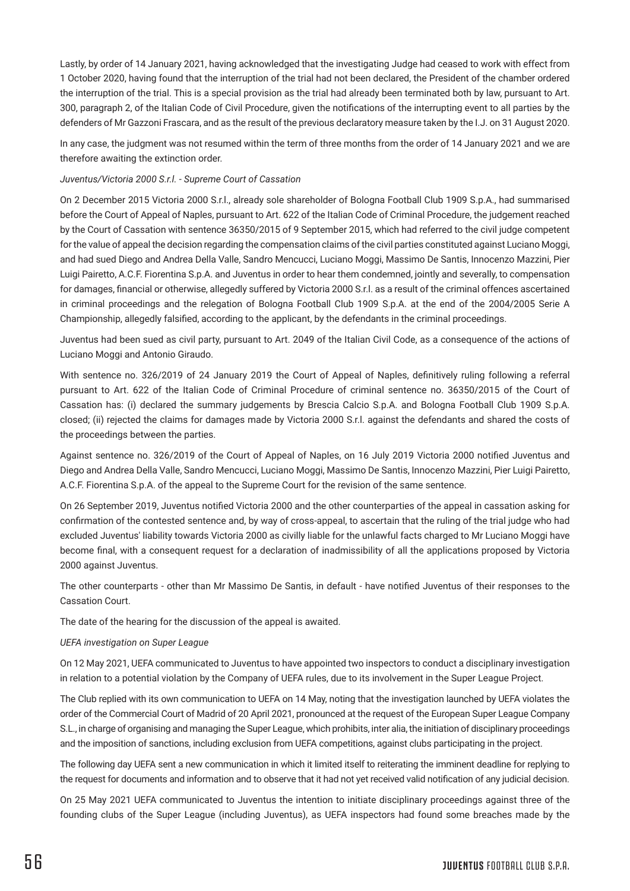Lastly, by order of 14 January 2021, having acknowledged that the investigating Judge had ceased to work with effect from 1 October 2020, having found that the interruption of the trial had not been declared, the President of the chamber ordered the interruption of the trial. This is a special provision as the trial had already been terminated both by law, pursuant to Art. 300, paragraph 2, of the Italian Code of Civil Procedure, given the notifications of the interrupting event to all parties by the defenders of Mr Gazzoni Frascara, and as the result of the previous declaratory measure taken by the I.J. on 31 August 2020.

In any case, the judgment was not resumed within the term of three months from the order of 14 January 2021 and we are therefore awaiting the extinction order.

#### *Juventus/Victoria 2000 S.r.l. - Supreme Court of Cassation*

On 2 December 2015 Victoria 2000 S.r.l., already sole shareholder of Bologna Football Club 1909 S.p.A., had summarised before the Court of Appeal of Naples, pursuant to Art. 622 of the Italian Code of Criminal Procedure, the judgement reached by the Court of Cassation with sentence 36350/2015 of 9 September 2015, which had referred to the civil judge competent for the value of appeal the decision regarding the compensation claims of the civil parties constituted against Luciano Moggi, and had sued Diego and Andrea Della Valle, Sandro Mencucci, Luciano Moggi, Massimo De Santis, Innocenzo Mazzini, Pier Luigi Pairetto, A.C.F. Fiorentina S.p.A. and Juventus in order to hear them condemned, jointly and severally, to compensation for damages, financial or otherwise, allegedly suffered by Victoria 2000 S.r.l. as a result of the criminal offences ascertained in criminal proceedings and the relegation of Bologna Football Club 1909 S.p.A. at the end of the 2004/2005 Serie A Championship, allegedly falsified, according to the applicant, by the defendants in the criminal proceedings.

Juventus had been sued as civil party, pursuant to Art. 2049 of the Italian Civil Code, as a consequence of the actions of Luciano Moggi and Antonio Giraudo.

With sentence no. 326/2019 of 24 January 2019 the Court of Appeal of Naples, definitively ruling following a referral pursuant to Art. 622 of the Italian Code of Criminal Procedure of criminal sentence no. 36350/2015 of the Court of Cassation has: (i) declared the summary judgements by Brescia Calcio S.p.A. and Bologna Football Club 1909 S.p.A. closed; (ii) rejected the claims for damages made by Victoria 2000 S.r.l. against the defendants and shared the costs of the proceedings between the parties.

Against sentence no. 326/2019 of the Court of Appeal of Naples, on 16 July 2019 Victoria 2000 notified Juventus and Diego and Andrea Della Valle, Sandro Mencucci, Luciano Moggi, Massimo De Santis, Innocenzo Mazzini, Pier Luigi Pairetto, A.C.F. Fiorentina S.p.A. of the appeal to the Supreme Court for the revision of the same sentence.

On 26 September 2019, Juventus notified Victoria 2000 and the other counterparties of the appeal in cassation asking for confirmation of the contested sentence and, by way of cross-appeal, to ascertain that the ruling of the trial judge who had excluded Juventus' liability towards Victoria 2000 as civilly liable for the unlawful facts charged to Mr Luciano Moggi have become final, with a consequent request for a declaration of inadmissibility of all the applications proposed by Victoria 2000 against Juventus.

The other counterparts - other than Mr Massimo De Santis, in default - have notified Juventus of their responses to the Cassation Court.

The date of the hearing for the discussion of the appeal is awaited.

#### *UEFA investigation on Super League*

On 12 May 2021, UEFA communicated to Juventus to have appointed two inspectors to conduct a disciplinary investigation in relation to a potential violation by the Company of UEFA rules, due to its involvement in the Super League Project.

The Club replied with its own communication to UEFA on 14 May, noting that the investigation launched by UEFA violates the order of the Commercial Court of Madrid of 20 April 2021, pronounced at the request of the European Super League Company S.L., in charge of organising and managing the Super League, which prohibits, inter alia, the initiation of disciplinary proceedings and the imposition of sanctions, including exclusion from UEFA competitions, against clubs participating in the project.

The following day UEFA sent a new communication in which it limited itself to reiterating the imminent deadline for replying to the request for documents and information and to observe that it had not yet received valid notification of any judicial decision.

On 25 May 2021 UEFA communicated to Juventus the intention to initiate disciplinary proceedings against three of the founding clubs of the Super League (including Juventus), as UEFA inspectors had found some breaches made by the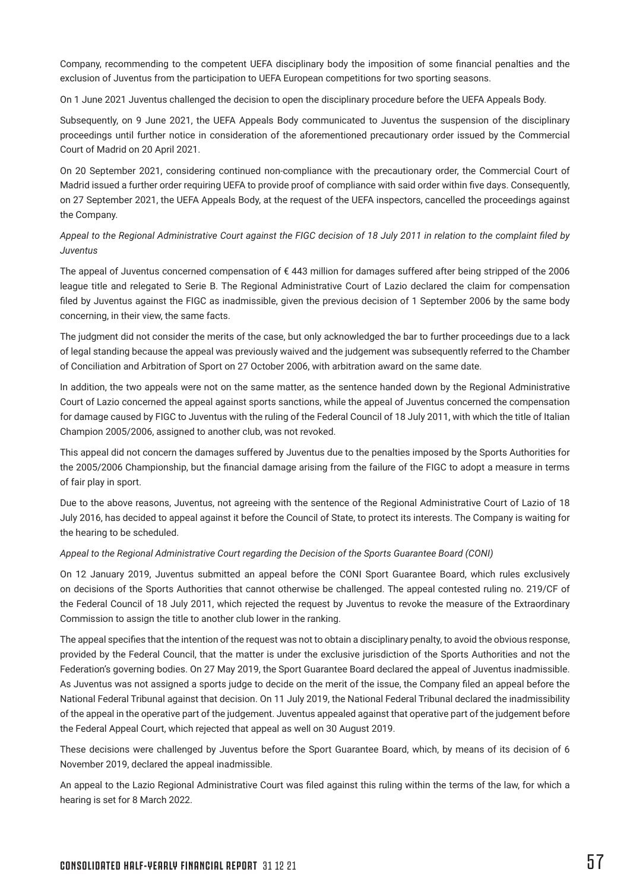Company, recommending to the competent UEFA disciplinary body the imposition of some financial penalties and the exclusion of Juventus from the participation to UEFA European competitions for two sporting seasons.

On 1 June 2021 Juventus challenged the decision to open the disciplinary procedure before the UEFA Appeals Body.

Subsequently, on 9 June 2021, the UEFA Appeals Body communicated to Juventus the suspension of the disciplinary proceedings until further notice in consideration of the aforementioned precautionary order issued by the Commercial Court of Madrid on 20 April 2021.

On 20 September 2021, considering continued non-compliance with the precautionary order, the Commercial Court of Madrid issued a further order requiring UEFA to provide proof of compliance with said order within five days. Consequently, on 27 September 2021, the UEFA Appeals Body, at the request of the UEFA inspectors, cancelled the proceedings against the Company.

#### *Appeal to the Regional Administrative Court against the FIGC decision of 18 July 2011 in relation to the complaint filed by Juventus*

The appeal of Juventus concerned compensation of € 443 million for damages suffered after being stripped of the 2006 league title and relegated to Serie B. The Regional Administrative Court of Lazio declared the claim for compensation filed by Juventus against the FIGC as inadmissible, given the previous decision of 1 September 2006 by the same body concerning, in their view, the same facts.

The judgment did not consider the merits of the case, but only acknowledged the bar to further proceedings due to a lack of legal standing because the appeal was previously waived and the judgement was subsequently referred to the Chamber of Conciliation and Arbitration of Sport on 27 October 2006, with arbitration award on the same date.

In addition, the two appeals were not on the same matter, as the sentence handed down by the Regional Administrative Court of Lazio concerned the appeal against sports sanctions, while the appeal of Juventus concerned the compensation for damage caused by FIGC to Juventus with the ruling of the Federal Council of 18 July 2011, with which the title of Italian Champion 2005/2006, assigned to another club, was not revoked.

This appeal did not concern the damages suffered by Juventus due to the penalties imposed by the Sports Authorities for the 2005/2006 Championship, but the financial damage arising from the failure of the FIGC to adopt a measure in terms of fair play in sport.

Due to the above reasons, Juventus, not agreeing with the sentence of the Regional Administrative Court of Lazio of 18 July 2016, has decided to appeal against it before the Council of State, to protect its interests. The Company is waiting for the hearing to be scheduled.

#### *Appeal to the Regional Administrative Court regarding the Decision of the Sports Guarantee Board (CONI)*

On 12 January 2019, Juventus submitted an appeal before the CONI Sport Guarantee Board, which rules exclusively on decisions of the Sports Authorities that cannot otherwise be challenged. The appeal contested ruling no. 219/CF of the Federal Council of 18 July 2011, which rejected the request by Juventus to revoke the measure of the Extraordinary Commission to assign the title to another club lower in the ranking.

The appeal specifies that the intention of the request was not to obtain a disciplinary penalty, to avoid the obvious response, provided by the Federal Council, that the matter is under the exclusive jurisdiction of the Sports Authorities and not the Federation's governing bodies. On 27 May 2019, the Sport Guarantee Board declared the appeal of Juventus inadmissible. As Juventus was not assigned a sports judge to decide on the merit of the issue, the Company filed an appeal before the National Federal Tribunal against that decision. On 11 July 2019, the National Federal Tribunal declared the inadmissibility of the appeal in the operative part of the judgement. Juventus appealed against that operative part of the judgement before the Federal Appeal Court, which rejected that appeal as well on 30 August 2019.

These decisions were challenged by Juventus before the Sport Guarantee Board, which, by means of its decision of 6 November 2019, declared the appeal inadmissible.

An appeal to the Lazio Regional Administrative Court was filed against this ruling within the terms of the law, for which a hearing is set for 8 March 2022.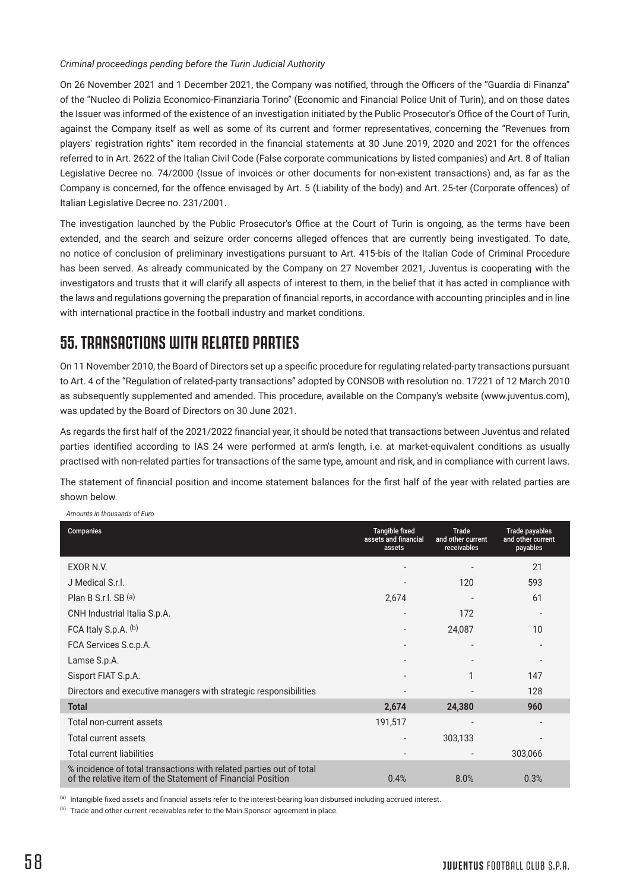#### *Criminal proceedings pending before the Turin Judicial Authority*

On 26 November 2021 and 1 December 2021, the Company was notified, through the Officers of the "Guardia di Finanza" of the "Nucleo di Polizia Economico-Finanziaria Torino" (Economic and Financial Police Unit of Turin), and on those dates the Issuer was informed of the existence of an investigation initiated by the Public Prosecutor's Office of the Court of Turin, against the Company itself as well as some of its current and former representatives, concerning the "Revenues from players' registration rights" item recorded in the financial statements at 30 June 2019, 2020 and 2021 for the offences referred to in Art. 2622 of the Italian Civil Code (False corporate communications by listed companies) and Art. 8 of Italian Legislative Decree no. 74/2000 (Issue of invoices or other documents for non-existent transactions) and, as far as the Company is concerned, for the offence envisaged by Art. 5 (Liability of the body) and Art. 25-ter (Corporate offences) of Italian Legislative Decree no. 231/2001.

The investigation launched by the Public Prosecutor's Office at the Court of Turin is ongoing, as the terms have been extended, and the search and seizure order concerns alleged offences that are currently being investigated. To date, no notice of conclusion of preliminary investigations pursuant to Art. 415-bis of the Italian Code of Criminal Procedure has been served. As already communicated by the Company on 27 November 2021, Juventus is cooperating with the investigators and trusts that it will clarify all aspects of interest to them, in the belief that it has acted in compliance with the laws and regulations governing the preparation of financial reports, in accordance with accounting principles and in line with international practice in the football industry and market conditions.

## **55. TRANSACTIONS WITH RELATED PARTIES**

On 11 November 2010, the Board of Directors set up a specific procedure for regulating related-party transactions pursuant to Art. 4 of the "Regulation of related-party transactions" adopted by CONSOB with resolution no. 17221 of 12 March 2010 as subsequently supplemented and amended. This procedure, available on the Company's website (www.juventus.com), was updated by the Board of Directors on 30 June 2021.

As regards the first half of the 2021/2022 financial year, it should be noted that transactions between Juventus and related parties identified according to IAS 24 were performed at arm's length, i.e. at market-equivalent conditions as usually practised with non-related parties for transactions of the same type, amount and risk, and in compliance with current laws.

The statement of financial position and income statement balances for the first half of the year with related parties are shown below.

| Companies                                                                                                                          | Tangible fixed<br>assets and financial<br>assets | Trade<br>and other current<br>receivables | Trade payables<br>and other current<br>payables |
|------------------------------------------------------------------------------------------------------------------------------------|--------------------------------------------------|-------------------------------------------|-------------------------------------------------|
| EXOR N.V.                                                                                                                          | $\overline{\phantom{a}}$                         |                                           | 21                                              |
| J Medical S.r.l.                                                                                                                   |                                                  | 120                                       | 593                                             |
| Plan B S.r.l. $SB(a)$                                                                                                              | 2,674                                            |                                           | 61                                              |
| CNH Industrial Italia S.p.A.                                                                                                       |                                                  | 172                                       |                                                 |
| FCA Italy S.p.A. (b)                                                                                                               |                                                  | 24,087                                    | 10                                              |
| FCA Services S.c.p.A.                                                                                                              | $\overline{a}$                                   | $\overline{\phantom{0}}$                  |                                                 |
| Lamse S.p.A.                                                                                                                       | $\overline{a}$                                   | $\overline{\phantom{0}}$                  |                                                 |
| Sisport FIAT S.p.A.                                                                                                                | $\qquad \qquad \blacksquare$                     |                                           | 147                                             |
| Directors and executive managers with strategic responsibilities                                                                   |                                                  |                                           | 128                                             |
| <b>Total</b>                                                                                                                       | 2,674                                            | 24,380                                    | 960                                             |
| Total non-current assets                                                                                                           | 191,517                                          |                                           |                                                 |
| Total current assets                                                                                                               | $\overline{\phantom{a}}$                         | 303,133                                   |                                                 |
| <b>Total current liabilities</b>                                                                                                   |                                                  |                                           | 303,066                                         |
| % incidence of total transactions with related parties out of total<br>of the relative item of the Statement of Financial Position | 0.4%                                             | 8.0%                                      | 0.3%                                            |

*Amounts in thousands of Euro*

(a) Intangible fixed assets and financial assets refer to the interest-bearing loan disbursed including accrued interest.

(b) Trade and other current receivables refer to the Main Sponsor agreement in place.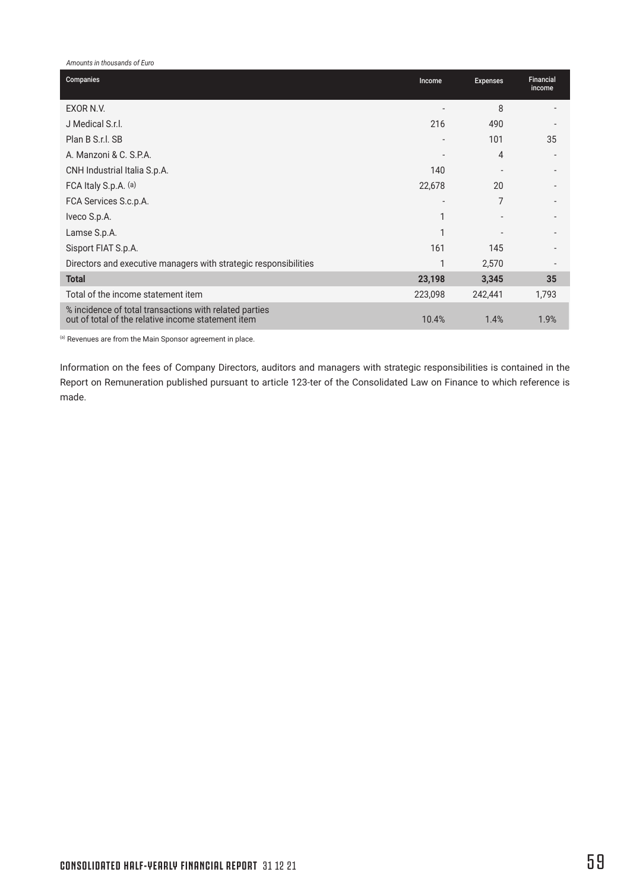*Amounts in thousands of Euro*

| Companies                                                                                                    | Income                   | <b>Expenses</b> | Financial<br>income |
|--------------------------------------------------------------------------------------------------------------|--------------------------|-----------------|---------------------|
| EXOR N.V.                                                                                                    |                          | 8               |                     |
| J Medical S.r.l.                                                                                             | 216                      | 490             |                     |
| Plan B S.r.l. SB                                                                                             |                          | 101             | 35                  |
| A. Manzoni & C. S.P.A.                                                                                       |                          | 4               |                     |
| CNH Industrial Italia S.p.A.                                                                                 | 140                      |                 |                     |
| FCA Italy S.p.A. (a)                                                                                         | 22,678                   | 20              |                     |
| FCA Services S.c.p.A.                                                                                        | $\overline{\phantom{0}}$ | 7               |                     |
| Iveco S.p.A.                                                                                                 | 1                        |                 |                     |
| Lamse S.p.A.                                                                                                 | 1                        |                 |                     |
| Sisport FIAT S.p.A.                                                                                          | 161                      | 145             |                     |
| Directors and executive managers with strategic responsibilities                                             | 1                        | 2,570           |                     |
| <b>Total</b>                                                                                                 | 23,198                   | 3,345           | 35                  |
| Total of the income statement item                                                                           | 223,098                  | 242,441         | 1,793               |
| % incidence of total transactions with related parties<br>out of total of the relative income statement item | 10.4%                    | 1.4%            | 1.9%                |

(a) Revenues are from the Main Sponsor agreement in place.

Information on the fees of Company Directors, auditors and managers with strategic responsibilities is contained in the Report on Remuneration published pursuant to article 123-ter of the Consolidated Law on Finance to which reference is made.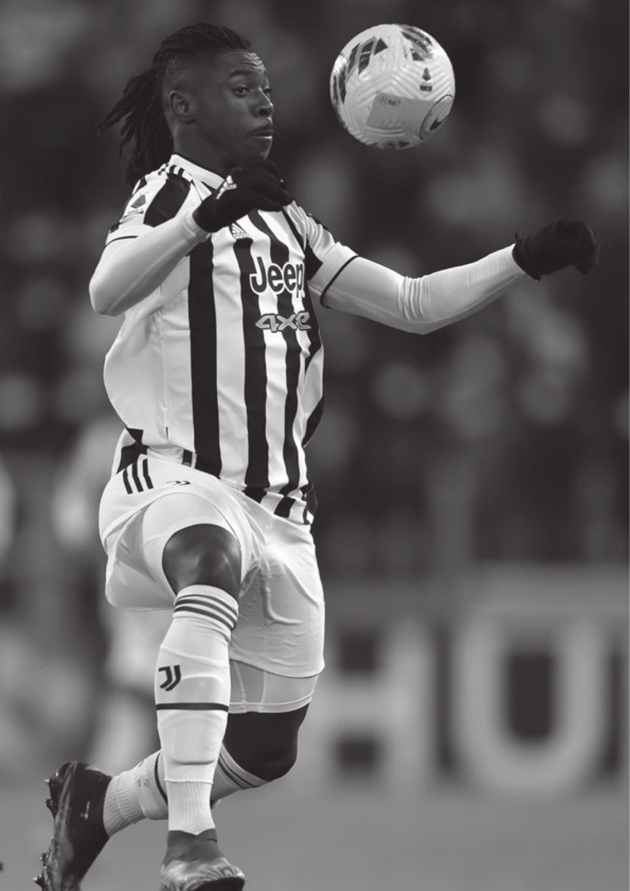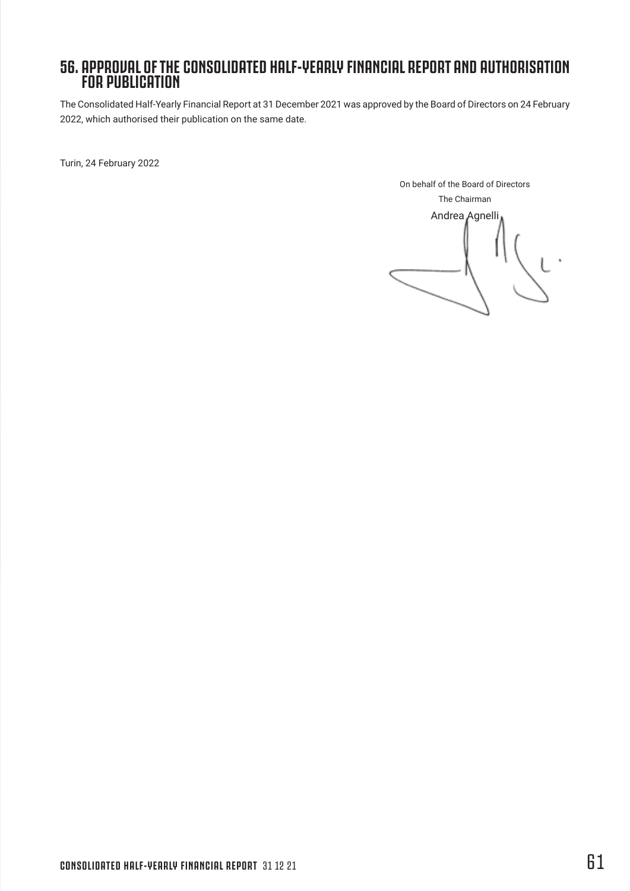#### **56. APPROVAL OF THE CONSOLIDATED HALF-YEARLY FINANCIAL REPORT AND AUTHORISATION FOR PUBLICATION**

The Consolidated Half-Yearly Financial Report at 31 December 2021 was approved by the Board of Directors on 24 February 2022, which authorised their publication on the same date.

Turin, 24 February 2022

On behalf of the Board of Directors The Chairman Andrea Agnelli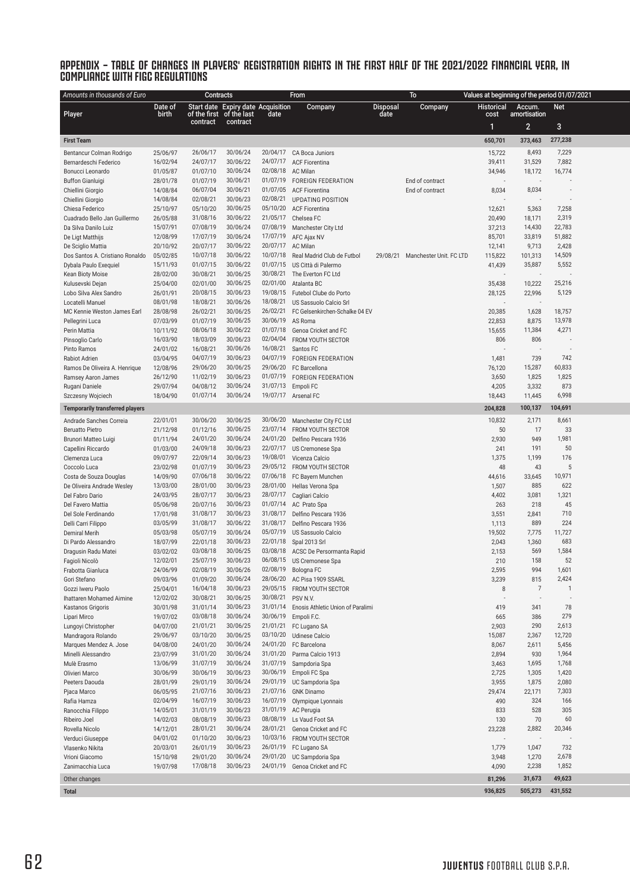#### **APPENDIX – TABLE OF CHANGES IN PLAYERS' REGISTRATION RIGHTS IN THE FIRST HALF OF THE 2021/2022 FINANCIAL YEAR, IN COMPLIANCE WITH FIGC REGULATIONS**

| Amounts in thousands of Euro                         |                      | Contracts                              |                                                           |                      | From                                     |                         | To                               | Values at beginning of the period 01/07/2021 |                                          |                 |  |
|------------------------------------------------------|----------------------|----------------------------------------|-----------------------------------------------------------|----------------------|------------------------------------------|-------------------------|----------------------------------|----------------------------------------------|------------------------------------------|-----------------|--|
| Player                                               | Date of<br>birth     | Start date<br>of the first<br>contract | <b>Expiry date Acquisition</b><br>of the last<br>contract | date                 | Company                                  | <b>Disposal</b><br>date | Company                          | <b>Historical</b><br>cost<br>$\mathbf{1}$    | Accum.<br>amortisation<br>$\overline{2}$ | <b>Net</b><br>3 |  |
| <b>First Team</b>                                    |                      |                                        |                                                           |                      |                                          |                         |                                  | 650,701                                      | 373,463                                  | 277,238         |  |
|                                                      |                      |                                        |                                                           |                      |                                          |                         |                                  |                                              |                                          |                 |  |
| Bentancur Colman Rodrigo<br>Bernardeschi Federico    | 25/06/97<br>16/02/94 | 26/06/17<br>24/07/17                   | 30/06/24<br>30/06/22                                      | 20/04/17<br>24/07/17 | CA Boca Juniors<br><b>ACF Fiorentina</b> |                         |                                  | 15,722<br>39,411                             | 8,493<br>31,529                          | 7,229<br>7,882  |  |
| Bonucci Leonardo                                     | 01/05/87             | 01/07/10                               | 30/06/24                                                  | 02/08/18             | <b>AC Milan</b>                          |                         |                                  | 34,946                                       | 18,172                                   | 16,774          |  |
| <b>Buffon Gianluigi</b>                              | 28/01/78             | 01/07/19                               | 30/06/21                                                  | 01/07/19             | <b>FOREIGN FEDERATION</b>                |                         | End of contract                  |                                              |                                          |                 |  |
| Chiellini Giorgio                                    | 14/08/84             | 06/07/04                               | 30/06/21                                                  | 01/07/05             | <b>ACF Fiorentina</b>                    |                         | End of contract                  | 8,034                                        | 8,034                                    |                 |  |
| Chiellini Giorgio                                    | 14/08/84             | 02/08/21                               | 30/06/23                                                  | 02/08/21             | <b>UPDATING POSITION</b>                 |                         |                                  |                                              |                                          |                 |  |
| Chiesa Federico                                      | 25/10/97             | 05/10/20                               | 30/06/25                                                  | 05/10/20             | <b>ACF Fiorentina</b>                    |                         |                                  | 12,621                                       | 5,363                                    | 7,258           |  |
| Cuadrado Bello Jan Guillermo                         | 26/05/88             | 31/08/16                               | 30/06/22                                                  | 21/05/17             | Chelsea FC                               |                         |                                  | 20,490                                       | 18,171                                   | 2,319           |  |
| Da Silva Danilo Luiz                                 | 15/07/91             | 07/08/19                               | 30/06/24                                                  | 07/08/19             | Manchester City Ltd                      |                         |                                  | 37,213                                       | 14,430                                   | 22,783          |  |
| De Ligt Matthijs                                     | 12/08/99             | 17/07/19<br>20/07/17                   | 30/06/24<br>30/06/22                                      | 17/07/19<br>20/07/17 | AFC Ajax NV<br><b>AC Milan</b>           |                         |                                  | 85,701                                       | 33,819<br>9,713                          | 51,882<br>2,428 |  |
| De Sciglio Mattia<br>Dos Santos A. Cristiano Ronaldo | 20/10/92<br>05/02/85 | 10/07/18                               | 30/06/22                                                  | 10/07/18             | Real Madrid Club de Futbol               |                         | 29/08/21 Manchester Unit. FC LTD | 12,141<br>115,822                            | 101,313                                  | 14,509          |  |
| Dybala Paulo Exequiel                                | 15/11/93             | 01/07/15                               | 30/06/22                                                  | 01/07/15             | US Città di Palermo                      |                         |                                  | 41,439                                       | 35,887                                   | 5,552           |  |
| <b>Kean Bioty Moise</b>                              | 28/02/00             | 30/08/21                               | 30/06/25                                                  | 30/08/21             | The Everton FC Ltd                       |                         |                                  |                                              |                                          |                 |  |
| Kulusevski Dejan                                     | 25/04/00             | 02/01/00                               | 30/06/25                                                  | 02/01/00             | Atalanta BC                              |                         |                                  | 35,438                                       | 10,222                                   | 25,216          |  |
| Lobo Silva Alex Sandro                               | 26/01/91             | 20/08/15                               | 30/06/23                                                  | 19/08/15             | Futebol Clube do Porto                   |                         |                                  | 28,125                                       | 22,996                                   | 5,129           |  |
| Locatelli Manuel                                     | 08/01/98             | 18/08/21                               | 30/06/26                                                  | 18/08/21             | US Sassuolo Calcio Srl                   |                         |                                  |                                              |                                          |                 |  |
| MC Kennie Weston James Earl                          | 28/08/98             | 26/02/21                               | 30/06/25                                                  | 26/02/21             | FC Gelsenkirchen-Schalke 04 EV           |                         |                                  | 20,385                                       | 1,628                                    | 18,757          |  |
| Pellegrini Luca                                      | 07/03/99             | 01/07/19                               | 30/06/25                                                  | 30/06/19             | AS Roma                                  |                         |                                  | 22,853                                       | 8,875                                    | 13,978          |  |
| Perin Mattia                                         | 10/11/92             | 08/06/18                               | 30/06/22                                                  | 01/07/18             | Genoa Cricket and FC                     |                         |                                  | 15,655                                       | 11,384                                   | 4,271           |  |
| Pinsoglio Carlo                                      | 16/03/90             | 18/03/09<br>16/08/21                   | 30/06/23<br>30/06/26                                      | 02/04/04<br>16/08/21 | FROM YOUTH SECTOR                        |                         |                                  | 806                                          | 806                                      |                 |  |
| Pinto Ramos<br>Rabiot Adrien                         | 24/01/02<br>03/04/95 | 04/07/19                               | 30/06/23                                                  | 04/07/19             | Santos FC<br><b>FOREIGN FEDERATION</b>   |                         |                                  | 1,481                                        | 739                                      | 742             |  |
| Ramos De Oliveira A. Henrique                        | 12/08/96             | 29/06/20                               | 30/06/25                                                  | 29/06/20             | FC Barcellona                            |                         |                                  | 76,120                                       | 15,287                                   | 60,833          |  |
| Ramsey Aaron James                                   | 26/12/90             | 11/02/19                               | 30/06/23                                                  | 01/07/19             | <b>FOREIGN FEDERATION</b>                |                         |                                  | 3,650                                        | 1,825                                    | 1,825           |  |
| Rugani Daniele                                       | 29/07/94             | 04/08/12                               | 30/06/24                                                  | 31/07/13             | Empoli FC                                |                         |                                  | 4,205                                        | 3,332                                    | 873             |  |
| Szczesny Wojciech                                    | 18/04/90             | 01/07/14                               | 30/06/24                                                  | 19/07/17             | Arsenal FC                               |                         |                                  | 18,443                                       | 11,445                                   | 6,998           |  |
| <b>Temporarily transferred players</b>               |                      |                                        |                                                           |                      |                                          |                         |                                  | 204,828                                      | 100,137                                  | 104,691         |  |
| Andrade Sanches Correia                              | 22/01/01             | 30/06/20                               | 30/06/25                                                  | 30/06/20             | Manchester City FC Ltd                   |                         |                                  | 10,832                                       | 2,171                                    | 8,661           |  |
| <b>Beruatto Pietro</b>                               | 21/12/98             | 01/12/16                               | 30/06/25                                                  | 23/07/14             | FROM YOUTH SECTOR                        |                         |                                  | 50                                           | 17                                       | 33              |  |
| Brunori Matteo Luigi                                 | 01/11/94             | 24/01/20                               | 30/06/24                                                  | 24/01/20             | Delfino Pescara 1936                     |                         |                                  | 2,930                                        | 949                                      | 1,981           |  |
| Capellini Riccardo                                   | 01/03/00             | 24/09/18                               | 30/06/23                                                  | 22/07/17             | US Cremonese Spa                         |                         |                                  | 241                                          | 191                                      | 50              |  |
| Clemenza Luca                                        | 09/07/97             | 22/09/14                               | 30/06/23                                                  | 19/08/01             | Vicenza Calcio                           |                         |                                  | 1,375                                        | 1,199                                    | 176             |  |
| Coccolo Luca                                         | 23/02/98             | 01/07/19                               | 30/06/23                                                  | 29/05/12             | FROM YOUTH SECTOR                        |                         |                                  | 48                                           | 43                                       | 5               |  |
| Costa de Souza Douglas                               | 14/09/90             | 07/06/18                               | 30/06/22                                                  | 07/06/18             | FC Bayern Munchen                        |                         |                                  | 44,616                                       | 33,645                                   | 10,971          |  |
| De Oliveira Andrade Wesley                           | 13/03/00             | 28/01/00                               | 30/06/23                                                  | 28/01/00             | Hellas Verona Spa                        |                         |                                  | 1,507                                        | 885                                      | 622             |  |
| Del Fabro Dario<br>Del Favero Mattia                 | 24/03/95<br>05/06/98 | 28/07/17<br>20/07/16                   | 30/06/23<br>30/06/23                                      | 28/07/17<br>01/07/14 | Cagliari Calcio<br>AC Prato Spa          |                         |                                  | 4,402<br>263                                 | 3,081<br>218                             | 1,321<br>45     |  |
| Del Sole Ferdinando                                  | 17/01/98             | 31/08/17                               | 30/06/23                                                  | 31/08/17             | Delfino Pescara 1936                     |                         |                                  | 3,551                                        | 2,841                                    | 710             |  |
| Delli Carri Filippo                                  | 03/05/99             | 31/08/17                               | 30/06/22                                                  | 31/08/17             | Delfino Pescara 1936                     |                         |                                  | 1,113                                        | 889                                      | 224             |  |
| Demiral Merih                                        | 05/03/98             | 05/07/19                               | 30/06/24                                                  | 05/07/19             | US Sassuolo Calcio                       |                         |                                  | 19,502                                       | 7,775                                    | 11,727          |  |
| Di Pardo Alessandro                                  | 18/07/99             | 22/01/18                               | 30/06/23                                                  | 22/01/18             | Spal 2013 Srl                            |                         |                                  | 2,043                                        | 1,360                                    | 683             |  |
| Dragusin Radu Matei                                  | 03/02/02             | 03/08/18                               | 30/06/25                                                  | 03/08/18             | ACSC De Persormanta Rapid                |                         |                                  | 2,153                                        | 569                                      | 1,584           |  |
| Fagioli Nicolò                                       | 12/02/01             | 25/07/19                               | 30/06/23                                                  | 06/08/15             | US Cremonese Spa                         |                         |                                  | 210                                          | 158                                      | 52              |  |
| Frabotta Gianluca                                    | 24/06/99             | 02/08/19                               | 30/06/26                                                  | 02/08/19             | Bologna FC                               |                         |                                  | 2,595                                        | 994                                      | 1,601           |  |
| Gori Stefano                                         | 09/03/96             | 01/09/20                               | 30/06/24                                                  | 28/06/20             | AC Pisa 1909 SSARL                       |                         |                                  | 3,239                                        | 815                                      | 2,424           |  |
| Gozzi Iweru Paolo                                    | 25/04/01<br>12/02/02 | 16/04/18<br>30/08/21                   | 30/06/23<br>30/06/25                                      | 29/05/15<br>30/08/21 | FROM YOUTH SECTOR<br>PSV N.V.            |                         |                                  | 8                                            | $\overline{7}$                           | $\mathbf{1}$    |  |
| Ihattaren Mohamed Aimine<br>Kastanos Grigoris        | 30/01/98             | 31/01/14                               | 30/06/23                                                  | 31/01/14             | Enosis Athletic Union of Paralimi        |                         |                                  | 419                                          | 341                                      | 78              |  |
| Lipari Mirco                                         | 19/07/02             | 03/08/18                               | 30/06/24                                                  | 30/06/19             | Empoli F.C.                              |                         |                                  | 665                                          | 386                                      | 279             |  |
| Lungoyi Christopher                                  | 04/07/00             | 21/01/21                               | 30/06/25                                                  | 21/01/21             | FC Lugano SA                             |                         |                                  | 2,903                                        | 290                                      | 2,613           |  |
| Mandragora Rolando                                   | 29/06/97             | 03/10/20                               | 30/06/25                                                  | 03/10/20             | Udinese Calcio                           |                         |                                  | 15,087                                       | 2,367                                    | 12,720          |  |
| Marques Mendez A. Jose                               | 04/08/00             | 24/01/20                               | 30/06/24                                                  | 24/01/20             | FC Barcelona                             |                         |                                  | 8,067                                        | 2,611                                    | 5,456           |  |
| Minelli Alessandro                                   | 23/07/99             | 31/01/20                               | 30/06/24                                                  | 31/01/20             | Parma Calcio 1913                        |                         |                                  | 2,894                                        | 930                                      | 1,964           |  |
| Mulè Erasmo                                          | 13/06/99             | 31/07/19                               | 30/06/24                                                  | 31/07/19             | Sampdoria Spa                            |                         |                                  | 3,463                                        | 1,695                                    | 1,768           |  |
| Olivieri Marco                                       | 30/06/99             | 30/06/19                               | 30/06/23                                                  | 30/06/19             | Empoli FC Spa                            |                         |                                  | 2,725                                        | 1,305                                    | 1,420           |  |
| Peeters Daouda                                       | 28/01/99             | 29/01/19                               | 30/06/24<br>30/06/23                                      | 29/01/19<br>21/07/16 | UC Sampdoria Spa                         |                         |                                  | 3,955                                        | 1,875                                    | 2,080<br>7,303  |  |
| Pjaca Marco<br>Rafia Hamza                           | 06/05/95<br>02/04/99 | 21/07/16<br>16/07/19                   | 30/06/23                                                  | 16/07/19             | <b>GNK Dinamo</b><br>Olympique Lyonnais  |                         |                                  | 29,474<br>490                                | 22,171<br>324                            | 166             |  |
| Ranocchia Filippo                                    | 14/05/01             | 31/01/19                               | 30/06/23                                                  | 31/01/19             | AC Perugia                               |                         |                                  | 833                                          | 528                                      | 305             |  |
| Ribeiro Joel                                         | 14/02/03             | 08/08/19                               | 30/06/23                                                  | 08/08/19             | Ls Vaud Foot SA                          |                         |                                  | 130                                          | 70                                       | 60              |  |
| Rovella Nicolo                                       | 14/12/01             | 28/01/21                               | 30/06/24                                                  | 28/01/21             | Genoa Cricket and FC                     |                         |                                  | 23,228                                       | 2,882                                    | 20,346          |  |
| Verduci Giuseppe                                     | 04/01/02             | 01/10/20                               | 30/06/23                                                  | 10/03/16             | FROM YOUTH SECTOR                        |                         |                                  |                                              |                                          |                 |  |
| Vlasenko Nikita                                      | 20/03/01             | 26/01/19                               | 30/06/23                                                  | 26/01/19             | FC Lugano SA                             |                         |                                  | 1,779                                        | 1,047                                    | 732             |  |
| Vrioni Giacomo                                       | 15/10/98             | 29/01/20                               | 30/06/24                                                  | 29/01/20             | UC Sampdoria Spa                         |                         |                                  | 3,948                                        | 1,270                                    | 2,678           |  |
| Zanimacchia Luca                                     | 19/07/98             | 17/08/18                               | 30/06/23                                                  | 24/01/19             | Genoa Cricket and FC                     |                         |                                  | 4,090                                        | 2,238                                    | 1,852           |  |
| Other changes                                        |                      |                                        |                                                           |                      |                                          |                         |                                  | 81,296                                       | 31,673                                   | 49,623          |  |
| <b>Total</b>                                         |                      |                                        |                                                           |                      |                                          |                         |                                  | 936,825                                      | 505,273                                  | 431,552         |  |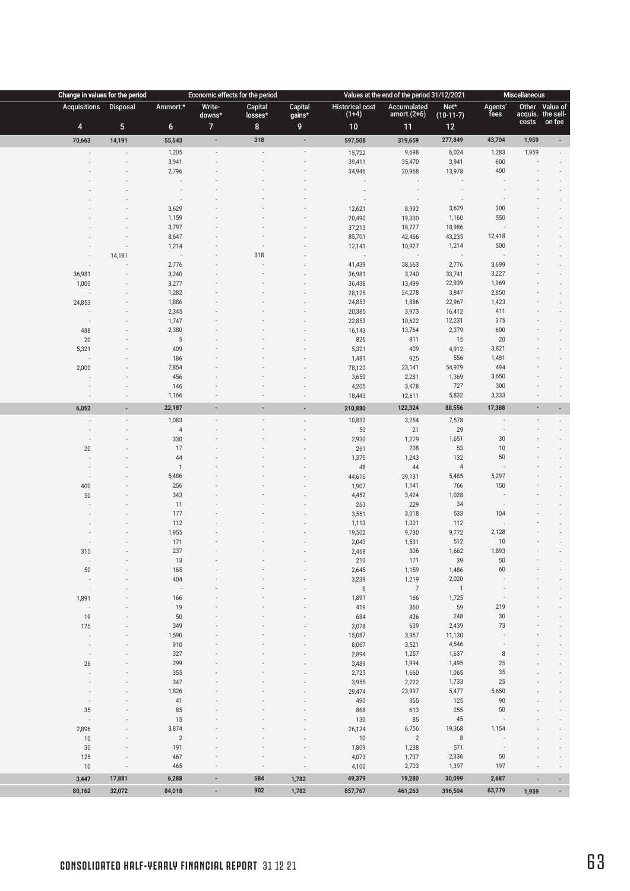| Change in values for the period |                 |                         |                          | Economic effects for the period |                          |                                   | Values at the end of the period 31/12/2021 |                                   |                 | Miscellaneous |                               |
|---------------------------------|-----------------|-------------------------|--------------------------|---------------------------------|--------------------------|-----------------------------------|--------------------------------------------|-----------------------------------|-----------------|---------------|-------------------------------|
| <b>Acquisitions</b>             | Disposal        | Ammort.*                | Write-<br>downs*         | Capital<br>losses*              | Capital<br>gains*        | <b>Historical cost</b><br>$(1+4)$ | Accumulated<br>amort. $(2+6)$              | Net*<br>$(10-11-7)$               | Agents'<br>fees | Other         | Value of<br>acquis. the sell- |
| 4                               | $5\phantom{.0}$ | $6\phantom{.}6$         | 7                        | 8                               | 9                        | $10$                              | 11                                         | 12                                |                 | costs         | on fee                        |
| 70,663                          | 14,191          | 55,543                  | $\blacksquare$           | 318                             | $\overline{\phantom{a}}$ | 597,508                           | 319,659                                    | 277,849                           | 43,704          | 1,959         | $\overline{\phantom{a}}$      |
|                                 |                 | 1,205                   |                          |                                 | $\overline{\phantom{a}}$ | 15,722                            | 9,698                                      | 6,024                             | 1,283           | 1,959         |                               |
|                                 |                 | 3,941                   |                          |                                 |                          | 39,411                            | 35,470                                     | 3,941                             | 600             |               |                               |
|                                 |                 | 2,796                   |                          |                                 |                          | 34,946                            | 20,968                                     | 13,978                            | 400             |               |                               |
|                                 |                 |                         |                          |                                 |                          |                                   |                                            |                                   |                 |               |                               |
|                                 |                 |                         |                          |                                 |                          |                                   |                                            |                                   |                 |               |                               |
|                                 |                 | 3,629<br>1,159          |                          |                                 |                          | 12,621<br>20,490                  | 8,992<br>19,330                            | 3,629<br>1,160                    | 300<br>550      |               |                               |
|                                 |                 | 3,797                   |                          |                                 |                          | 37,213                            | 18,227                                     | 18,986                            |                 |               |                               |
|                                 |                 | 8,647                   |                          |                                 |                          | 85,701                            | 42,466                                     | 43,235                            | 12,418          |               |                               |
|                                 | 14,191          | 1,214                   |                          | 318                             |                          | 12,141                            | 10,927                                     | 1,214<br>$\overline{\phantom{a}}$ | 500             |               |                               |
|                                 |                 | 2,776                   |                          |                                 |                          | 41,439                            | 38,663                                     | 2,776                             | 3,699           |               |                               |
| 36,981                          |                 | 3,240                   |                          |                                 |                          | 36,981                            | 3,240                                      | 33,741                            | 3,227           |               |                               |
| 1,000<br>ł.                     |                 | 3,277<br>1,282          |                          |                                 |                          | 36,438<br>28,125                  | 13,499<br>24,278                           | 22,939<br>3,847                   | 1,969<br>2,850  |               |                               |
| 24,853                          |                 | 1,886                   |                          |                                 |                          | 24,853                            | 1,886                                      | 22,967                            | 1,423           |               |                               |
| ÷,                              |                 | 2,345                   |                          |                                 |                          | 20,385                            | 3,973                                      | 16,412                            | 411             |               |                               |
| $\overline{\phantom{a}}$<br>488 |                 | 1,747<br>2,380          |                          |                                 |                          | 22,853<br>16,143                  | 10,622<br>13,764                           | 12,231<br>2,379                   | 375<br>600      |               |                               |
| 20                              |                 | 5                       |                          |                                 |                          | 826                               | 811                                        | 15                                | 20              |               |                               |
| 5,321                           |                 | 409                     |                          |                                 |                          | 5,321                             | 409                                        | 4,912                             | 3,821           |               |                               |
| 2,000                           |                 | 186<br>7,854            |                          |                                 |                          | 1,481<br>78,120                   | 925<br>23,141                              | 556<br>54,979                     | 1,481<br>494    |               |                               |
|                                 |                 | 456                     |                          |                                 |                          | 3,650                             | 2,281                                      | 1,369                             | 3,650           |               |                               |
|                                 |                 | 146                     |                          |                                 |                          | 4,205                             | 3,478                                      | 727                               | 300             |               |                               |
| $\overline{\phantom{a}}$        |                 | 1,166                   |                          |                                 |                          | 18,443                            | 12,611                                     | 5,832                             | 3,333           |               |                               |
| 6,052                           |                 | 22,187                  |                          |                                 |                          | 210,880                           | 122,324                                    | 88,556                            | 17,388          | ٠             | $\blacksquare$                |
|                                 |                 | 1,083<br>$\overline{4}$ |                          |                                 |                          | 10,832<br>50                      | 3,254<br>21                                | 7,578<br>29                       | ٠               | ٠             |                               |
|                                 |                 | 330                     |                          |                                 |                          | 2,930                             | 1,279                                      | 1,651                             | 30              |               |                               |
| 20                              |                 | 17                      |                          |                                 |                          | 261                               | 208                                        | 53                                | 10              |               |                               |
|                                 |                 | 44<br>$\mathbf{1}$      |                          |                                 |                          | 1,375<br>48                       | 1,243<br>44                                | 132<br>4                          | 50              |               |                               |
|                                 |                 | 5,486                   |                          |                                 |                          | 44,616                            | 39,131                                     | 5,485                             | 5,297           |               |                               |
| 400                             |                 | 256                     |                          |                                 |                          | 1,907                             | 1,141                                      | 766                               | 150             |               |                               |
| 50                              |                 | 343<br>11               |                          |                                 |                          | 4,452<br>263                      | 3,424<br>229                               | 1,028<br>34                       |                 |               |                               |
|                                 |                 | 177                     |                          |                                 |                          | 3,551                             | 3,018                                      | 533                               | 104             |               |                               |
|                                 |                 | 112                     |                          |                                 |                          | 1,113                             | 1,001                                      | 112                               |                 |               |                               |
|                                 |                 | 1,955<br>171            |                          |                                 |                          | 19,502<br>2,043                   | 9,730<br>1,531                             | 9,772<br>512                      | 2,128<br>10     |               |                               |
| 315                             |                 | 237                     |                          |                                 |                          | 2,468                             | 806                                        | 1,662                             | 1,893           |               |                               |
|                                 |                 | 13                      |                          |                                 |                          | 210                               | 171                                        | 39                                | 50              |               |                               |
| 50                              |                 | 165<br>404              |                          |                                 |                          | 2,645<br>3,239                    | 1,159<br>1,219                             | 1,486<br>2,020                    | 60              |               |                               |
|                                 |                 |                         |                          |                                 |                          | $\,$ 8 $\,$                       | $\sqrt{ }$                                 | $\mathbf{1}$                      |                 |               |                               |
| 1,891                           |                 | 166                     |                          |                                 |                          | 1,891                             | 166                                        | 1,725                             |                 |               |                               |
| 19                              |                 | 19<br>50                |                          |                                 |                          | 419<br>684                        | 360<br>436                                 | 59<br>248                         | 219<br>$30\,$   |               |                               |
| 175                             |                 | 349                     |                          |                                 |                          | 3,078                             | 639                                        | 2,439                             | 73              |               |                               |
| ٠                               |                 | 1,590                   |                          |                                 |                          | 15,087                            | 3,957                                      | 11,130                            |                 |               |                               |
|                                 |                 | 910<br>327              |                          |                                 |                          | 8,067<br>2,894                    | 3,521<br>1,257                             | 4,546<br>1,637                    | 8               |               |                               |
| 26                              |                 | 299                     |                          |                                 |                          | 3,489                             | 1,994                                      | 1,495                             | 25              |               |                               |
|                                 |                 | 355                     |                          |                                 |                          | 2,725                             | 1,660                                      | 1,065                             | 35              |               |                               |
|                                 |                 | 347<br>1,826            |                          |                                 |                          | 3,955<br>29,474                   | 2,222<br>23,997                            | 1,733<br>5,477                    | 25<br>5,650     |               |                               |
|                                 |                 | 41                      |                          |                                 |                          | 490                               | 365                                        | 125                               | 90              |               |                               |
| 35                              |                 | 85                      |                          |                                 |                          | 868                               | 613                                        | 255                               | 50              |               |                               |
| 2,896                           |                 | 15<br>3,874             |                          |                                 |                          | 130<br>26,124                     | 85<br>6,756                                | 45<br>19,368                      | 1,154           |               |                               |
| 10                              |                 | $\sqrt{2}$              |                          |                                 |                          | 10                                | $\sqrt{2}$                                 | 8                                 |                 |               |                               |
| 30                              |                 | 191                     |                          |                                 |                          | 1,809                             | 1,238                                      | 571                               |                 |               |                               |
| 125<br>10                       |                 | 467<br>465              |                          |                                 |                          | 4,073<br>4,100                    | 1,737<br>2,703                             | 2,336<br>1,397                    | 50<br>197       |               |                               |
| 3,447                           | 17,881          | 6,288                   |                          | 584                             | 1,782                    | 49,379                            | 19,280                                     | 30,099                            | 2,687           |               |                               |
| 80,162                          | 32,072          | 84,018                  | $\overline{\phantom{a}}$ | 902                             | 1,782                    | 857,767                           | 461,263                                    | 396,504                           | 63,779          | 1,959         | $\overline{\phantom{a}}$      |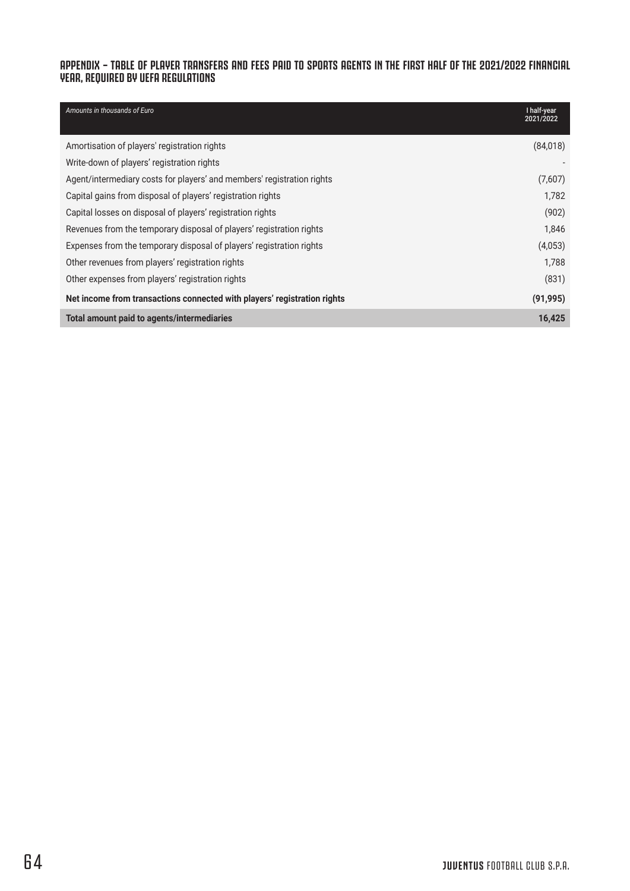#### **APPENDIX – TABLE OF PLAYER TRANSFERS AND FEES PAID TO SPORTS AGENTS IN THE FIRST HALF OF THE 2021/2022 FINANCIAL YEAR, REQUIRED BY UEFA REGULATIONS**

| Amounts in thousands of Euro                                             | I half-year<br>2021/2022 |
|--------------------------------------------------------------------------|--------------------------|
| Amortisation of players' registration rights                             | (84,018)                 |
| Write-down of players' registration rights                               |                          |
| Agent/intermediary costs for players' and members' registration rights   | (7,607)                  |
| Capital gains from disposal of players' registration rights              | 1.782                    |
| Capital losses on disposal of players' registration rights               | (902)                    |
| Revenues from the temporary disposal of players' registration rights     | 1,846                    |
| Expenses from the temporary disposal of players' registration rights     | (4,053)                  |
| Other revenues from players' registration rights                         | 1,788                    |
| Other expenses from players' registration rights                         | (831)                    |
| Net income from transactions connected with players' registration rights | (91, 995)                |
| Total amount paid to agents/intermediaries                               | 16,425                   |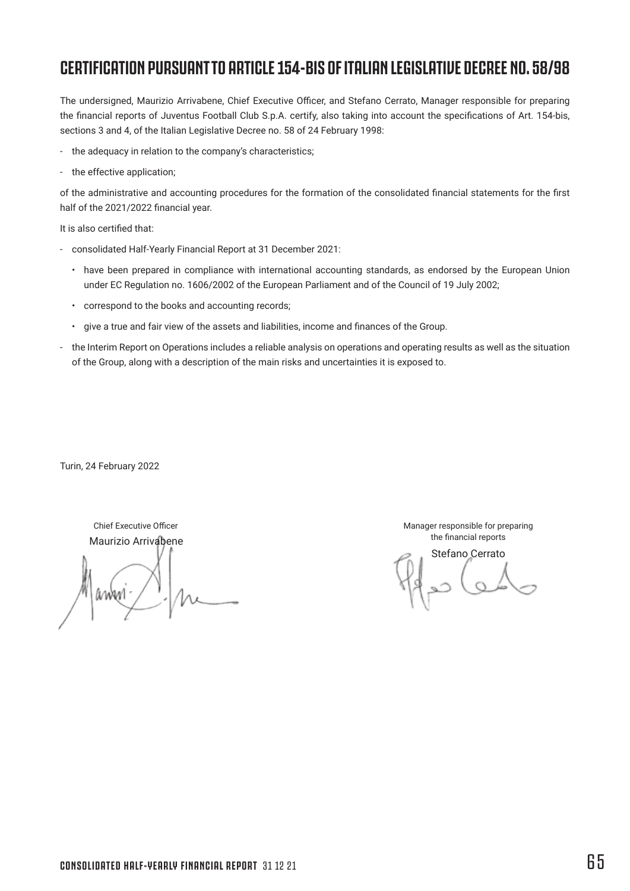## **CERTIFICATION PURSUANT TO ARTICLE 154-BIS OF ITALIAN LEGISLATIVE DECREE NO. 58/98**

The undersigned, Maurizio Arrivabene, Chief Executive Officer, and Stefano Cerrato, Manager responsible for preparing the financial reports of Juventus Football Club S.p.A. certify, also taking into account the specifications of Art. 154-bis, sections 3 and 4, of the Italian Legislative Decree no. 58 of 24 February 1998:

- the adequacy in relation to the company's characteristics;
- the effective application;

of the administrative and accounting procedures for the formation of the consolidated financial statements for the first half of the 2021/2022 financial year.

It is also certified that:

- consolidated Half-Yearly Financial Report at 31 December 2021:
	- have been prepared in compliance with international accounting standards, as endorsed by the European Union under EC Regulation no. 1606/2002 of the European Parliament and of the Council of 19 July 2002;
	- correspond to the books and accounting records;
	- give a true and fair view of the assets and liabilities, income and finances of the Group.
- the Interim Report on Operations includes a reliable analysis on operations and operating results as well as the situation of the Group, along with a description of the main risks and uncertainties it is exposed to.

Turin, 24 February 2022

ûww

Chief Executive Officer **Manager responsible for preparing** Manager responsible for preparing Maurizio Arrivabene the financial reports

Stefano Cerrato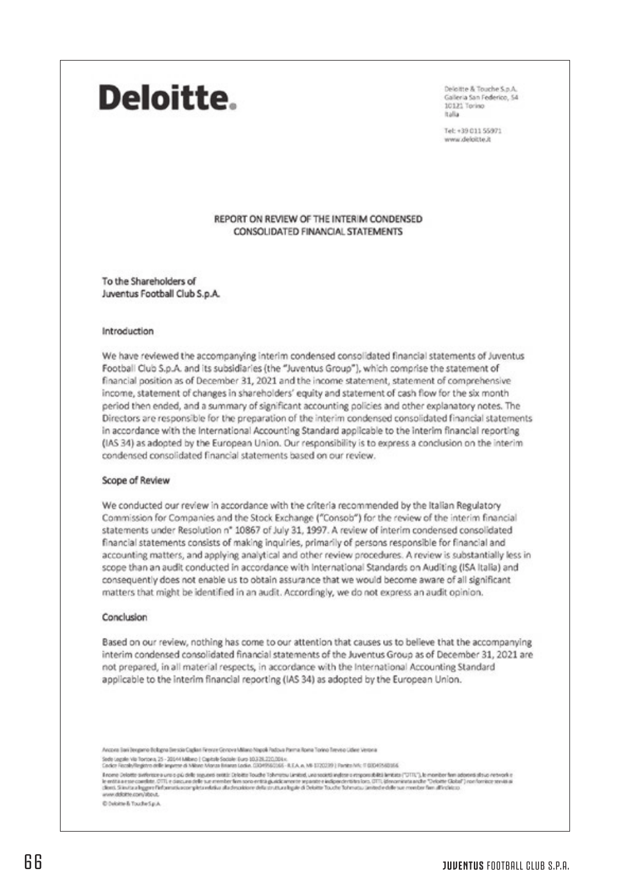## **Deloitte.**

Deloitte & Touche S.p.A. Galleria San Federico, S4 10121 Torino **Balla** 

Tel: +39 011 55971 www.deloitte.it

#### REPORT ON REVIEW OF THE INTERIM CONDENSED CONSOLIDATED FINANCIAL STATEMENTS

To the Shareholders of Juventus Football Club S.p.A.

#### Introduction

We have reviewed the accompanying interim condensed consolidated financial statements of Juventus Football Club S.p.A. and its subsidiaries (the "Juventus Group"), which comprise the statement of financial position as of December 31, 2021 and the income statement, statement of comprehensive income, statement of changes in shareholders' equity and statement of cash flow for the six month period then ended, and a summary of significant accounting policies and other explanatory notes. The Directors are responsible for the preparation of the interim condensed consolidated financial statements in accordance with the International Accounting Standard applicable to the interim financial reporting (IAS 34) as adopted by the European Union. Our responsibility is to express a conclusion on the interim condensed consolidated financial statements based on our review.

#### Scope of Review

We conducted our review in accordance with the criteria recommended by the Italian Regulatory Commission for Companies and the Stock Exchange ("Consob") for the review of the interim financial statements under Resolution n° 10867 of July 31, 1997. A review of interim condensed consolidated financial statements consists of making inquiries, primarily of persons responsible for financial and accounting matters, and applying analytical and other review procedures. A review is substantially less in scope than an audit conducted in accordance with International Standards on Auditing (ISA Italia) and consequently does not enable us to obtain assurance that we would become aware of all significant matters that might be identified in an audit. Accordingly, we do not express an audit opinion.

#### Conclusion

Based on our review, nothing has come to our attention that causes us to believe that the accompanying interim condensed consolidated financial statements of the Juventus Group as of December 31, 2021 are not prepared, in all material respects, in accordance with the International Accounting Standard applicable to the interim financial reporting (IAS 34) as adopted by the European Union.

Accord Sati Instanto Schotta Serviz Carlas Ferrar Grope Milays Nacoli Patrus Parra Roma Torico Terreso Liber Veneza

Sede Legale Via Torrona, 25 - 20144 Millano | Capitale Sociale Sura 10.3 26.220.201x.<br>Cardior FacebyRegiono delle legarone di Millano Marua Brianza Lodie, (2004/56/2065 - 8.1.A, a, ME 2720239 | Panitzi MA: 17 0304/5401/56

I nome Delatte swifetsche und gab delle regulationistic Delatte Toluthe Toleratou Limited, una società inglese a myomabilità limitata ("UTTL"), le monitor fam adoptra altuo redvorò e<br>le mitta a respondità: OTTL e dascura d www.dolcitte.com/about.

C Deloite & Touche S.p.A.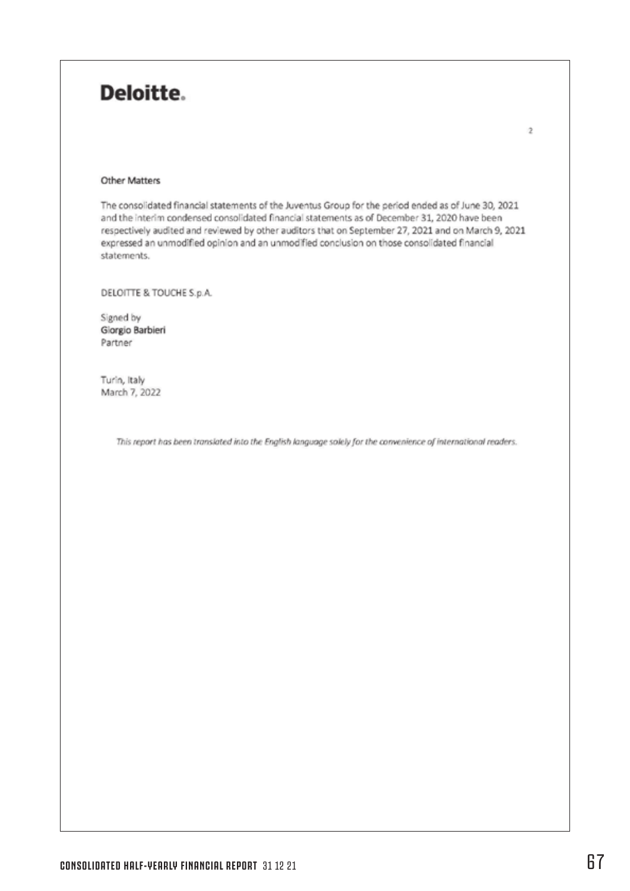## **Deloitte.**

Other Matters

The consolidated financial statements of the Juventus Group for the period ended as of June 30, 2021 and the interim condensed consolidated financial statements as of December 31, 2020 have been respectively audited and reviewed by other auditors that on September 27, 2021 and on March 9, 2021 expressed an unmodified opinion and an unmodified conclusion on those consolidated financial statements.

DELOITTE & TOUCHE S.p.A.

Signed by Giorgio Barbieri Partner

Turin, Italy March 7, 2022

This report has been translated into the English language solely for the convenience of international readers.

 $\bar{2}$